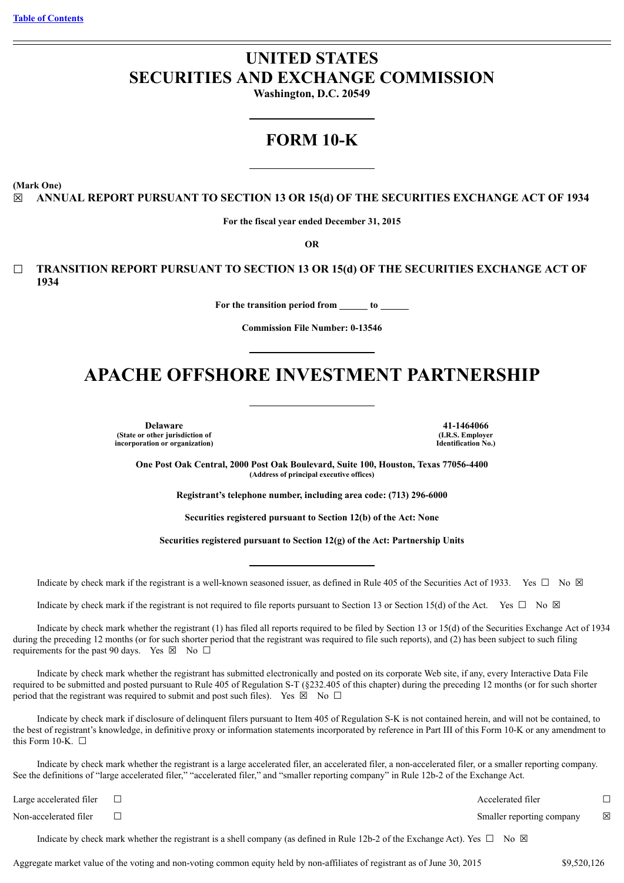# **UNITED STATES SECURITIES AND EXCHANGE COMMISSION**

**Washington, D.C. 20549**

# **FORM 10-K**

**(Mark One)**

☒ **ANNUAL REPORT PURSUANT TO SECTION 13 OR 15(d) OF THE SECURITIES EXCHANGE ACT OF 1934**

**For the fiscal year ended December 31, 2015**

**OR**

☐ **TRANSITION REPORT PURSUANT TO SECTION 13 OR 15(d) OF THE SECURITIES EXCHANGE ACT OF 1934**

**For the transition period from to**

**Commission File Number: 0-13546**

# **APACHE OFFSHORE INVESTMENT PARTNERSHIP**

**Delaware 41-1464066 (State or other jurisdiction of incorporation or organization)**

**(I.R.S. Employer Identification No.)**

**One Post Oak Central, 2000 Post Oak Boulevard, Suite 100, Houston, Texas 77056-4400 (Address of principal executive offices)**

**Registrant's telephone number, including area code: (713) 296-6000**

**Securities registered pursuant to Section 12(b) of the Act: None**

**Securities registered pursuant to Section 12(g) of the Act: Partnership Units**

Indicate by check mark if the registrant is a well-known seasoned issuer, as defined in Rule 405 of the Securities Act of 1933. Yes  $\square$  No  $\boxtimes$ 

Indicate by check mark if the registrant is not required to file reports pursuant to Section 13 or Section 15(d) of the Act. Yes  $\Box$  No  $\boxtimes$ 

Indicate by check mark whether the registrant (1) has filed all reports required to be filed by Section 13 or 15(d) of the Securities Exchange Act of 1934 during the preceding 12 months (or for such shorter period that the registrant was required to file such reports), and (2) has been subject to such filing requirements for the past 90 days. Yes  $\boxtimes$  No  $\Box$ 

Indicate by check mark whether the registrant has submitted electronically and posted on its corporate Web site, if any, every Interactive Data File required to be submitted and posted pursuant to Rule 405 of Regulation S-T (§232.405 of this chapter) during the preceding 12 months (or for such shorter period that the registrant was required to submit and post such files). Yes  $\overline{\boxtimes}$  No  $\Box$ 

Indicate by check mark if disclosure of delinquent filers pursuant to Item 405 of Regulation S-K is not contained herein, and will not be contained, to the best of registrant's knowledge, in definitive proxy or information statements incorporated by reference in Part III of this Form 10-K or any amendment to this Form 10-K.  $\square$ 

Indicate by check mark whether the registrant is a large accelerated filer, an accelerated filer, a non-accelerated filer, or a smaller reporting company. See the definitions of "large accelerated filer," "accelerated filer," and "smaller reporting company" in Rule 12b-2 of the Exchange Act.

| Large accelerated filer | Accelerated filer         |   |
|-------------------------|---------------------------|---|
| Non-accelerated filer   | Smaller reporting company | 区 |
|                         |                           |   |

Indicate by check mark whether the registrant is a shell company (as defined in Rule 12b-2 of the Exchange Act). Yes  $\Box$  No  $\boxtimes$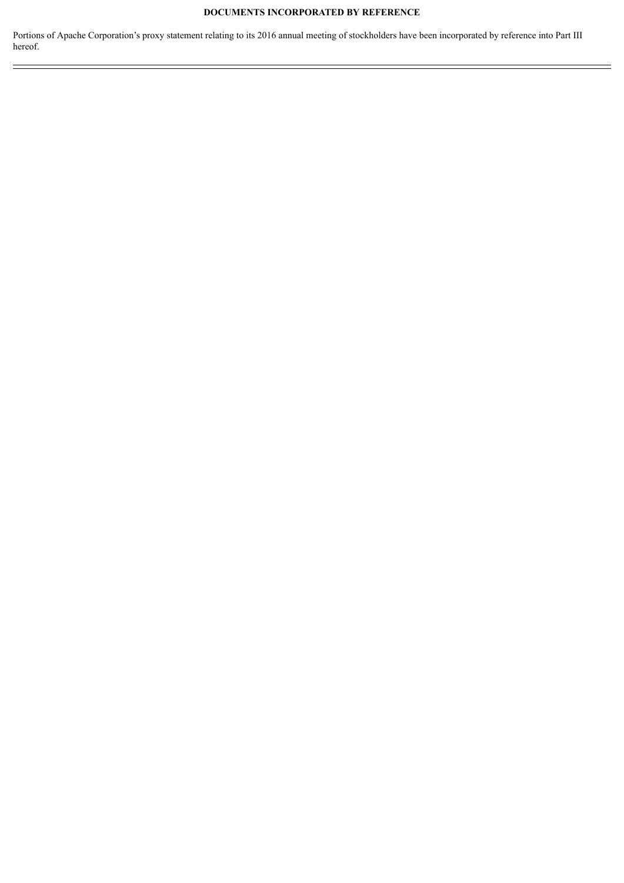## **DOCUMENTS INCORPORATED BY REFERENCE**

Portions of Apache Corporation's proxy statement relating to its 2016 annual meeting of stockholders have been incorporated by reference into Part III hereof.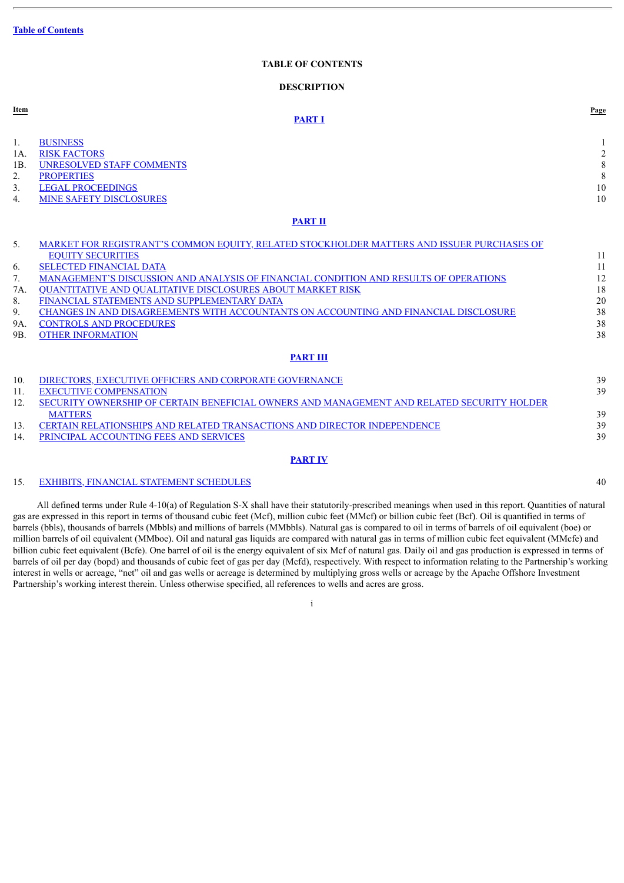### **TABLE OF CONTENTS**

#### **DESCRIPTION**

<span id="page-2-0"></span>

| Item                                                        | <b>PART I</b>                                                                                                                                                                                                                                                                                                                                                                                                                                                                                                                      | Page                                             |
|-------------------------------------------------------------|------------------------------------------------------------------------------------------------------------------------------------------------------------------------------------------------------------------------------------------------------------------------------------------------------------------------------------------------------------------------------------------------------------------------------------------------------------------------------------------------------------------------------------|--------------------------------------------------|
| 1.<br>1A.<br>1B.<br>2.<br>3.<br>4.                          | <b>BUSINESS</b><br><b>RISK FACTORS</b><br><b>UNRESOLVED STAFF COMMENTS</b><br><b>PROPERTIES</b><br><b>LEGAL PROCEEDINGS</b><br><b>MINE SAFETY DISCLOSURES</b>                                                                                                                                                                                                                                                                                                                                                                      | $\overline{c}$<br>$\,8\,$<br>$\,8\,$<br>10<br>10 |
|                                                             | <b>PART II</b>                                                                                                                                                                                                                                                                                                                                                                                                                                                                                                                     |                                                  |
| 5 <sub>1</sub><br>6.<br>7.<br>7A.<br>8.<br>9.<br>9A.<br>9B. | <b>MARKET FOR REGISTRANT'S COMMON EQUITY, RELATED STOCKHOLDER MATTERS AND ISSUER PURCHASES OF</b><br><b>EQUITY SECURITIES</b><br><b>SELECTED FINANCIAL DATA</b><br>MANAGEMENT'S DISCUSSION AND ANALYSIS OF FINANCIAL CONDITION AND RESULTS OF OPERATIONS<br><b>QUANTITATIVE AND QUALITATIVE DISCLOSURES ABOUT MARKET RISK</b><br>FINANCIAL STATEMENTS AND SUPPLEMENTARY DATA<br>CHANGES IN AND DISAGREEMENTS WITH ACCOUNTANTS ON ACCOUNTING AND FINANCIAL DISCLOSURE<br><b>CONTROLS AND PROCEDURES</b><br><b>OTHER INFORMATION</b> | 11<br>11<br>12<br>18<br>20<br>38<br>38<br>38     |
|                                                             | <b>PART III</b>                                                                                                                                                                                                                                                                                                                                                                                                                                                                                                                    |                                                  |
| 10.<br>11.<br>12.                                           | DIRECTORS, EXECUTIVE OFFICERS AND CORPORATE GOVERNANCE<br><b>EXECUTIVE COMPENSATION</b><br>SECURITY OWNERSHIP OF CERTAIN BENEFICIAL OWNERS AND MANAGEMENT AND RELATED SECURITY HOLDER                                                                                                                                                                                                                                                                                                                                              | 39<br>39                                         |

MATTERS 39

- 13. CERTAIN RELATIONSHIPS AND RELATED [TRANSACTIONS](#page-42-4) AND DIRECTOR INDEPENDENCE 39
- 14. PRINCIPAL [ACCOUNTING](#page-42-5) FEES AND SERVICES 39

#### **[PART](#page-43-0) IV**

## 15. EXHIBITS, FINANCIAL STATEMENT [SCHEDULES](#page-43-1) 40

All defined terms under Rule 4-10(a) of Regulation S-X shall have their statutorily-prescribed meanings when used in this report. Quantities of natural gas are expressed in this report in terms of thousand cubic feet (Mcf), million cubic feet (MMcf) or billion cubic feet (Bcf). Oil is quantified in terms of barrels (bbls), thousands of barrels (Mbbls) and millions of barrels (MMbbls). Natural gas is compared to oil in terms of barrels of oil equivalent (boe) or million barrels of oil equivalent (MMboe). Oil and natural gas liquids are compared with natural gas in terms of million cubic feet equivalent (MMcfe) and billion cubic feet equivalent (Bcfe). One barrel of oil is the energy equivalent of six Mcf of natural gas. Daily oil and gas production is expressed in terms of barrels of oil per day (bopd) and thousands of cubic feet of gas per day (Mcfd), respectively. With respect to information relating to the Partnership's working interest in wells or acreage, "net" oil and gas wells or acreage is determined by multiplying gross wells or acreage by the Apache Offshore Investment Partnership's working interest therein. Unless otherwise specified, all references to wells and acres are gross.

i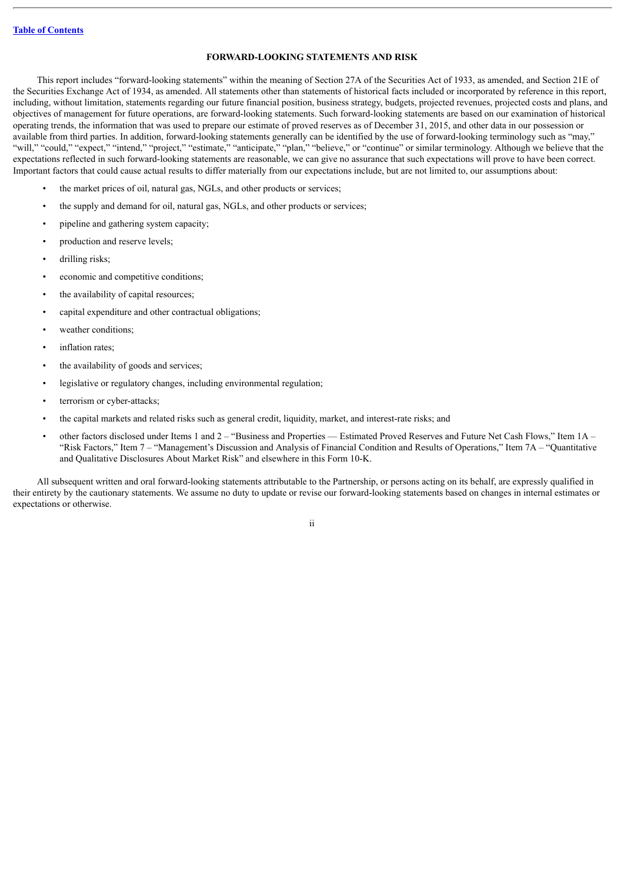## **FORWARD-LOOKING STATEMENTS AND RISK**

This report includes "forward-looking statements" within the meaning of Section 27A of the Securities Act of 1933, as amended, and Section 21E of the Securities Exchange Act of 1934, as amended. All statements other than statements of historical facts included or incorporated by reference in this report, including, without limitation, statements regarding our future financial position, business strategy, budgets, projected revenues, projected costs and plans, and objectives of management for future operations, are forward-looking statements. Such forward-looking statements are based on our examination of historical operating trends, the information that was used to prepare our estimate of proved reserves as of December 31, 2015, and other data in our possession or available from third parties. In addition, forward-looking statements generally can be identified by the use of forward-looking terminology such as "may," "will," "could," "expect," "intend," "project," "estimate," "anticipate," "plan," "believe," or "continue" or similar terminology. Although we believe that the expectations reflected in such forward-looking statements are reasonable, we can give no assurance that such expectations will prove to have been correct. Important factors that could cause actual results to differ materially from our expectations include, but are not limited to, our assumptions about:

- the market prices of oil, natural gas, NGLs, and other products or services;
- the supply and demand for oil, natural gas, NGLs, and other products or services;
- pipeline and gathering system capacity;
- production and reserve levels;
- drilling risks;
- economic and competitive conditions;
- the availability of capital resources;
- capital expenditure and other contractual obligations;
- weather conditions:
- inflation rates;
- the availability of goods and services;
- legislative or regulatory changes, including environmental regulation;
- terrorism or cyber-attacks;
- the capital markets and related risks such as general credit, liquidity, market, and interest-rate risks; and
- other factors disclosed under Items 1 and 2 "Business and Properties Estimated Proved Reserves and Future Net Cash Flows," Item 1A "Risk Factors," Item 7 – "Management's Discussion and Analysis of Financial Condition and Results of Operations," Item 7A – "Quantitative and Qualitative Disclosures About Market Risk" and elsewhere in this Form 10-K.

All subsequent written and oral forward-looking statements attributable to the Partnership, or persons acting on its behalf, are expressly qualified in their entirety by the cautionary statements. We assume no duty to update or revise our forward-looking statements based on changes in internal estimates or expectations or otherwise.

ii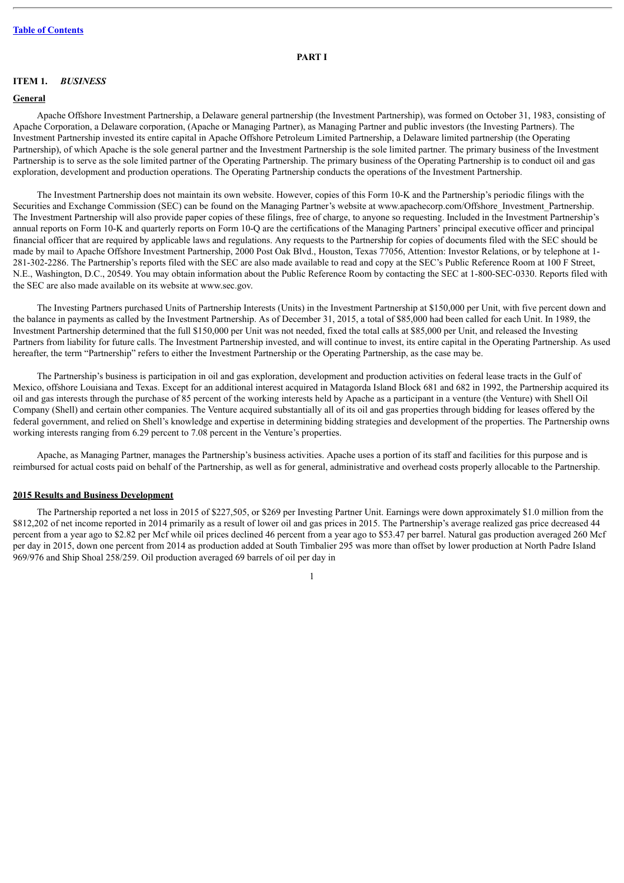#### **PART I**

#### <span id="page-4-1"></span><span id="page-4-0"></span>**ITEM 1.** *BUSINESS*

#### **General**

Apache Offshore Investment Partnership, a Delaware general partnership (the Investment Partnership), was formed on October 31, 1983, consisting of Apache Corporation, a Delaware corporation, (Apache or Managing Partner), as Managing Partner and public investors (the Investing Partners). The Investment Partnership invested its entire capital in Apache Offshore Petroleum Limited Partnership, a Delaware limited partnership (the Operating Partnership), of which Apache is the sole general partner and the Investment Partnership is the sole limited partner. The primary business of the Investment Partnership is to serve as the sole limited partner of the Operating Partnership. The primary business of the Operating Partnership is to conduct oil and gas exploration, development and production operations. The Operating Partnership conducts the operations of the Investment Partnership.

The Investment Partnership does not maintain its own website. However, copies of this Form 10-K and the Partnership's periodic filings with the Securities and Exchange Commission (SEC) can be found on the Managing Partner's website at www.apachecorp.com/Offshore Investment Partnership. The Investment Partnership will also provide paper copies of these filings, free of charge, to anyone so requesting. Included in the Investment Partnership's annual reports on Form 10-K and quarterly reports on Form 10-Q are the certifications of the Managing Partners' principal executive officer and principal financial officer that are required by applicable laws and regulations. Any requests to the Partnership for copies of documents filed with the SEC should be made by mail to Apache Offshore Investment Partnership, 2000 Post Oak Blvd., Houston, Texas 77056, Attention: Investor Relations, or by telephone at 1- 281-302-2286. The Partnership's reports filed with the SEC are also made available to read and copy at the SEC's Public Reference Room at 100 F Street, N.E., Washington, D.C., 20549. You may obtain information about the Public Reference Room by contacting the SEC at 1-800-SEC-0330. Reports filed with the SEC are also made available on its website at www.sec.gov.

The Investing Partners purchased Units of Partnership Interests (Units) in the Investment Partnership at \$150,000 per Unit, with five percent down and the balance in payments as called by the Investment Partnership. As of December 31, 2015, a total of \$85,000 had been called for each Unit. In 1989, the Investment Partnership determined that the full \$150,000 per Unit was not needed, fixed the total calls at \$85,000 per Unit, and released the Investing Partners from liability for future calls. The Investment Partnership invested, and will continue to invest, its entire capital in the Operating Partnership. As used hereafter, the term "Partnership" refers to either the Investment Partnership or the Operating Partnership, as the case may be.

The Partnership's business is participation in oil and gas exploration, development and production activities on federal lease tracts in the Gulf of Mexico, offshore Louisiana and Texas. Except for an additional interest acquired in Matagorda Island Block 681 and 682 in 1992, the Partnership acquired its oil and gas interests through the purchase of 85 percent of the working interests held by Apache as a participant in a venture (the Venture) with Shell Oil Company (Shell) and certain other companies. The Venture acquired substantially all of its oil and gas properties through bidding for leases offered by the federal government, and relied on Shell's knowledge and expertise in determining bidding strategies and development of the properties. The Partnership owns working interests ranging from 6.29 percent to 7.08 percent in the Venture's properties.

Apache, as Managing Partner, manages the Partnership's business activities. Apache uses a portion of its staff and facilities for this purpose and is reimbursed for actual costs paid on behalf of the Partnership, as well as for general, administrative and overhead costs properly allocable to the Partnership.

#### **2015 Results and Business Development**

The Partnership reported a net loss in 2015 of \$227,505, or \$269 per Investing Partner Unit. Earnings were down approximately \$1.0 million from the \$812,202 of net income reported in 2014 primarily as a result of lower oil and gas prices in 2015. The Partnership's average realized gas price decreased 44 percent from a year ago to \$2.82 per Mcf while oil prices declined 46 percent from a year ago to \$53.47 per barrel. Natural gas production averaged 260 Mcf per day in 2015, down one percent from 2014 as production added at South Timbalier 295 was more than offset by lower production at North Padre Island 969/976 and Ship Shoal 258/259. Oil production averaged 69 barrels of oil per day in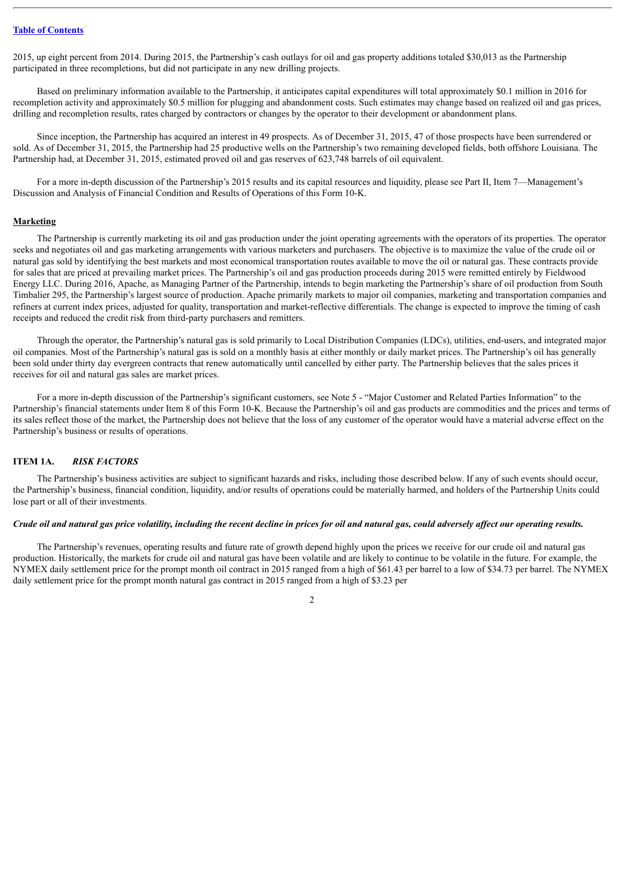2015, up eight percent from 2014. During 2015, the Partnership's cash outlays for oil and gas property additions totaled \$30,013 as the Partnership participated in three recompletions, but did not participate in any new drilling projects.

Based on preliminary information available to the Partnership, it anticipates capital expenditures will total approximately \$0.1 million in 2016 for recompletion activity and approximately \$0.5 million for plugging and abandonment costs. Such estimates may change based on realized oil and gas prices, drilling and recompletion results, rates charged by contractors or changes by the operator to their development or abandonment plans.

Since inception, the Partnership has acquired an interest in 49 prospects. As of December 31, 2015, 47 of those prospects have been surrendered or sold. As of December 31, 2015, the Partnership had 25 productive wells on the Partnership's two remaining developed fields, both offshore Louisiana. The Partnership had, at December 31, 2015, estimated proved oil and gas reserves of 623,748 barrels of oil equivalent.

For a more in-depth discussion of the Partnership's 2015 results and its capital resources and liquidity, please see Part II, Item 7—Management's Discussion and Analysis of Financial Condition and Results of Operations of this Form 10-K.

#### **Marketing**

The Partnership is currently marketing its oil and gas production under the joint operating agreements with the operators of its properties. The operator seeks and negotiates oil and gas marketing arrangements with various marketers and purchasers. The objective is to maximize the value of the crude oil or natural gas sold by identifying the best markets and most economical transportation routes available to move the oil or natural gas. These contracts provide for sales that are priced at prevailing market prices. The Partnership's oil and gas production proceeds during 2015 were remitted entirely by Fieldwood Energy LLC. During 2016, Apache, as Managing Partner of the Partnership, intends to begin marketing the Partnership's share of oil production from South Timbalier 295, the Partnership's largest source of production. Apache primarily markets to major oil companies, marketing and transportation companies and refiners at current index prices, adjusted for quality, transportation and market-reflective differentials. The change is expected to improve the timing of cash receipts and reduced the credit risk from third-party purchasers and remitters.

Through the operator, the Partnership's natural gas is sold primarily to Local Distribution Companies (LDCs), utilities, end-users, and integrated major oil companies. Most of the Partnership's natural gas is sold on a monthly basis at either monthly or daily market prices. The Partnership's oil has generally been sold under thirty day evergreen contracts that renew automatically until cancelled by either party. The Partnership believes that the sales prices it receives for oil and natural gas sales are market prices.

For a more in-depth discussion of the Partnership's significant customers, see Note 5 - "Major Customer and Related Parties Information" to the Partnership's financial statements under Item 8 of this Form 10-K. Because the Partnership's oil and gas products are commodities and the prices and terms of its sales reflect those of the market, the Partnership does not believe that the loss of any customer of the operator would have a material adverse effect on the Partnership's business or results of operations.

#### <span id="page-5-0"></span>**ITEM 1A.** *RISK FACTORS*

The Partnership's business activities are subject to significant hazards and risks, including those described below. If any of such events should occur, the Partnership's business, financial condition, liquidity, and/or results of operations could be materially harmed, and holders of the Partnership Units could lose part or all of their investments.

#### Crude oil and natural gas price volatility, including the recent decline in prices for oil and natural gas, could adversely affect our operating results.

The Partnership's revenues, operating results and future rate of growth depend highly upon the prices we receive for our crude oil and natural gas production. Historically, the markets for crude oil and natural gas have been volatile and are likely to continue to be volatile in the future. For example, the NYMEX daily settlement price for the prompt month oil contract in 2015 ranged from a high of \$61.43 per barrel to a low of \$34.73 per barrel. The NYMEX daily settlement price for the prompt month natural gas contract in 2015 ranged from a high of \$3.23 per

 $\mathcal{D}$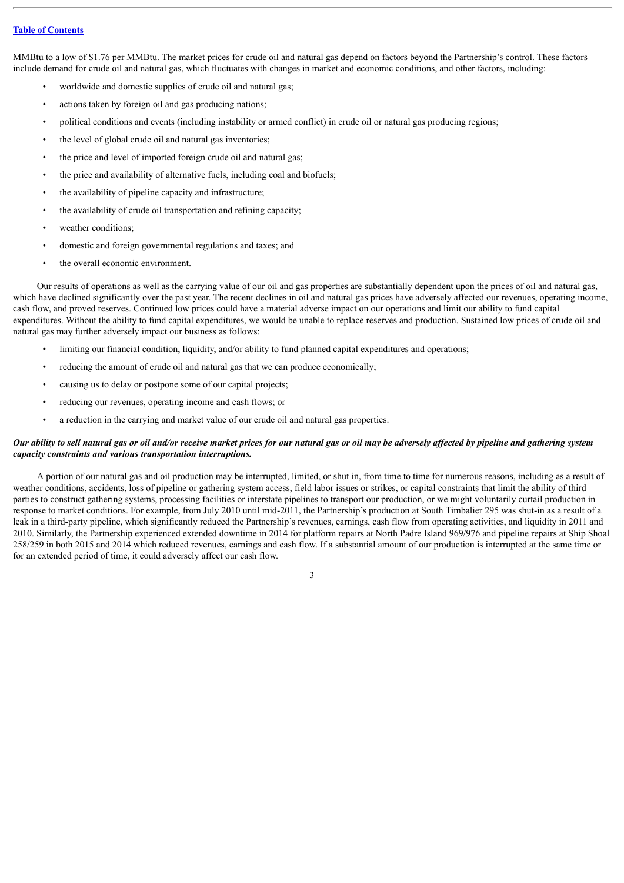MMBtu to a low of \$1.76 per MMBtu. The market prices for crude oil and natural gas depend on factors beyond the Partnership's control. These factors include demand for crude oil and natural gas, which fluctuates with changes in market and economic conditions, and other factors, including:

- worldwide and domestic supplies of crude oil and natural gas;
- actions taken by foreign oil and gas producing nations:
- political conditions and events (including instability or armed conflict) in crude oil or natural gas producing regions;
- the level of global crude oil and natural gas inventories;
- the price and level of imported foreign crude oil and natural gas;
- the price and availability of alternative fuels, including coal and biofuels;
- the availability of pipeline capacity and infrastructure;
- the availability of crude oil transportation and refining capacity;
- weather conditions;
- domestic and foreign governmental regulations and taxes; and
- the overall economic environment.

Our results of operations as well as the carrying value of our oil and gas properties are substantially dependent upon the prices of oil and natural gas, which have declined significantly over the past year. The recent declines in oil and natural gas prices have adversely affected our revenues, operating income, cash flow, and proved reserves. Continued low prices could have a material adverse impact on our operations and limit our ability to fund capital expenditures. Without the ability to fund capital expenditures, we would be unable to replace reserves and production. Sustained low prices of crude oil and natural gas may further adversely impact our business as follows:

- limiting our financial condition, liquidity, and/or ability to fund planned capital expenditures and operations;
- reducing the amount of crude oil and natural gas that we can produce economically;
- causing us to delay or postpone some of our capital projects;
- reducing our revenues, operating income and cash flows; or
- a reduction in the carrying and market value of our crude oil and natural gas properties.

## Our ability to sell natural gas or oil and/or receive market prices for our natural gas or oil may be adversely affected by pipeline and gathering system *capacity constraints and various transportation interruptions.*

A portion of our natural gas and oil production may be interrupted, limited, or shut in, from time to time for numerous reasons, including as a result of weather conditions, accidents, loss of pipeline or gathering system access, field labor issues or strikes, or capital constraints that limit the ability of third parties to construct gathering systems, processing facilities or interstate pipelines to transport our production, or we might voluntarily curtail production in response to market conditions. For example, from July 2010 until mid-2011, the Partnership's production at South Timbalier 295 was shut-in as a result of a leak in a third-party pipeline, which significantly reduced the Partnership's revenues, earnings, cash flow from operating activities, and liquidity in 2011 and 2010. Similarly, the Partnership experienced extended downtime in 2014 for platform repairs at North Padre Island 969/976 and pipeline repairs at Ship Shoal 258/259 in both 2015 and 2014 which reduced revenues, earnings and cash flow. If a substantial amount of our production is interrupted at the same time or for an extended period of time, it could adversely affect our cash flow.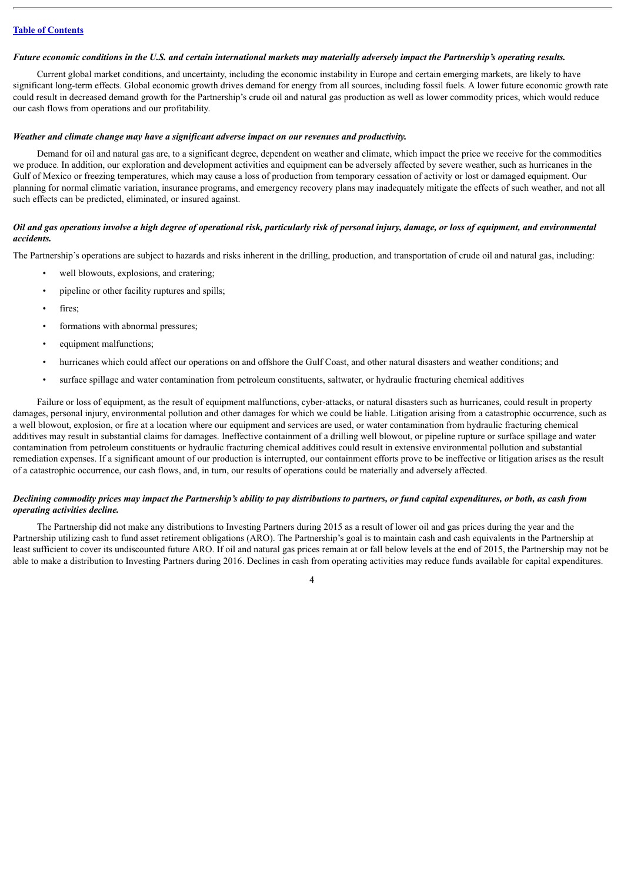#### Future economic conditions in the U.S. and certain international markets may materially adversely impact the Partnership's operating results.

Current global market conditions, and uncertainty, including the economic instability in Europe and certain emerging markets, are likely to have significant long-term effects. Global economic growth drives demand for energy from all sources, including fossil fuels. A lower future economic growth rate could result in decreased demand growth for the Partnership's crude oil and natural gas production as well as lower commodity prices, which would reduce our cash flows from operations and our profitability.

#### *Weather and climate change may have a significant adverse impact on our revenues and productivity.*

Demand for oil and natural gas are, to a significant degree, dependent on weather and climate, which impact the price we receive for the commodities we produce. In addition, our exploration and development activities and equipment can be adversely affected by severe weather, such as hurricanes in the Gulf of Mexico or freezing temperatures, which may cause a loss of production from temporary cessation of activity or lost or damaged equipment. Our planning for normal climatic variation, insurance programs, and emergency recovery plans may inadequately mitigate the effects of such weather, and not all such effects can be predicted, eliminated, or insured against.

#### Oil and gas operations involve a high degree of operational risk, particularly risk of personal injury, damage, or loss of equipment, and environmental *accidents.*

The Partnership's operations are subject to hazards and risks inherent in the drilling, production, and transportation of crude oil and natural gas, including:

- well blowouts, explosions, and cratering;
- pipeline or other facility ruptures and spills;
- fires:
- formations with abnormal pressures;
- equipment malfunctions;
- hurricanes which could affect our operations on and offshore the Gulf Coast, and other natural disasters and weather conditions; and
- surface spillage and water contamination from petroleum constituents, saltwater, or hydraulic fracturing chemical additives

Failure or loss of equipment, as the result of equipment malfunctions, cyber-attacks, or natural disasters such as hurricanes, could result in property damages, personal injury, environmental pollution and other damages for which we could be liable. Litigation arising from a catastrophic occurrence, such as a well blowout, explosion, or fire at a location where our equipment and services are used, or water contamination from hydraulic fracturing chemical additives may result in substantial claims for damages. Ineffective containment of a drilling well blowout, or pipeline rupture or surface spillage and water contamination from petroleum constituents or hydraulic fracturing chemical additives could result in extensive environmental pollution and substantial remediation expenses. If a significant amount of our production is interrupted, our containment efforts prove to be ineffective or litigation arises as the result of a catastrophic occurrence, our cash flows, and, in turn, our results of operations could be materially and adversely affected.

## Declining commodity prices may impact the Partnership's ability to pay distributions to partners, or fund capital expenditures, or both, as cash from *operating activities decline.*

The Partnership did not make any distributions to Investing Partners during 2015 as a result of lower oil and gas prices during the year and the Partnership utilizing cash to fund asset retirement obligations (ARO). The Partnership's goal is to maintain cash and cash equivalents in the Partnership at least sufficient to cover its undiscounted future ARO. If oil and natural gas prices remain at or fall below levels at the end of 2015, the Partnership may not be able to make a distribution to Investing Partners during 2016. Declines in cash from operating activities may reduce funds available for capital expenditures.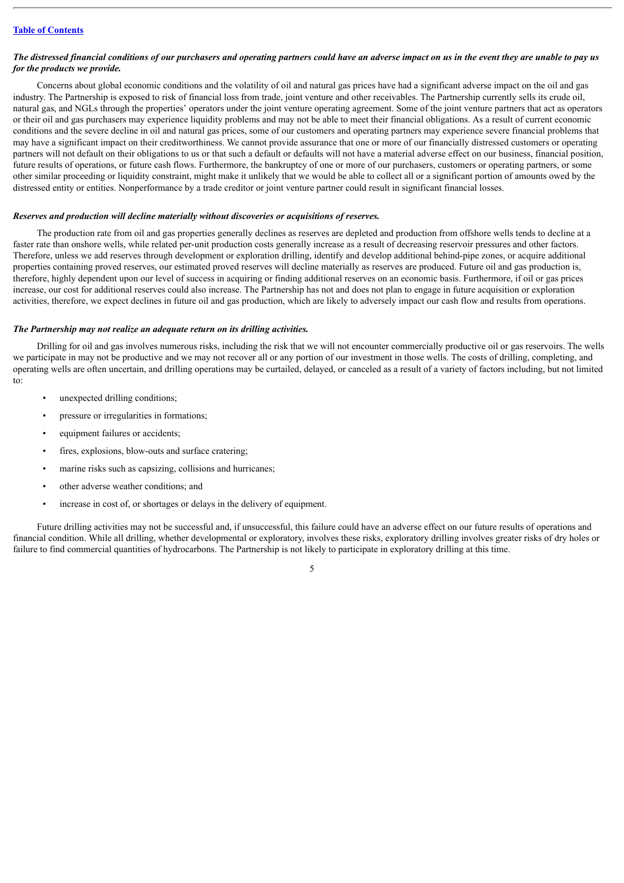#### The distressed financial conditions of our purchasers and operating partners could have an adverse impact on us in the event they are unable to pay us *for the products we provide.*

Concerns about global economic conditions and the volatility of oil and natural gas prices have had a significant adverse impact on the oil and gas industry. The Partnership is exposed to risk of financial loss from trade, joint venture and other receivables. The Partnership currently sells its crude oil, natural gas, and NGLs through the properties' operators under the joint venture operating agreement. Some of the joint venture partners that act as operators or their oil and gas purchasers may experience liquidity problems and may not be able to meet their financial obligations. As a result of current economic conditions and the severe decline in oil and natural gas prices, some of our customers and operating partners may experience severe financial problems that may have a significant impact on their creditworthiness. We cannot provide assurance that one or more of our financially distressed customers or operating partners will not default on their obligations to us or that such a default or defaults will not have a material adverse effect on our business, financial position, future results of operations, or future cash flows. Furthermore, the bankruptcy of one or more of our purchasers, customers or operating partners, or some other similar proceeding or liquidity constraint, might make it unlikely that we would be able to collect all or a significant portion of amounts owed by the distressed entity or entities. Nonperformance by a trade creditor or joint venture partner could result in significant financial losses.

#### *Reserves and production will decline materially without discoveries or acquisitions of reserves.*

The production rate from oil and gas properties generally declines as reserves are depleted and production from offshore wells tends to decline at a faster rate than onshore wells, while related per-unit production costs generally increase as a result of decreasing reservoir pressures and other factors. Therefore, unless we add reserves through development or exploration drilling, identify and develop additional behind-pipe zones, or acquire additional properties containing proved reserves, our estimated proved reserves will decline materially as reserves are produced. Future oil and gas production is, therefore, highly dependent upon our level of success in acquiring or finding additional reserves on an economic basis. Furthermore, if oil or gas prices increase, our cost for additional reserves could also increase. The Partnership has not and does not plan to engage in future acquisition or exploration activities, therefore, we expect declines in future oil and gas production, which are likely to adversely impact our cash flow and results from operations.

#### *The Partnership may not realize an adequate return on its drilling activities.*

Drilling for oil and gas involves numerous risks, including the risk that we will not encounter commercially productive oil or gas reservoirs. The wells we participate in may not be productive and we may not recover all or any portion of our investment in those wells. The costs of drilling, completing, and operating wells are often uncertain, and drilling operations may be curtailed, delayed, or canceled as a result of a variety of factors including, but not limited to:

- unexpected drilling conditions;
- pressure or irregularities in formations;
- equipment failures or accidents;
- fires, explosions, blow-outs and surface cratering;
- marine risks such as capsizing, collisions and hurricanes;
- other adverse weather conditions; and
- increase in cost of, or shortages or delays in the delivery of equipment.

Future drilling activities may not be successful and, if unsuccessful, this failure could have an adverse effect on our future results of operations and financial condition. While all drilling, whether developmental or exploratory, involves these risks, exploratory drilling involves greater risks of dry holes or failure to find commercial quantities of hydrocarbons. The Partnership is not likely to participate in exploratory drilling at this time.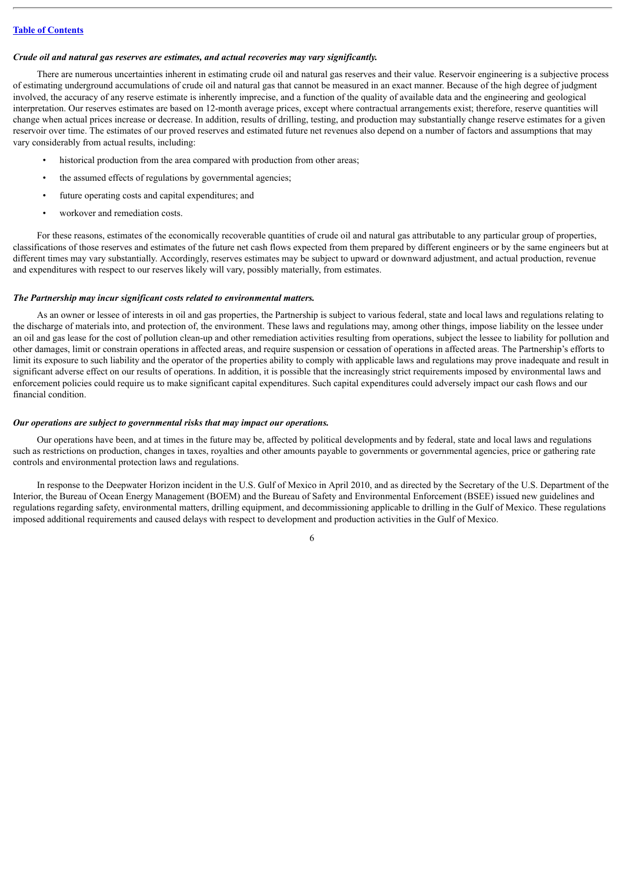#### *Crude oil and natural gas reserves are estimates, and actual recoveries may vary significantly.*

There are numerous uncertainties inherent in estimating crude oil and natural gas reserves and their value. Reservoir engineering is a subjective process of estimating underground accumulations of crude oil and natural gas that cannot be measured in an exact manner. Because of the high degree of judgment involved, the accuracy of any reserve estimate is inherently imprecise, and a function of the quality of available data and the engineering and geological interpretation. Our reserves estimates are based on 12-month average prices, except where contractual arrangements exist; therefore, reserve quantities will change when actual prices increase or decrease. In addition, results of drilling, testing, and production may substantially change reserve estimates for a given reservoir over time. The estimates of our proved reserves and estimated future net revenues also depend on a number of factors and assumptions that may vary considerably from actual results, including:

- historical production from the area compared with production from other areas;
- the assumed effects of regulations by governmental agencies;
- future operating costs and capital expenditures; and
- workover and remediation costs.

For these reasons, estimates of the economically recoverable quantities of crude oil and natural gas attributable to any particular group of properties, classifications of those reserves and estimates of the future net cash flows expected from them prepared by different engineers or by the same engineers but at different times may vary substantially. Accordingly, reserves estimates may be subject to upward or downward adjustment, and actual production, revenue and expenditures with respect to our reserves likely will vary, possibly materially, from estimates.

#### *The Partnership may incur significant costs related to environmental matters.*

As an owner or lessee of interests in oil and gas properties, the Partnership is subject to various federal, state and local laws and regulations relating to the discharge of materials into, and protection of, the environment. These laws and regulations may, among other things, impose liability on the lessee under an oil and gas lease for the cost of pollution clean-up and other remediation activities resulting from operations, subject the lessee to liability for pollution and other damages, limit or constrain operations in affected areas, and require suspension or cessation of operations in affected areas. The Partnership's efforts to limit its exposure to such liability and the operator of the properties ability to comply with applicable laws and regulations may prove inadequate and result in significant adverse effect on our results of operations. In addition, it is possible that the increasingly strict requirements imposed by environmental laws and enforcement policies could require us to make significant capital expenditures. Such capital expenditures could adversely impact our cash flows and our financial condition.

#### *Our operations are subject to governmental risks that may impact our operations.*

Our operations have been, and at times in the future may be, affected by political developments and by federal, state and local laws and regulations such as restrictions on production, changes in taxes, royalties and other amounts payable to governments or governmental agencies, price or gathering rate controls and environmental protection laws and regulations.

In response to the Deepwater Horizon incident in the U.S. Gulf of Mexico in April 2010, and as directed by the Secretary of the U.S. Department of the Interior, the Bureau of Ocean Energy Management (BOEM) and the Bureau of Safety and Environmental Enforcement (BSEE) issued new guidelines and regulations regarding safety, environmental matters, drilling equipment, and decommissioning applicable to drilling in the Gulf of Mexico. These regulations imposed additional requirements and caused delays with respect to development and production activities in the Gulf of Mexico.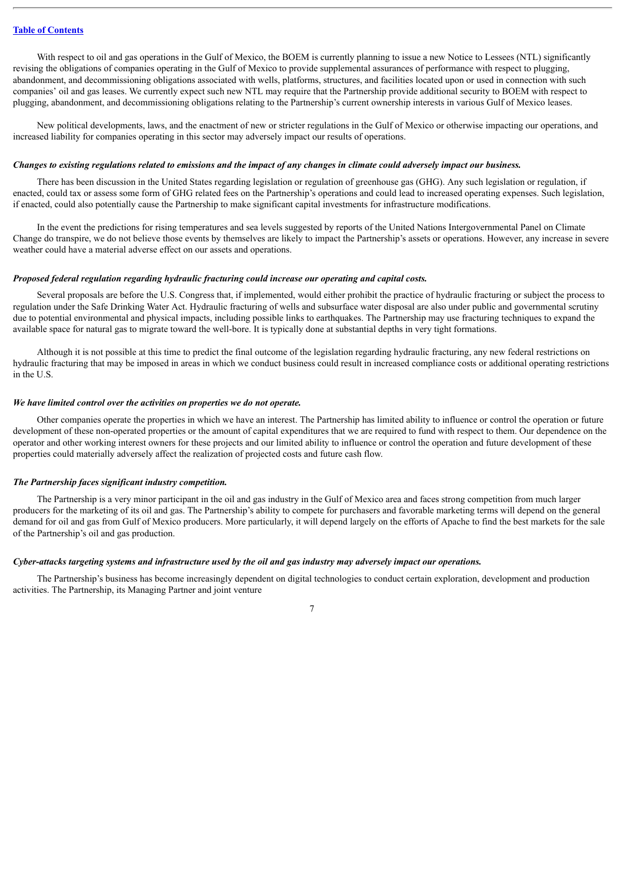With respect to oil and gas operations in the Gulf of Mexico, the BOEM is currently planning to issue a new Notice to Lessees (NTL) significantly revising the obligations of companies operating in the Gulf of Mexico to provide supplemental assurances of performance with respect to plugging, abandonment, and decommissioning obligations associated with wells, platforms, structures, and facilities located upon or used in connection with such companies' oil and gas leases. We currently expect such new NTL may require that the Partnership provide additional security to BOEM with respect to plugging, abandonment, and decommissioning obligations relating to the Partnership's current ownership interests in various Gulf of Mexico leases.

New political developments, laws, and the enactment of new or stricter regulations in the Gulf of Mexico or otherwise impacting our operations, and increased liability for companies operating in this sector may adversely impact our results of operations.

#### Changes to existing regulations related to emissions and the impact of any changes in climate could adversely impact our business.

There has been discussion in the United States regarding legislation or regulation of greenhouse gas (GHG). Any such legislation or regulation, if enacted, could tax or assess some form of GHG related fees on the Partnership's operations and could lead to increased operating expenses. Such legislation, if enacted, could also potentially cause the Partnership to make significant capital investments for infrastructure modifications.

In the event the predictions for rising temperatures and sea levels suggested by reports of the United Nations Intergovernmental Panel on Climate Change do transpire, we do not believe those events by themselves are likely to impact the Partnership's assets or operations. However, any increase in severe weather could have a material adverse effect on our assets and operations.

#### *Proposed federal regulation regarding hydraulic fracturing could increase our operating and capital costs.*

Several proposals are before the U.S. Congress that, if implemented, would either prohibit the practice of hydraulic fracturing or subject the process to regulation under the Safe Drinking Water Act. Hydraulic fracturing of wells and subsurface water disposal are also under public and governmental scrutiny due to potential environmental and physical impacts, including possible links to earthquakes. The Partnership may use fracturing techniques to expand the available space for natural gas to migrate toward the well-bore. It is typically done at substantial depths in very tight formations.

Although it is not possible at this time to predict the final outcome of the legislation regarding hydraulic fracturing, any new federal restrictions on hydraulic fracturing that may be imposed in areas in which we conduct business could result in increased compliance costs or additional operating restrictions in the U.S.

#### *We have limited control over the activities on properties we do not operate.*

Other companies operate the properties in which we have an interest. The Partnership has limited ability to influence or control the operation or future development of these non-operated properties or the amount of capital expenditures that we are required to fund with respect to them. Our dependence on the operator and other working interest owners for these projects and our limited ability to influence or control the operation and future development of these properties could materially adversely affect the realization of projected costs and future cash flow.

#### *The Partnership faces significant industry competition.*

The Partnership is a very minor participant in the oil and gas industry in the Gulf of Mexico area and faces strong competition from much larger producers for the marketing of its oil and gas. The Partnership's ability to compete for purchasers and favorable marketing terms will depend on the general demand for oil and gas from Gulf of Mexico producers. More particularly, it will depend largely on the efforts of Apache to find the best markets for the sale of the Partnership's oil and gas production.

#### Cyber-attacks targeting systems and infrastructure used by the oil and gas industry may adversely impact our operations.

The Partnership's business has become increasingly dependent on digital technologies to conduct certain exploration, development and production activities. The Partnership, its Managing Partner and joint venture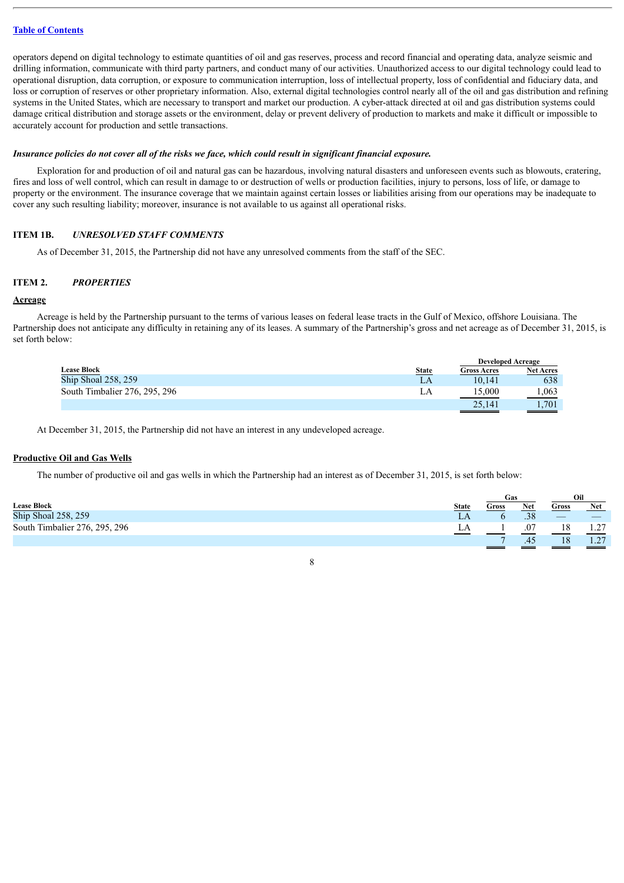operators depend on digital technology to estimate quantities of oil and gas reserves, process and record financial and operating data, analyze seismic and drilling information, communicate with third party partners, and conduct many of our activities. Unauthorized access to our digital technology could lead to operational disruption, data corruption, or exposure to communication interruption, loss of intellectual property, loss of confidential and fiduciary data, and loss or corruption of reserves or other proprietary information. Also, external digital technologies control nearly all of the oil and gas distribution and refining systems in the United States, which are necessary to transport and market our production. A cyber-attack directed at oil and gas distribution systems could damage critical distribution and storage assets or the environment, delay or prevent delivery of production to markets and make it difficult or impossible to accurately account for production and settle transactions.

#### Insurance policies do not cover all of the risks we face, which could result in significant financial exposure.

Exploration for and production of oil and natural gas can be hazardous, involving natural disasters and unforeseen events such as blowouts, cratering, fires and loss of well control, which can result in damage to or destruction of wells or production facilities, injury to persons, loss of life, or damage to property or the environment. The insurance coverage that we maintain against certain losses or liabilities arising from our operations may be inadequate to cover any such resulting liability; moreover, insurance is not available to us against all operational risks.

#### **ITEM 1B.** *UNRESOLVED STAFF COMMENTS*

<span id="page-11-1"></span><span id="page-11-0"></span>As of December 31, 2015, the Partnership did not have any unresolved comments from the staff of the SEC.

#### **ITEM 2.** *PROPERTIES*

#### **Acreage**

Acreage is held by the Partnership pursuant to the terms of various leases on federal lease tracts in the Gulf of Mexico, offshore Louisiana. The Partnership does not anticipate any difficulty in retaining any of its leases. A summary of the Partnership's gross and net acreage as of December 31, 2015, is set forth below:

|                               |              | <b>Developed Acreage</b> |                  |
|-------------------------------|--------------|--------------------------|------------------|
| <b>Lease Block</b>            | <b>State</b> | Gross Acres              | <b>Net Acres</b> |
| <b>Ship Shoal 258, 259</b>    |              | 10.141                   | 638              |
| South Timbalier 276, 295, 296 |              | .5,000                   | .063             |
|                               |              | 25,141                   | .701             |

At December 31, 2015, the Partnership did not have an interest in any undeveloped acreage.

#### **Productive Oil and Gas Wells**

The number of productive oil and gas wells in which the Partnership had an interest as of December 31, 2015, is set forth below:

|                               |              | Gas   |                 | Oil   |                                                            |
|-------------------------------|--------------|-------|-----------------|-------|------------------------------------------------------------|
| <b>Lease Block</b>            | <b>State</b> | Gross | Net             | Gross | Net                                                        |
| Ship Shoal 258, 259           |              |       | $\Omega$<br>.38 |       |                                                            |
| South Timbalier 276, 295, 296 |              |       |                 | 18    | $\sim$<br>$\blacksquare$ . $\blacktriangle$ $\blacksquare$ |
|                               |              |       | д.              | 18    | $\sqrt{2}$<br>$\overline{1}$ . $\overline{2}$              |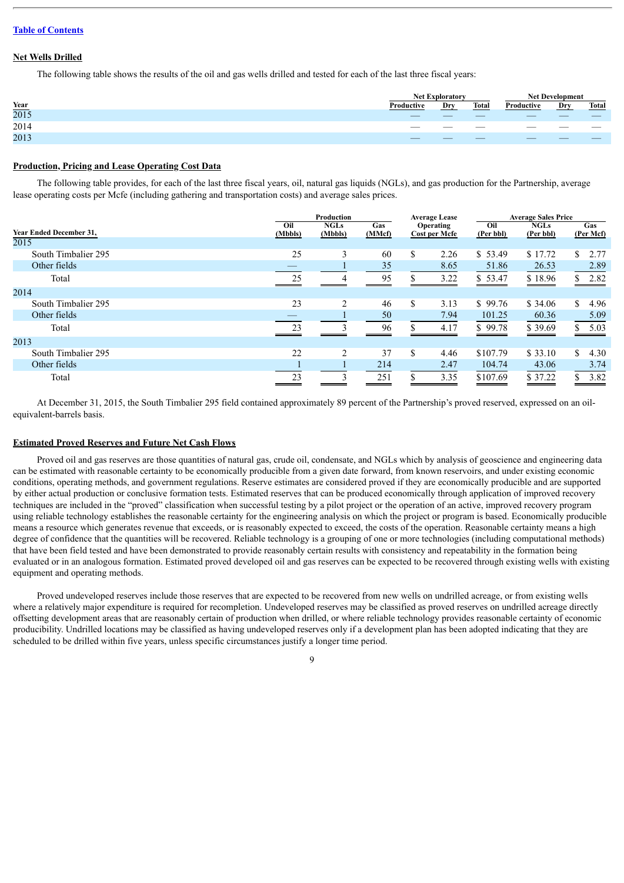#### **Net Wells Drilled**

The following table shows the results of the oil and gas wells drilled and tested for each of the last three fiscal years:

|                            |            | Net Exploratorv |              |            | Net Development |              |  |
|----------------------------|------------|-----------------|--------------|------------|-----------------|--------------|--|
|                            | Productive | Drv             | <b>Total</b> | Productive | Drv             | <b>Total</b> |  |
| $\frac{\text{Year}}{2015}$ |            |                 |              |            |                 |              |  |
| 2014                       | __         |                 |              |            |                 |              |  |
| 2013                       | __         |                 |              |            |                 |              |  |
|                            |            |                 |              |            |                 |              |  |

#### **Production, Pricing and Lease Operating Cost Data**

The following table provides, for each of the last three fiscal years, oil, natural gas liquids (NGLs), and gas production for the Partnership, average lease operating costs per Mcfe (including gathering and transportation costs) and average sales prices.

|                         |                | Production             |               | <b>Average Lease</b>              |                  | <b>Average Sales Price</b> |                      |
|-------------------------|----------------|------------------------|---------------|-----------------------------------|------------------|----------------------------|----------------------|
| Year Ended December 31, | Oil<br>(Mbbls) | <b>NGLs</b><br>(Mbbls) | Gas<br>(MMcf) | Operating<br><b>Cost per Mcfe</b> | Oil<br>(Per bbl) | <b>NGLs</b><br>(Per bbl)   | Gas<br>(Per Mcf)     |
| 2015                    |                |                        |               |                                   |                  |                            |                      |
| South Timbalier 295     | 25             | 3                      | 60            | \$<br>2.26                        | \$53.49          | \$17.72                    | 2.77<br>\$.          |
| Other fields            |                |                        | 35            | 8.65                              | 51.86            | 26.53                      | 2.89                 |
| Total                   | 25             |                        | 95            | 3.22                              | \$53.47          | \$18.96                    | 2.82<br>S.           |
| 2014                    |                |                        |               |                                   |                  |                            |                      |
| South Timbalier 295     | 23             | $\overline{2}$         | 46            | \$<br>3.13                        | \$99.76          | \$34.06                    | $\mathbf{s}$<br>4.96 |
| Other fields            |                |                        | 50            | 7.94                              | 101.25           | 60.36                      | 5.09                 |
| Total                   | 23             |                        | 96            | 4.17                              | \$99.78          | \$39.69                    | 5.03                 |
| 2013                    |                |                        |               |                                   |                  |                            |                      |
| South Timbalier 295     | 22             | $\mathfrak{D}$         | 37            | \$<br>4.46                        | \$107.79         | \$33.10                    | \$<br>4.30           |
| Other fields            |                |                        | 214           | 2.47                              | 104.74           | 43.06                      | 3.74                 |
| Total                   | 23             |                        | 251           | 3.35                              | \$107.69         | \$37.22                    | 3.82                 |

At December 31, 2015, the South Timbalier 295 field contained approximately 89 percent of the Partnership's proved reserved, expressed on an oilequivalent-barrels basis.

#### **Estimated Proved Reserves and Future Net Cash Flows**

Proved oil and gas reserves are those quantities of natural gas, crude oil, condensate, and NGLs which by analysis of geoscience and engineering data can be estimated with reasonable certainty to be economically producible from a given date forward, from known reservoirs, and under existing economic conditions, operating methods, and government regulations. Reserve estimates are considered proved if they are economically producible and are supported by either actual production or conclusive formation tests. Estimated reserves that can be produced economically through application of improved recovery techniques are included in the "proved" classification when successful testing by a pilot project or the operation of an active, improved recovery program using reliable technology establishes the reasonable certainty for the engineering analysis on which the project or program is based. Economically producible means a resource which generates revenue that exceeds, or is reasonably expected to exceed, the costs of the operation. Reasonable certainty means a high degree of confidence that the quantities will be recovered. Reliable technology is a grouping of one or more technologies (including computational methods) that have been field tested and have been demonstrated to provide reasonably certain results with consistency and repeatability in the formation being evaluated or in an analogous formation. Estimated proved developed oil and gas reserves can be expected to be recovered through existing wells with existing equipment and operating methods.

Proved undeveloped reserves include those reserves that are expected to be recovered from new wells on undrilled acreage, or from existing wells where a relatively major expenditure is required for recompletion. Undeveloped reserves may be classified as proved reserves on undrilled acreage directly offsetting development areas that are reasonably certain of production when drilled, or where reliable technology provides reasonable certainty of economic producibility. Undrilled locations may be classified as having undeveloped reserves only if a development plan has been adopted indicating that they are scheduled to be drilled within five years, unless specific circumstances justify a longer time period.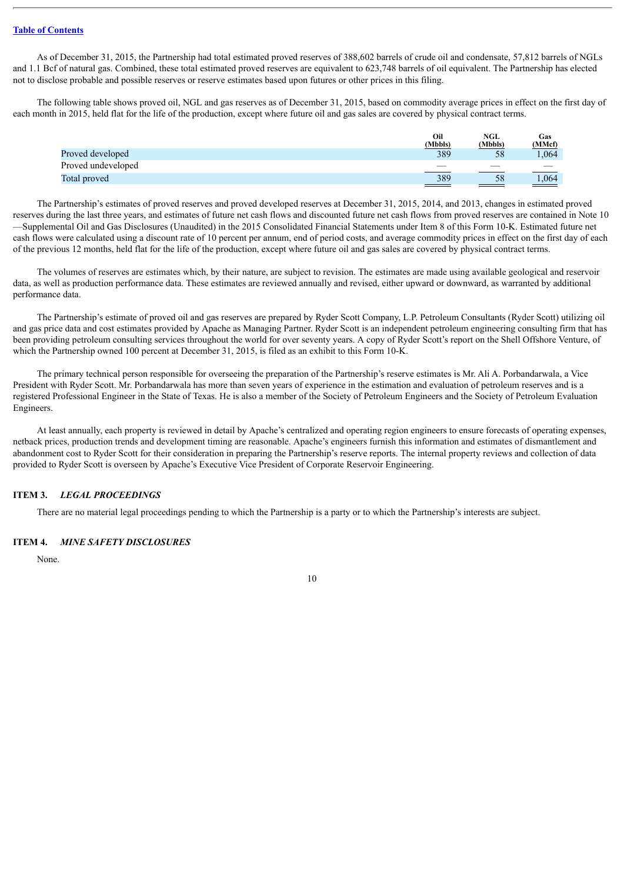As of December 31, 2015, the Partnership had total estimated proved reserves of 388,602 barrels of crude oil and condensate, 57,812 barrels of NGLs and 1.1 Bcf of natural gas. Combined, these total estimated proved reserves are equivalent to 623,748 barrels of oil equivalent. The Partnership has elected not to disclose probable and possible reserves or reserve estimates based upon futures or other prices in this filing.

The following table shows proved oil, NGL and gas reserves as of December 31, 2015, based on commodity average prices in effect on the first day of each month in 2015, held flat for the life of the production, except where future oil and gas sales are covered by physical contract terms.

| Oil                | NGL     | Gas         |
|--------------------|---------|-------------|
| (Mbbls)            | (Mbbls) | (MMcf)      |
| Proved developed   | 389     | .064<br>58  |
| Proved undeveloped |         |             |
| Total proved       | 389     | 1,064<br>58 |

The Partnership's estimates of proved reserves and proved developed reserves at December 31, 2015, 2014, and 2013, changes in estimated proved reserves during the last three years, and estimates of future net cash flows and discounted future net cash flows from proved reserves are contained in Note 10 —Supplemental Oil and Gas Disclosures (Unaudited) in the 2015 Consolidated Financial Statements under Item 8 of this Form 10-K. Estimated future net cash flows were calculated using a discount rate of 10 percent per annum, end of period costs, and average commodity prices in effect on the first day of each of the previous 12 months, held flat for the life of the production, except where future oil and gas sales are covered by physical contract terms.

The volumes of reserves are estimates which, by their nature, are subject to revision. The estimates are made using available geological and reservoir data, as well as production performance data. These estimates are reviewed annually and revised, either upward or downward, as warranted by additional performance data.

The Partnership's estimate of proved oil and gas reserves are prepared by Ryder Scott Company, L.P. Petroleum Consultants (Ryder Scott) utilizing oil and gas price data and cost estimates provided by Apache as Managing Partner. Ryder Scott is an independent petroleum engineering consulting firm that has been providing petroleum consulting services throughout the world for over seventy years. A copy of Ryder Scott's report on the Shell Offshore Venture, of which the Partnership owned 100 percent at December 31, 2015, is filed as an exhibit to this Form 10-K.

The primary technical person responsible for overseeing the preparation of the Partnership's reserve estimates is Mr. Ali A. Porbandarwala, a Vice President with Ryder Scott. Mr. Porbandarwala has more than seven years of experience in the estimation and evaluation of petroleum reserves and is a registered Professional Engineer in the State of Texas. He is also a member of the Society of Petroleum Engineers and the Society of Petroleum Evaluation Engineers.

At least annually, each property is reviewed in detail by Apache's centralized and operating region engineers to ensure forecasts of operating expenses, netback prices, production trends and development timing are reasonable. Apache's engineers furnish this information and estimates of dismantlement and abandonment cost to Ryder Scott for their consideration in preparing the Partnership's reserve reports. The internal property reviews and collection of data provided to Ryder Scott is overseen by Apache's Executive Vice President of Corporate Reservoir Engineering.

## **ITEM 3.** *LEGAL PROCEEDINGS*

<span id="page-13-0"></span>There are no material legal proceedings pending to which the Partnership is a party or to which the Partnership's interests are subject.

## **ITEM 4.** *MINE SAFETY DISCLOSURES*

<span id="page-13-1"></span>None.

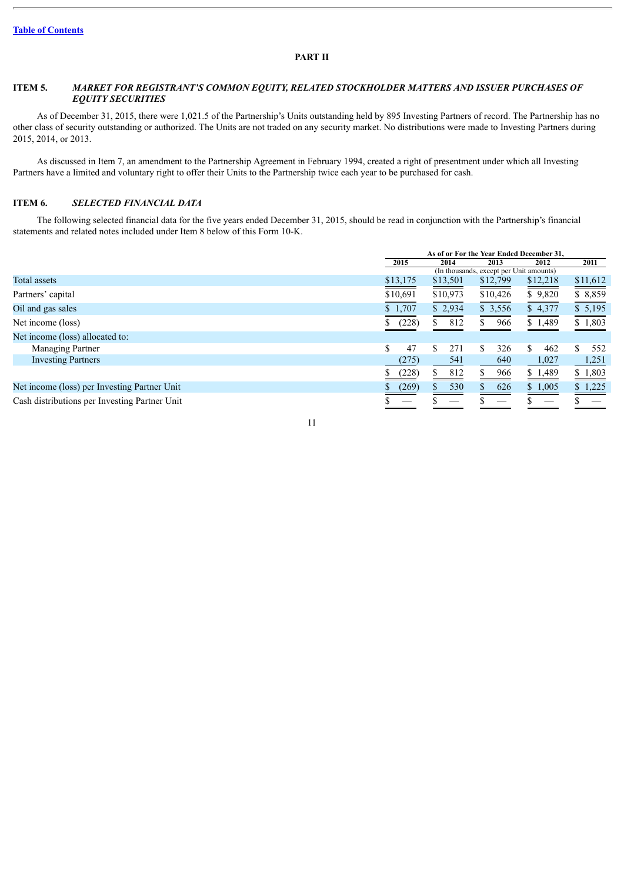## **PART II**

## <span id="page-14-1"></span><span id="page-14-0"></span>**ITEM 5.** *MARKET FOR REGISTRANT'S COMMON EQUITY, RELATED STOCKHOLDER MATTERS AND ISSUER PURCHASES OF EQUITY SECURITIES*

As of December 31, 2015, there were 1,021.5 of the Partnership's Units outstanding held by 895 Investing Partners of record. The Partnership has no other class of security outstanding or authorized. The Units are not traded on any security market. No distributions were made to Investing Partners during 2015, 2014, or 2013.

As discussed in Item 7, an amendment to the Partnership Agreement in February 1994, created a right of presentment under which all Investing Partners have a limited and voluntary right to offer their Units to the Partnership twice each year to be purchased for cash.

## <span id="page-14-2"></span>**ITEM 6.** *SELECTED FINANCIAL DATA*

The following selected financial data for the five years ended December 31, 2015, should be read in conjunction with the Partnership's financial statements and related notes included under Item 8 below of this Form 10-K.

|                                               |          |           | As of or For the Year Ended December 31. |          |          |
|-----------------------------------------------|----------|-----------|------------------------------------------|----------|----------|
|                                               | 2015     | 2014      | 2013                                     | 2012     | 2011     |
|                                               |          |           | (In thousands, except per Unit amounts)  |          |          |
| Total assets                                  | \$13,175 | \$13,501  | \$12,799                                 | \$12,218 | \$11,612 |
| Partners' capital                             | \$10,691 | \$10,973  | \$10,426                                 | \$9,820  | \$ 8,859 |
| Oil and gas sales                             | \$1,707  | \$2,934   | \$3,556                                  | \$4,377  | \$5,195  |
| Net income (loss)                             | (228)    | 812<br>S. | 966<br>Ъ.                                | \$1,489  | \$1,803  |
| Net income (loss) allocated to:               |          |           |                                          |          |          |
| <b>Managing Partner</b>                       | 47       | 271<br>ъ. | 326                                      | 462      | 552      |
| <b>Investing Partners</b>                     | (275)    | 541       | 640                                      | 1,027    | 1,251    |
|                                               | (228)    | 812<br>S. | 966                                      | \$1,489  | \$1,803  |
| Net income (loss) per Investing Partner Unit  | (269)    | 530       | 626                                      | \$1,005  | \$1,225  |
| Cash distributions per Investing Partner Unit |          |           |                                          |          |          |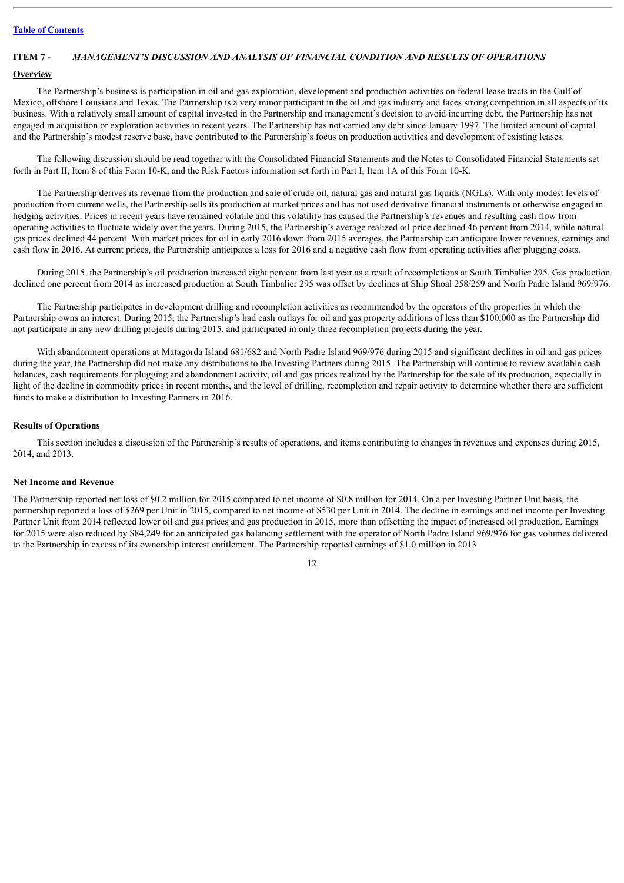#### <span id="page-15-0"></span>**ITEM 7 -** *MANAGEMENT'S DISCUSSION AND ANALYSIS OF FINANCIAL CONDITION AND RESULTS OF OPERATIONS*

#### **Overview**

The Partnership's business is participation in oil and gas exploration, development and production activities on federal lease tracts in the Gulf of Mexico, offshore Louisiana and Texas. The Partnership is a very minor participant in the oil and gas industry and faces strong competition in all aspects of its business. With a relatively small amount of capital invested in the Partnership and management's decision to avoid incurring debt, the Partnership has not engaged in acquisition or exploration activities in recent years. The Partnership has not carried any debt since January 1997. The limited amount of capital and the Partnership's modest reserve base, have contributed to the Partnership's focus on production activities and development of existing leases.

The following discussion should be read together with the Consolidated Financial Statements and the Notes to Consolidated Financial Statements set forth in Part II, Item 8 of this Form 10-K, and the Risk Factors information set forth in Part I, Item 1A of this Form 10-K.

The Partnership derives its revenue from the production and sale of crude oil, natural gas and natural gas liquids (NGLs). With only modest levels of production from current wells, the Partnership sells its production at market prices and has not used derivative financial instruments or otherwise engaged in hedging activities. Prices in recent years have remained volatile and this volatility has caused the Partnership's revenues and resulting cash flow from operating activities to fluctuate widely over the years. During 2015, the Partnership's average realized oil price declined 46 percent from 2014, while natural gas prices declined 44 percent. With market prices for oil in early 2016 down from 2015 averages, the Partnership can anticipate lower revenues, earnings and cash flow in 2016. At current prices, the Partnership anticipates a loss for 2016 and a negative cash flow from operating activities after plugging costs.

During 2015, the Partnership's oil production increased eight percent from last year as a result of recompletions at South Timbalier 295. Gas production declined one percent from 2014 as increased production at South Timbalier 295 was offset by declines at Ship Shoal 258/259 and North Padre Island 969/976.

The Partnership participates in development drilling and recompletion activities as recommended by the operators of the properties in which the Partnership owns an interest. During 2015, the Partnership's had cash outlays for oil and gas property additions of less than \$100,000 as the Partnership did not participate in any new drilling projects during 2015, and participated in only three recompletion projects during the year.

With abandonment operations at Matagorda Island 681/682 and North Padre Island 969/976 during 2015 and significant declines in oil and gas prices during the year, the Partnership did not make any distributions to the Investing Partners during 2015. The Partnership will continue to review available cash balances, cash requirements for plugging and abandonment activity, oil and gas prices realized by the Partnership for the sale of its production, especially in light of the decline in commodity prices in recent months, and the level of drilling, recompletion and repair activity to determine whether there are sufficient funds to make a distribution to Investing Partners in 2016.

#### **Results of Operations**

This section includes a discussion of the Partnership's results of operations, and items contributing to changes in revenues and expenses during 2015, 2014, and 2013.

#### **Net Income and Revenue**

The Partnership reported net loss of \$0.2 million for 2015 compared to net income of \$0.8 million for 2014. On a per Investing Partner Unit basis, the partnership reported a loss of \$269 per Unit in 2015, compared to net income of \$530 per Unit in 2014. The decline in earnings and net income per Investing Partner Unit from 2014 reflected lower oil and gas prices and gas production in 2015, more than offsetting the impact of increased oil production. Earnings for 2015 were also reduced by \$84,249 for an anticipated gas balancing settlement with the operator of North Padre Island 969/976 for gas volumes delivered to the Partnership in excess of its ownership interest entitlement. The Partnership reported earnings of \$1.0 million in 2013.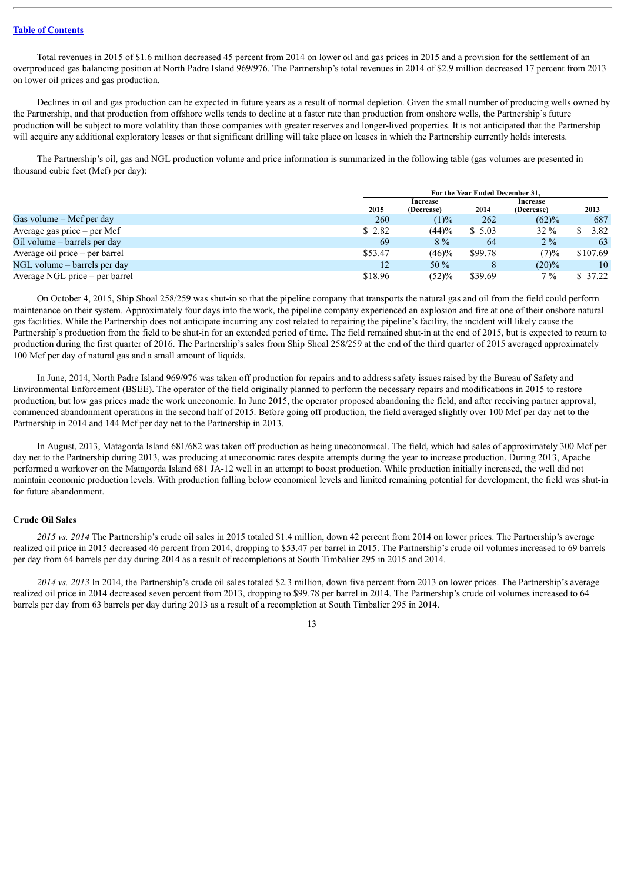Total revenues in 2015 of \$1.6 million decreased 45 percent from 2014 on lower oil and gas prices in 2015 and a provision for the settlement of an overproduced gas balancing position at North Padre Island 969/976. The Partnership's total revenues in 2014 of \$2.9 million decreased 17 percent from 2013 on lower oil prices and gas production.

Declines in oil and gas production can be expected in future years as a result of normal depletion. Given the small number of producing wells owned by the Partnership, and that production from offshore wells tends to decline at a faster rate than production from onshore wells, the Partnership's future production will be subject to more volatility than those companies with greater reserves and longer-lived properties. It is not anticipated that the Partnership will acquire any additional exploratory leases or that significant drilling will take place on leases in which the Partnership currently holds interests.

The Partnership's oil, gas and NGL production volume and price information is summarized in the following table (gas volumes are presented in thousand cubic feet (Mcf) per day):

|                                |         | For the Year Ended December 31, |         |                 |          |  |  |
|--------------------------------|---------|---------------------------------|---------|-----------------|----------|--|--|
|                                |         | <b>Increase</b>                 |         | <b>Increase</b> |          |  |  |
|                                | 2015    | (Decrease)                      | 2014    | (Decrease)      | 2013     |  |  |
| Gas volume $-$ Mcf per day     | 260     | (1)%                            | 262     | (62)%           | 687      |  |  |
| Average gas price $-$ per Mcf  | \$2.82  | (44)%                           | \$5.03  | $32\%$          | 3.82     |  |  |
| Oil volume – barrels per day   | 69      | $8\%$                           | 64      | $2\%$           | 63       |  |  |
| Average oil price – per barrel | \$53.47 | $(46)\%$                        | \$99.78 | (7)%            | \$107.69 |  |  |
| NGL volume – barrels per day   | 12      | $50\%$                          | 8       | $(20)\%$        | 10       |  |  |
| Average NGL price – per barrel | \$18.96 | (52)%                           | \$39.69 | $7\%$           | \$37.22  |  |  |

On October 4, 2015, Ship Shoal 258/259 was shut-in so that the pipeline company that transports the natural gas and oil from the field could perform maintenance on their system. Approximately four days into the work, the pipeline company experienced an explosion and fire at one of their onshore natural gas facilities. While the Partnership does not anticipate incurring any cost related to repairing the pipeline's facility, the incident will likely cause the Partnership's production from the field to be shut-in for an extended period of time. The field remained shut-in at the end of 2015, but is expected to return to production during the first quarter of 2016. The Partnership's sales from Ship Shoal 258/259 at the end of the third quarter of 2015 averaged approximately 100 Mcf per day of natural gas and a small amount of liquids.

In June, 2014, North Padre Island 969/976 was taken off production for repairs and to address safety issues raised by the Bureau of Safety and Environmental Enforcement (BSEE). The operator of the field originally planned to perform the necessary repairs and modifications in 2015 to restore production, but low gas prices made the work uneconomic. In June 2015, the operator proposed abandoning the field, and after receiving partner approval, commenced abandonment operations in the second half of 2015. Before going off production, the field averaged slightly over 100 Mcf per day net to the Partnership in 2014 and 144 Mcf per day net to the Partnership in 2013.

In August, 2013, Matagorda Island 681/682 was taken off production as being uneconomical. The field, which had sales of approximately 300 Mcf per day net to the Partnership during 2013, was producing at uneconomic rates despite attempts during the year to increase production. During 2013, Apache performed a workover on the Matagorda Island 681 JA-12 well in an attempt to boost production. While production initially increased, the well did not maintain economic production levels. With production falling below economical levels and limited remaining potential for development, the field was shut-in for future abandonment.

#### **Crude Oil Sales**

*2015 vs. 2014* The Partnership's crude oil sales in 2015 totaled \$1.4 million, down 42 percent from 2014 on lower prices. The Partnership's average realized oil price in 2015 decreased 46 percent from 2014, dropping to \$53.47 per barrel in 2015. The Partnership's crude oil volumes increased to 69 barrels per day from 64 barrels per day during 2014 as a result of recompletions at South Timbalier 295 in 2015 and 2014.

*2014 vs. 2013* In 2014, the Partnership's crude oil sales totaled \$2.3 million, down five percent from 2013 on lower prices. The Partnership's average realized oil price in 2014 decreased seven percent from 2013, dropping to \$99.78 per barrel in 2014. The Partnership's crude oil volumes increased to 64 barrels per day from 63 barrels per day during 2013 as a result of a recompletion at South Timbalier 295 in 2014.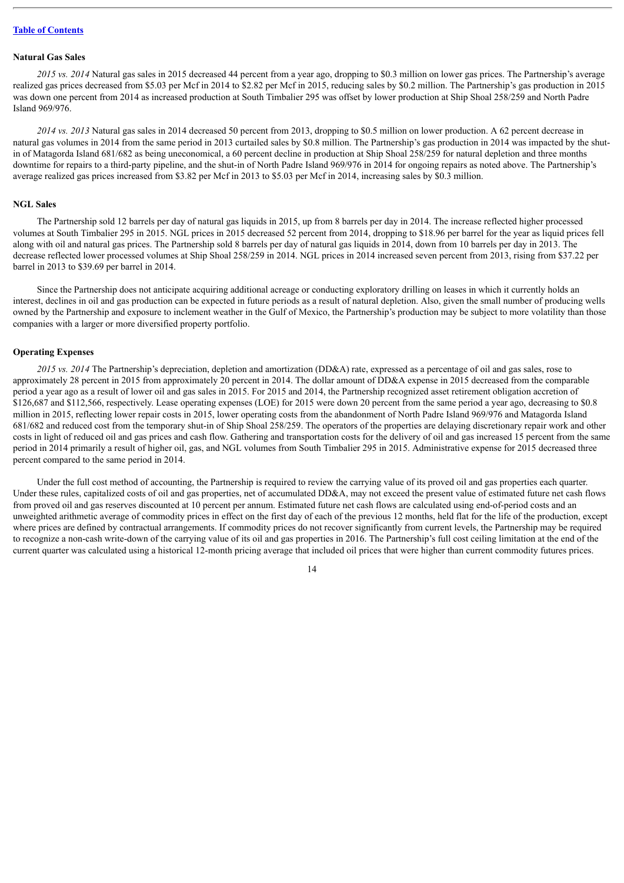#### **Natural Gas Sales**

*2015 vs. 2014* Natural gas sales in 2015 decreased 44 percent from a year ago, dropping to \$0.3 million on lower gas prices. The Partnership's average realized gas prices decreased from \$5.03 per Mcf in 2014 to \$2.82 per Mcf in 2015, reducing sales by \$0.2 million. The Partnership's gas production in 2015 was down one percent from 2014 as increased production at South Timbalier 295 was offset by lower production at Ship Shoal 258/259 and North Padre Island 969/976.

*2014 vs. 2013* Natural gas sales in 2014 decreased 50 percent from 2013, dropping to \$0.5 million on lower production. A 62 percent decrease in natural gas volumes in 2014 from the same period in 2013 curtailed sales by \$0.8 million. The Partnership's gas production in 2014 was impacted by the shutin of Matagorda Island 681/682 as being uneconomical, a 60 percent decline in production at Ship Shoal 258/259 for natural depletion and three months downtime for repairs to a third-party pipeline, and the shut-in of North Padre Island 969/976 in 2014 for ongoing repairs as noted above. The Partnership's average realized gas prices increased from \$3.82 per Mcf in 2013 to \$5.03 per Mcf in 2014, increasing sales by \$0.3 million.

#### **NGL Sales**

The Partnership sold 12 barrels per day of natural gas liquids in 2015, up from 8 barrels per day in 2014. The increase reflected higher processed volumes at South Timbalier 295 in 2015. NGL prices in 2015 decreased 52 percent from 2014, dropping to \$18.96 per barrel for the year as liquid prices fell along with oil and natural gas prices. The Partnership sold 8 barrels per day of natural gas liquids in 2014, down from 10 barrels per day in 2013. The decrease reflected lower processed volumes at Ship Shoal 258/259 in 2014. NGL prices in 2014 increased seven percent from 2013, rising from \$37.22 per barrel in 2013 to \$39.69 per barrel in 2014.

Since the Partnership does not anticipate acquiring additional acreage or conducting exploratory drilling on leases in which it currently holds an interest, declines in oil and gas production can be expected in future periods as a result of natural depletion. Also, given the small number of producing wells owned by the Partnership and exposure to inclement weather in the Gulf of Mexico, the Partnership's production may be subject to more volatility than those companies with a larger or more diversified property portfolio.

#### **Operating Expenses**

*2015 vs. 2014* The Partnership's depreciation, depletion and amortization (DD&A) rate, expressed as a percentage of oil and gas sales, rose to approximately 28 percent in 2015 from approximately 20 percent in 2014. The dollar amount of DD&A expense in 2015 decreased from the comparable period a year ago as a result of lower oil and gas sales in 2015. For 2015 and 2014, the Partnership recognized asset retirement obligation accretion of \$126,687 and \$112,566, respectively. Lease operating expenses (LOE) for 2015 were down 20 percent from the same period a year ago, decreasing to \$0.8 million in 2015, reflecting lower repair costs in 2015, lower operating costs from the abandonment of North Padre Island 969/976 and Matagorda Island 681/682 and reduced cost from the temporary shut-in of Ship Shoal 258/259. The operators of the properties are delaying discretionary repair work and other costs in light of reduced oil and gas prices and cash flow. Gathering and transportation costs for the delivery of oil and gas increased 15 percent from the same period in 2014 primarily a result of higher oil, gas, and NGL volumes from South Timbalier 295 in 2015. Administrative expense for 2015 decreased three percent compared to the same period in 2014.

Under the full cost method of accounting, the Partnership is required to review the carrying value of its proved oil and gas properties each quarter. Under these rules, capitalized costs of oil and gas properties, net of accumulated DD&A, may not exceed the present value of estimated future net cash flows from proved oil and gas reserves discounted at 10 percent per annum. Estimated future net cash flows are calculated using end-of-period costs and an unweighted arithmetic average of commodity prices in effect on the first day of each of the previous 12 months, held flat for the life of the production, except where prices are defined by contractual arrangements. If commodity prices do not recover significantly from current levels, the Partnership may be required to recognize a non-cash write-down of the carrying value of its oil and gas properties in 2016. The Partnership's full cost ceiling limitation at the end of the current quarter was calculated using a historical 12-month pricing average that included oil prices that were higher than current commodity futures prices.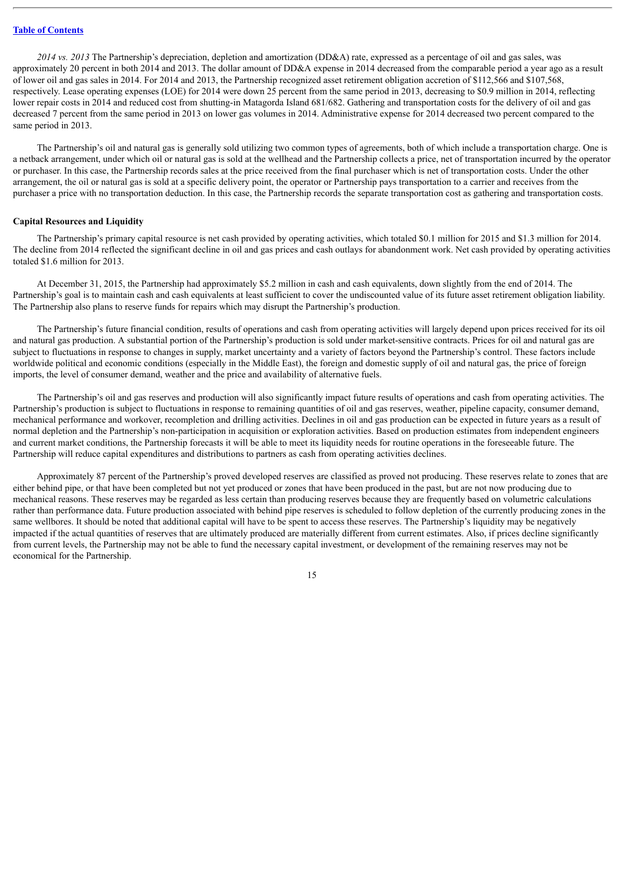*2014 vs. 2013* The Partnership's depreciation, depletion and amortization (DD&A) rate, expressed as a percentage of oil and gas sales, was approximately 20 percent in both 2014 and 2013. The dollar amount of DD&A expense in 2014 decreased from the comparable period a year ago as a result of lower oil and gas sales in 2014. For 2014 and 2013, the Partnership recognized asset retirement obligation accretion of \$112,566 and \$107,568, respectively. Lease operating expenses (LOE) for 2014 were down 25 percent from the same period in 2013, decreasing to \$0.9 million in 2014, reflecting lower repair costs in 2014 and reduced cost from shutting-in Matagorda Island 681/682. Gathering and transportation costs for the delivery of oil and gas decreased 7 percent from the same period in 2013 on lower gas volumes in 2014. Administrative expense for 2014 decreased two percent compared to the same period in 2013.

The Partnership's oil and natural gas is generally sold utilizing two common types of agreements, both of which include a transportation charge. One is a netback arrangement, under which oil or natural gas is sold at the wellhead and the Partnership collects a price, net of transportation incurred by the operator or purchaser. In this case, the Partnership records sales at the price received from the final purchaser which is net of transportation costs. Under the other arrangement, the oil or natural gas is sold at a specific delivery point, the operator or Partnership pays transportation to a carrier and receives from the purchaser a price with no transportation deduction. In this case, the Partnership records the separate transportation cost as gathering and transportation costs.

#### **Capital Resources and Liquidity**

The Partnership's primary capital resource is net cash provided by operating activities, which totaled \$0.1 million for 2015 and \$1.3 million for 2014. The decline from 2014 reflected the significant decline in oil and gas prices and cash outlays for abandonment work. Net cash provided by operating activities totaled \$1.6 million for 2013.

At December 31, 2015, the Partnership had approximately \$5.2 million in cash and cash equivalents, down slightly from the end of 2014. The Partnership's goal is to maintain cash and cash equivalents at least sufficient to cover the undiscounted value of its future asset retirement obligation liability. The Partnership also plans to reserve funds for repairs which may disrupt the Partnership's production.

The Partnership's future financial condition, results of operations and cash from operating activities will largely depend upon prices received for its oil and natural gas production. A substantial portion of the Partnership's production is sold under market-sensitive contracts. Prices for oil and natural gas are subject to fluctuations in response to changes in supply, market uncertainty and a variety of factors beyond the Partnership's control. These factors include worldwide political and economic conditions (especially in the Middle East), the foreign and domestic supply of oil and natural gas, the price of foreign imports, the level of consumer demand, weather and the price and availability of alternative fuels.

The Partnership's oil and gas reserves and production will also significantly impact future results of operations and cash from operating activities. The Partnership's production is subject to fluctuations in response to remaining quantities of oil and gas reserves, weather, pipeline capacity, consumer demand, mechanical performance and workover, recompletion and drilling activities. Declines in oil and gas production can be expected in future years as a result of normal depletion and the Partnership's non-participation in acquisition or exploration activities. Based on production estimates from independent engineers and current market conditions, the Partnership forecasts it will be able to meet its liquidity needs for routine operations in the foreseeable future. The Partnership will reduce capital expenditures and distributions to partners as cash from operating activities declines.

Approximately 87 percent of the Partnership's proved developed reserves are classified as proved not producing. These reserves relate to zones that are either behind pipe, or that have been completed but not yet produced or zones that have been produced in the past, but are not now producing due to mechanical reasons. These reserves may be regarded as less certain than producing reserves because they are frequently based on volumetric calculations rather than performance data. Future production associated with behind pipe reserves is scheduled to follow depletion of the currently producing zones in the same wellbores. It should be noted that additional capital will have to be spent to access these reserves. The Partnership's liquidity may be negatively impacted if the actual quantities of reserves that are ultimately produced are materially different from current estimates. Also, if prices decline significantly from current levels, the Partnership may not be able to fund the necessary capital investment, or development of the remaining reserves may not be economical for the Partnership.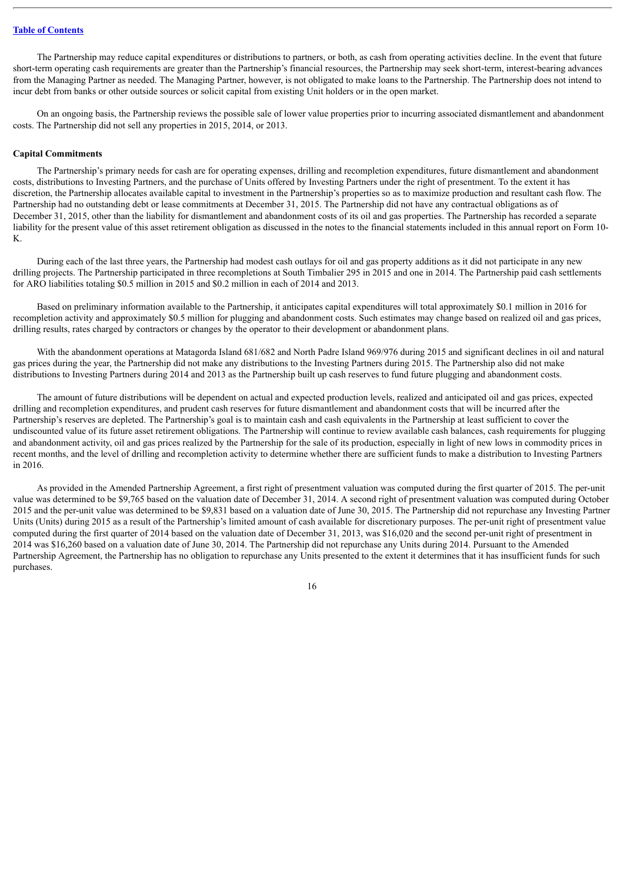The Partnership may reduce capital expenditures or distributions to partners, or both, as cash from operating activities decline. In the event that future short-term operating cash requirements are greater than the Partnership's financial resources, the Partnership may seek short-term, interest-bearing advances from the Managing Partner as needed. The Managing Partner, however, is not obligated to make loans to the Partnership. The Partnership does not intend to incur debt from banks or other outside sources or solicit capital from existing Unit holders or in the open market.

On an ongoing basis, the Partnership reviews the possible sale of lower value properties prior to incurring associated dismantlement and abandonment costs. The Partnership did not sell any properties in 2015, 2014, or 2013.

#### **Capital Commitments**

The Partnership's primary needs for cash are for operating expenses, drilling and recompletion expenditures, future dismantlement and abandonment costs, distributions to Investing Partners, and the purchase of Units offered by Investing Partners under the right of presentment. To the extent it has discretion, the Partnership allocates available capital to investment in the Partnership's properties so as to maximize production and resultant cash flow. The Partnership had no outstanding debt or lease commitments at December 31, 2015. The Partnership did not have any contractual obligations as of December 31, 2015, other than the liability for dismantlement and abandonment costs of its oil and gas properties. The Partnership has recorded a separate liability for the present value of this asset retirement obligation as discussed in the notes to the financial statements included in this annual report on Form 10-K.

During each of the last three years, the Partnership had modest cash outlays for oil and gas property additions as it did not participate in any new drilling projects. The Partnership participated in three recompletions at South Timbalier 295 in 2015 and one in 2014. The Partnership paid cash settlements for ARO liabilities totaling \$0.5 million in 2015 and \$0.2 million in each of 2014 and 2013.

Based on preliminary information available to the Partnership, it anticipates capital expenditures will total approximately \$0.1 million in 2016 for recompletion activity and approximately \$0.5 million for plugging and abandonment costs. Such estimates may change based on realized oil and gas prices, drilling results, rates charged by contractors or changes by the operator to their development or abandonment plans.

With the abandonment operations at Matagorda Island 681/682 and North Padre Island 969/976 during 2015 and significant declines in oil and natural gas prices during the year, the Partnership did not make any distributions to the Investing Partners during 2015. The Partnership also did not make distributions to Investing Partners during 2014 and 2013 as the Partnership built up cash reserves to fund future plugging and abandonment costs.

The amount of future distributions will be dependent on actual and expected production levels, realized and anticipated oil and gas prices, expected drilling and recompletion expenditures, and prudent cash reserves for future dismantlement and abandonment costs that will be incurred after the Partnership's reserves are depleted. The Partnership's goal is to maintain cash and cash equivalents in the Partnership at least sufficient to cover the undiscounted value of its future asset retirement obligations. The Partnership will continue to review available cash balances, cash requirements for plugging and abandonment activity, oil and gas prices realized by the Partnership for the sale of its production, especially in light of new lows in commodity prices in recent months, and the level of drilling and recompletion activity to determine whether there are sufficient funds to make a distribution to Investing Partners in 2016.

As provided in the Amended Partnership Agreement, a first right of presentment valuation was computed during the first quarter of 2015. The per-unit value was determined to be \$9,765 based on the valuation date of December 31, 2014. A second right of presentment valuation was computed during October 2015 and the per-unit value was determined to be \$9,831 based on a valuation date of June 30, 2015. The Partnership did not repurchase any Investing Partner Units (Units) during 2015 as a result of the Partnership's limited amount of cash available for discretionary purposes. The per-unit right of presentment value computed during the first quarter of 2014 based on the valuation date of December 31, 2013, was \$16,020 and the second per-unit right of presentment in 2014 was \$16,260 based on a valuation date of June 30, 2014. The Partnership did not repurchase any Units during 2014. Pursuant to the Amended Partnership Agreement, the Partnership has no obligation to repurchase any Units presented to the extent it determines that it has insufficient funds for such purchases.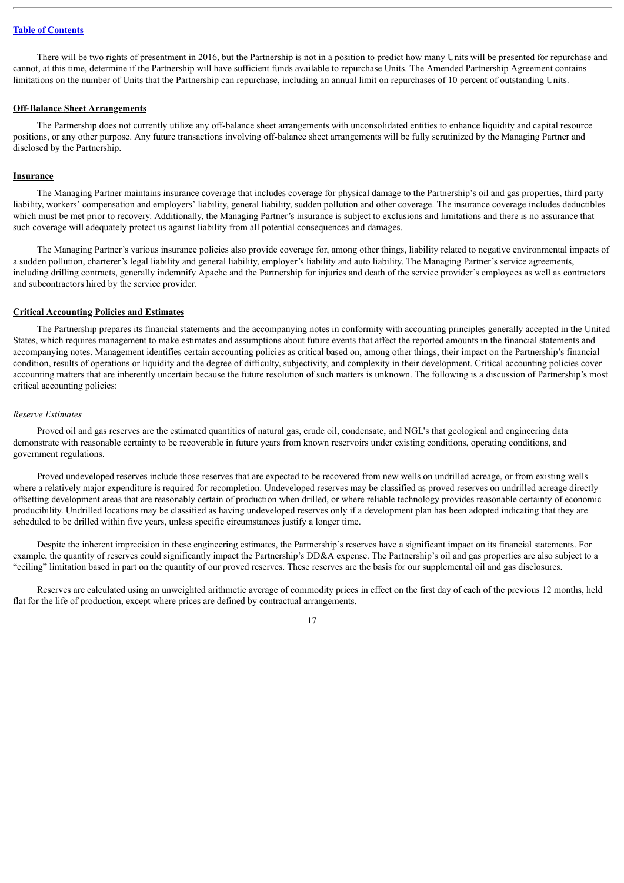There will be two rights of presentment in 2016, but the Partnership is not in a position to predict how many Units will be presented for repurchase and cannot, at this time, determine if the Partnership will have sufficient funds available to repurchase Units. The Amended Partnership Agreement contains limitations on the number of Units that the Partnership can repurchase, including an annual limit on repurchases of 10 percent of outstanding Units.

#### **Off-Balance Sheet Arrangements**

The Partnership does not currently utilize any off-balance sheet arrangements with unconsolidated entities to enhance liquidity and capital resource positions, or any other purpose. Any future transactions involving off-balance sheet arrangements will be fully scrutinized by the Managing Partner and disclosed by the Partnership.

#### **Insurance**

The Managing Partner maintains insurance coverage that includes coverage for physical damage to the Partnership's oil and gas properties, third party liability, workers' compensation and employers' liability, general liability, sudden pollution and other coverage. The insurance coverage includes deductibles which must be met prior to recovery. Additionally, the Managing Partner's insurance is subject to exclusions and limitations and there is no assurance that such coverage will adequately protect us against liability from all potential consequences and damages.

The Managing Partner's various insurance policies also provide coverage for, among other things, liability related to negative environmental impacts of a sudden pollution, charterer's legal liability and general liability, employer's liability and auto liability. The Managing Partner's service agreements, including drilling contracts, generally indemnify Apache and the Partnership for injuries and death of the service provider's employees as well as contractors and subcontractors hired by the service provider.

#### **Critical Accounting Policies and Estimates**

The Partnership prepares its financial statements and the accompanying notes in conformity with accounting principles generally accepted in the United States, which requires management to make estimates and assumptions about future events that affect the reported amounts in the financial statements and accompanying notes. Management identifies certain accounting policies as critical based on, among other things, their impact on the Partnership's financial condition, results of operations or liquidity and the degree of difficulty, subjectivity, and complexity in their development. Critical accounting policies cover accounting matters that are inherently uncertain because the future resolution of such matters is unknown. The following is a discussion of Partnership's most critical accounting policies:

#### *Reserve Estimates*

Proved oil and gas reserves are the estimated quantities of natural gas, crude oil, condensate, and NGL's that geological and engineering data demonstrate with reasonable certainty to be recoverable in future years from known reservoirs under existing conditions, operating conditions, and government regulations.

Proved undeveloped reserves include those reserves that are expected to be recovered from new wells on undrilled acreage, or from existing wells where a relatively major expenditure is required for recompletion. Undeveloped reserves may be classified as proved reserves on undrilled acreage directly offsetting development areas that are reasonably certain of production when drilled, or where reliable technology provides reasonable certainty of economic producibility. Undrilled locations may be classified as having undeveloped reserves only if a development plan has been adopted indicating that they are scheduled to be drilled within five years, unless specific circumstances justify a longer time.

Despite the inherent imprecision in these engineering estimates, the Partnership's reserves have a significant impact on its financial statements. For example, the quantity of reserves could significantly impact the Partnership's DD&A expense. The Partnership's oil and gas properties are also subject to a "ceiling" limitation based in part on the quantity of our proved reserves. These reserves are the basis for our supplemental oil and gas disclosures.

Reserves are calculated using an unweighted arithmetic average of commodity prices in effect on the first day of each of the previous 12 months, held flat for the life of production, except where prices are defined by contractual arrangements.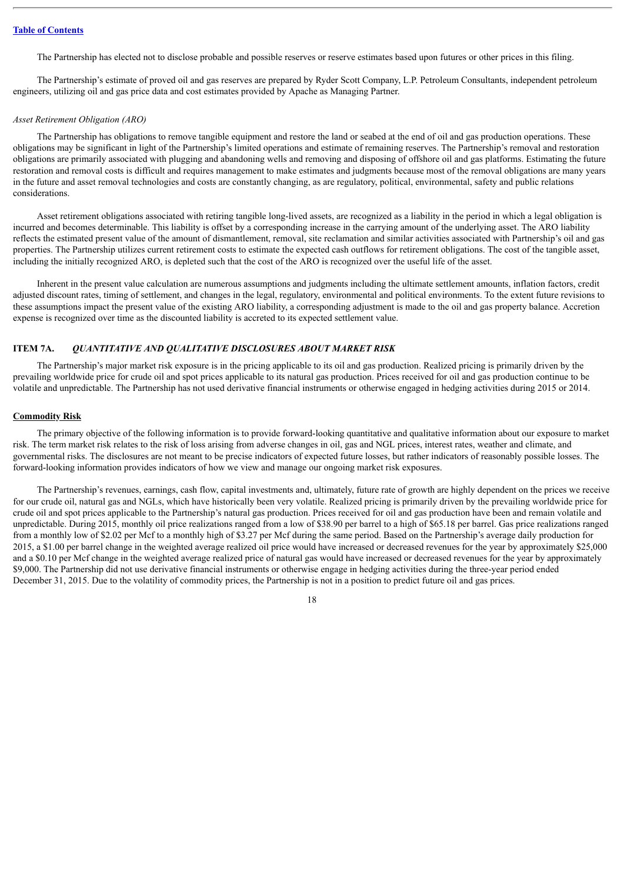The Partnership has elected not to disclose probable and possible reserves or reserve estimates based upon futures or other prices in this filing.

The Partnership's estimate of proved oil and gas reserves are prepared by Ryder Scott Company, L.P. Petroleum Consultants, independent petroleum engineers, utilizing oil and gas price data and cost estimates provided by Apache as Managing Partner.

#### *Asset Retirement Obligation (ARO)*

The Partnership has obligations to remove tangible equipment and restore the land or seabed at the end of oil and gas production operations. These obligations may be significant in light of the Partnership's limited operations and estimate of remaining reserves. The Partnership's removal and restoration obligations are primarily associated with plugging and abandoning wells and removing and disposing of offshore oil and gas platforms. Estimating the future restoration and removal costs is difficult and requires management to make estimates and judgments because most of the removal obligations are many years in the future and asset removal technologies and costs are constantly changing, as are regulatory, political, environmental, safety and public relations considerations.

Asset retirement obligations associated with retiring tangible long-lived assets, are recognized as a liability in the period in which a legal obligation is incurred and becomes determinable. This liability is offset by a corresponding increase in the carrying amount of the underlying asset. The ARO liability reflects the estimated present value of the amount of dismantlement, removal, site reclamation and similar activities associated with Partnership's oil and gas properties. The Partnership utilizes current retirement costs to estimate the expected cash outflows for retirement obligations. The cost of the tangible asset, including the initially recognized ARO, is depleted such that the cost of the ARO is recognized over the useful life of the asset.

Inherent in the present value calculation are numerous assumptions and judgments including the ultimate settlement amounts, inflation factors, credit adjusted discount rates, timing of settlement, and changes in the legal, regulatory, environmental and political environments. To the extent future revisions to these assumptions impact the present value of the existing ARO liability, a corresponding adjustment is made to the oil and gas property balance. Accretion expense is recognized over time as the discounted liability is accreted to its expected settlement value.

## <span id="page-21-0"></span>**ITEM 7A.** *QUANTITATIVE AND QUALITATIVE DISCLOSURES ABOUT MARKET RISK*

The Partnership's major market risk exposure is in the pricing applicable to its oil and gas production. Realized pricing is primarily driven by the prevailing worldwide price for crude oil and spot prices applicable to its natural gas production. Prices received for oil and gas production continue to be volatile and unpredictable. The Partnership has not used derivative financial instruments or otherwise engaged in hedging activities during 2015 or 2014.

#### **Commodity Risk**

The primary objective of the following information is to provide forward-looking quantitative and qualitative information about our exposure to market risk. The term market risk relates to the risk of loss arising from adverse changes in oil, gas and NGL prices, interest rates, weather and climate, and governmental risks. The disclosures are not meant to be precise indicators of expected future losses, but rather indicators of reasonably possible losses. The forward-looking information provides indicators of how we view and manage our ongoing market risk exposures.

The Partnership's revenues, earnings, cash flow, capital investments and, ultimately, future rate of growth are highly dependent on the prices we receive for our crude oil, natural gas and NGLs, which have historically been very volatile. Realized pricing is primarily driven by the prevailing worldwide price for crude oil and spot prices applicable to the Partnership's natural gas production. Prices received for oil and gas production have been and remain volatile and unpredictable. During 2015, monthly oil price realizations ranged from a low of \$38.90 per barrel to a high of \$65.18 per barrel. Gas price realizations ranged from a monthly low of \$2.02 per Mcf to a monthly high of \$3.27 per Mcf during the same period. Based on the Partnership's average daily production for 2015, a \$1.00 per barrel change in the weighted average realized oil price would have increased or decreased revenues for the year by approximately \$25,000 and a \$0.10 per Mcf change in the weighted average realized price of natural gas would have increased or decreased revenues for the year by approximately \$9,000. The Partnership did not use derivative financial instruments or otherwise engage in hedging activities during the three-year period ended December 31, 2015. Due to the volatility of commodity prices, the Partnership is not in a position to predict future oil and gas prices.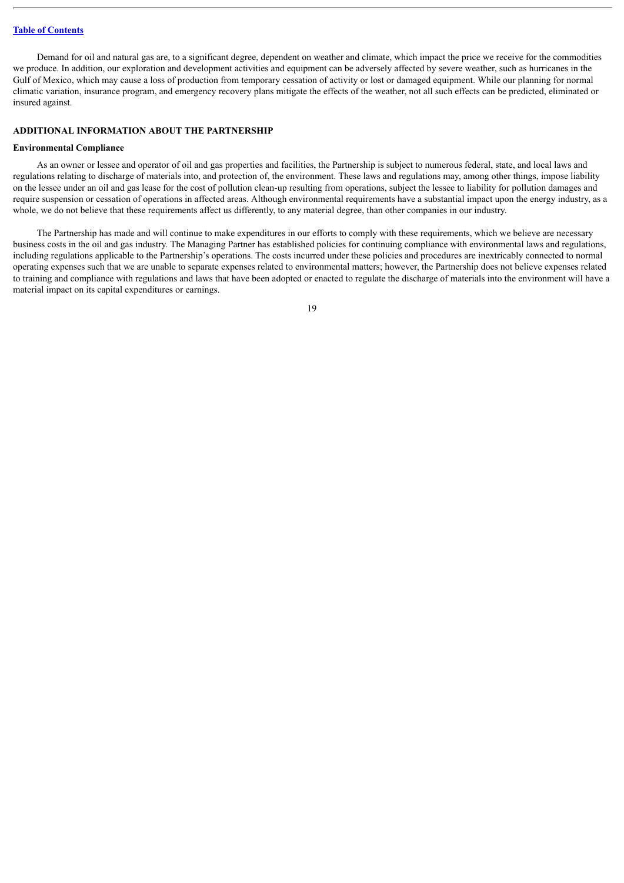Demand for oil and natural gas are, to a significant degree, dependent on weather and climate, which impact the price we receive for the commodities we produce. In addition, our exploration and development activities and equipment can be adversely affected by severe weather, such as hurricanes in the Gulf of Mexico, which may cause a loss of production from temporary cessation of activity or lost or damaged equipment. While our planning for normal climatic variation, insurance program, and emergency recovery plans mitigate the effects of the weather, not all such effects can be predicted, eliminated or insured against.

## **ADDITIONAL INFORMATION ABOUT THE PARTNERSHIP**

#### **Environmental Compliance**

As an owner or lessee and operator of oil and gas properties and facilities, the Partnership is subject to numerous federal, state, and local laws and regulations relating to discharge of materials into, and protection of, the environment. These laws and regulations may, among other things, impose liability on the lessee under an oil and gas lease for the cost of pollution clean-up resulting from operations, subject the lessee to liability for pollution damages and require suspension or cessation of operations in affected areas. Although environmental requirements have a substantial impact upon the energy industry, as a whole, we do not believe that these requirements affect us differently, to any material degree, than other companies in our industry.

The Partnership has made and will continue to make expenditures in our efforts to comply with these requirements, which we believe are necessary business costs in the oil and gas industry. The Managing Partner has established policies for continuing compliance with environmental laws and regulations, including regulations applicable to the Partnership's operations. The costs incurred under these policies and procedures are inextricably connected to normal operating expenses such that we are unable to separate expenses related to environmental matters; however, the Partnership does not believe expenses related to training and compliance with regulations and laws that have been adopted or enacted to regulate the discharge of materials into the environment will have a material impact on its capital expenditures or earnings.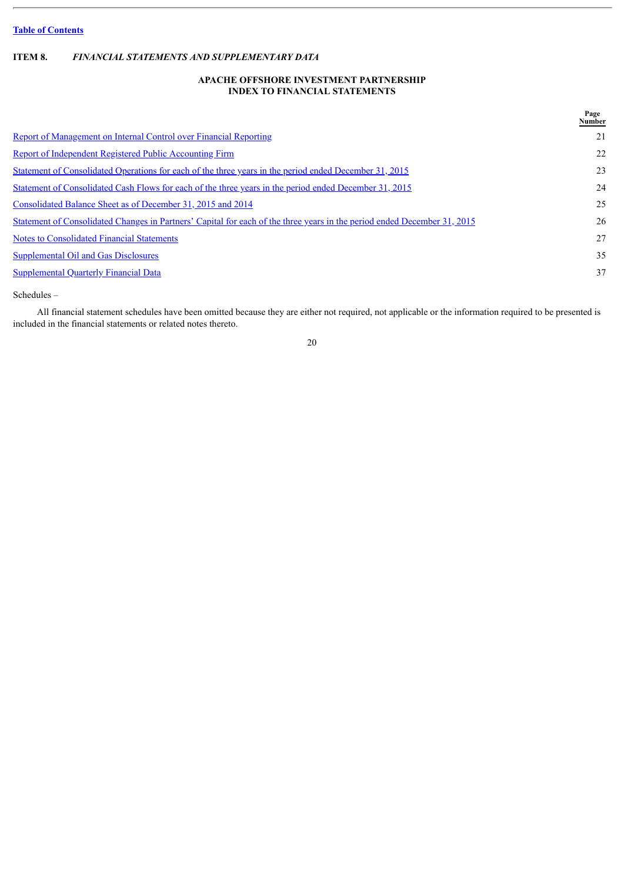## <span id="page-23-0"></span>**ITEM 8.** *FINANCIAL STATEMENTS AND SUPPLEMENTARY DATA*

## **APACHE OFFSHORE INVESTMENT PARTNERSHIP INDEX TO FINANCIAL STATEMENTS**

**Page**

|                                                                                                                          | Number |
|--------------------------------------------------------------------------------------------------------------------------|--------|
| Report of Management on Internal Control over Financial Reporting                                                        | 21     |
| <b>Report of Independent Registered Public Accounting Firm</b>                                                           | 22     |
| Statement of Consolidated Operations for each of the three years in the period ended December 31, 2015                   | 23     |
| Statement of Consolidated Cash Flows for each of the three years in the period ended December 31, 2015                   | 24     |
| Consolidated Balance Sheet as of December 31, 2015 and 2014                                                              | 25     |
| Statement of Consolidated Changes in Partners' Capital for each of the three years in the period ended December 31, 2015 | 26     |
| Notes to Consolidated Financial Statements                                                                               | 27     |
| Supplemental Oil and Gas Disclosures                                                                                     | 35     |
| <b>Supplemental Quarterly Financial Data</b>                                                                             | 37     |
|                                                                                                                          |        |

## Schedules –

All financial statement schedules have been omitted because they are either not required, not applicable or the information required to be presented is included in the financial statements or related notes thereto.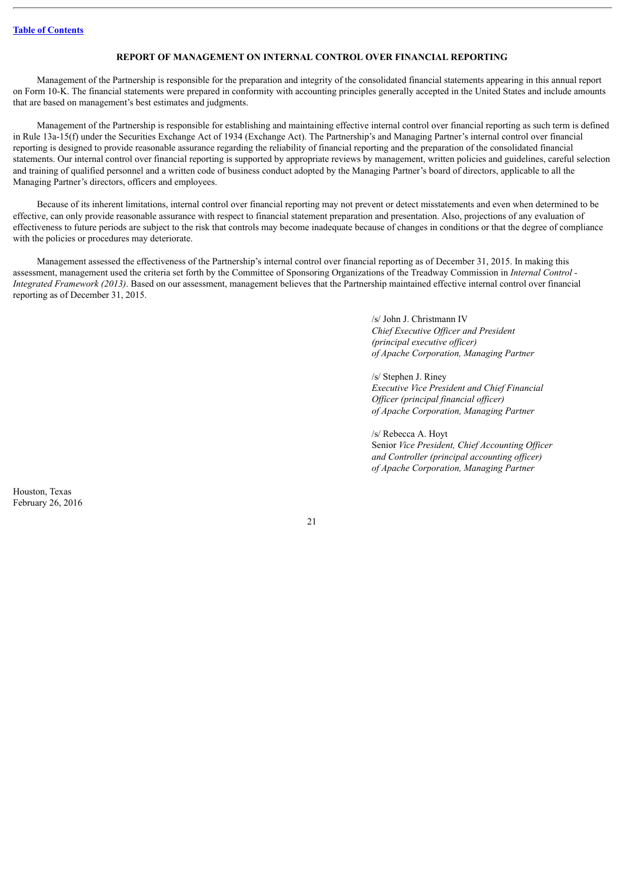#### **REPORT OF MANAGEMENT ON INTERNAL CONTROL OVER FINANCIAL REPORTING**

<span id="page-24-0"></span>Management of the Partnership is responsible for the preparation and integrity of the consolidated financial statements appearing in this annual report on Form 10-K. The financial statements were prepared in conformity with accounting principles generally accepted in the United States and include amounts that are based on management's best estimates and judgments.

Management of the Partnership is responsible for establishing and maintaining effective internal control over financial reporting as such term is defined in Rule 13a-15(f) under the Securities Exchange Act of 1934 (Exchange Act). The Partnership's and Managing Partner's internal control over financial reporting is designed to provide reasonable assurance regarding the reliability of financial reporting and the preparation of the consolidated financial statements. Our internal control over financial reporting is supported by appropriate reviews by management, written policies and guidelines, careful selection and training of qualified personnel and a written code of business conduct adopted by the Managing Partner's board of directors, applicable to all the Managing Partner's directors, officers and employees.

Because of its inherent limitations, internal control over financial reporting may not prevent or detect misstatements and even when determined to be effective, can only provide reasonable assurance with respect to financial statement preparation and presentation. Also, projections of any evaluation of effectiveness to future periods are subject to the risk that controls may become inadequate because of changes in conditions or that the degree of compliance with the policies or procedures may deteriorate.

Management assessed the effectiveness of the Partnership's internal control over financial reporting as of December 31, 2015. In making this assessment, management used the criteria set forth by the Committee of Sponsoring Organizations of the Treadway Commission in *Internal Control - Integrated Framework (2013)*. Based on our assessment, management believes that the Partnership maintained effective internal control over financial reporting as of December 31, 2015.

> /s/ John J. Christmann IV *Chief Executive Of icer and President (principal executive of icer) of Apache Corporation, Managing Partner*

/s/ Stephen J. Riney *Executive Vice President and Chief Financial Of icer (principal financial of icer) of Apache Corporation, Managing Partner*

/s/ Rebecca A. Hoyt Senior *Vice President, Chief Accounting Of icer and Controller (principal accounting of icer) of Apache Corporation, Managing Partner*

Houston, Texas February 26, 2016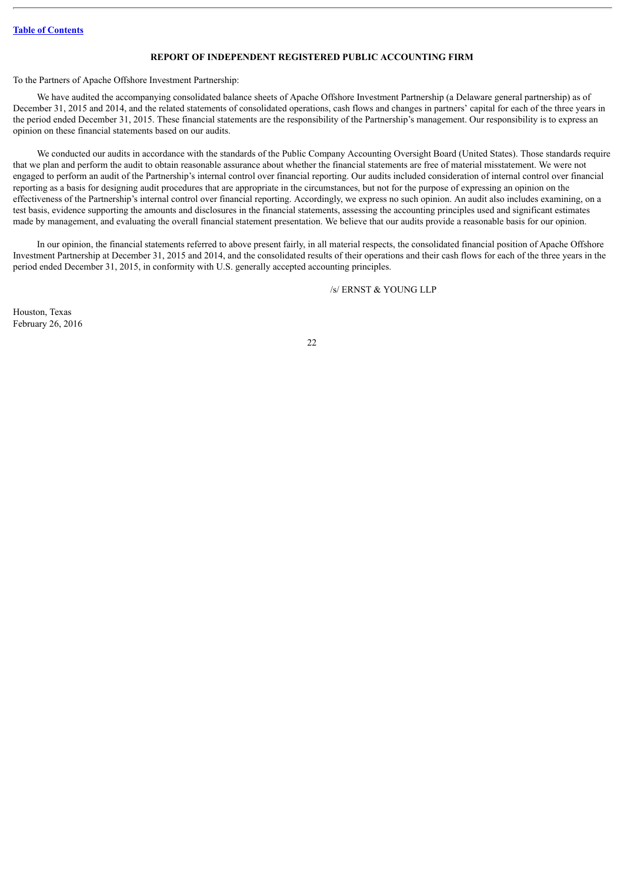### **REPORT OF INDEPENDENT REGISTERED PUBLIC ACCOUNTING FIRM**

<span id="page-25-0"></span>To the Partners of Apache Offshore Investment Partnership:

We have audited the accompanying consolidated balance sheets of Apache Offshore Investment Partnership (a Delaware general partnership) as of December 31, 2015 and 2014, and the related statements of consolidated operations, cash flows and changes in partners' capital for each of the three years in the period ended December 31, 2015. These financial statements are the responsibility of the Partnership's management. Our responsibility is to express an opinion on these financial statements based on our audits.

We conducted our audits in accordance with the standards of the Public Company Accounting Oversight Board (United States). Those standards require that we plan and perform the audit to obtain reasonable assurance about whether the financial statements are free of material misstatement. We were not engaged to perform an audit of the Partnership's internal control over financial reporting. Our audits included consideration of internal control over financial reporting as a basis for designing audit procedures that are appropriate in the circumstances, but not for the purpose of expressing an opinion on the effectiveness of the Partnership's internal control over financial reporting. Accordingly, we express no such opinion. An audit also includes examining, on a test basis, evidence supporting the amounts and disclosures in the financial statements, assessing the accounting principles used and significant estimates made by management, and evaluating the overall financial statement presentation. We believe that our audits provide a reasonable basis for our opinion.

In our opinion, the financial statements referred to above present fairly, in all material respects, the consolidated financial position of Apache Offshore Investment Partnership at December 31, 2015 and 2014, and the consolidated results of their operations and their cash flows for each of the three years in the period ended December 31, 2015, in conformity with U.S. generally accepted accounting principles.

#### /s/ ERNST & YOUNG LLP

Houston, Texas February 26, 2016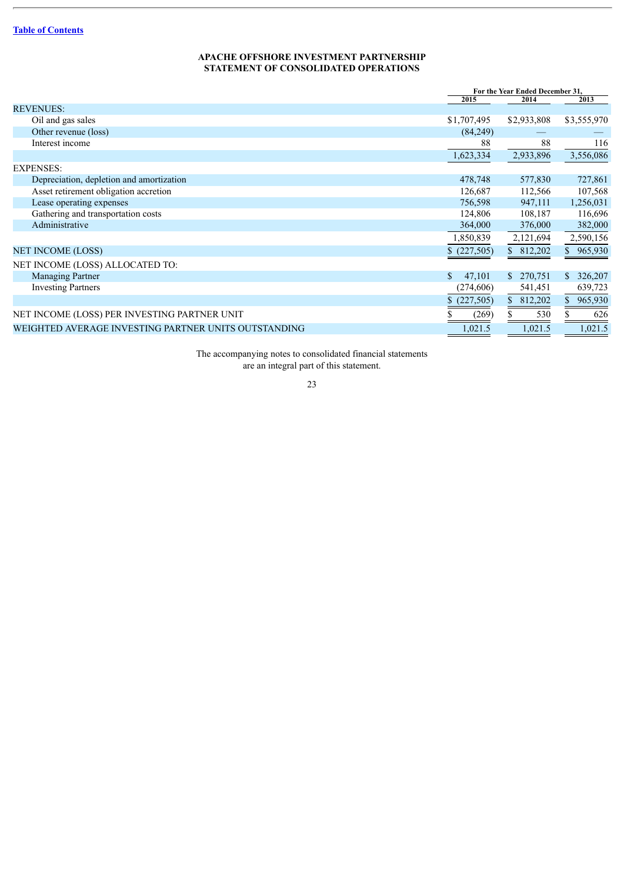## **APACHE OFFSHORE INVESTMENT PARTNERSHIP STATEMENT OF CONSOLIDATED OPERATIONS**

<span id="page-26-0"></span>

|                                                      |                        | For the Year Ended December 31, |               |  |
|------------------------------------------------------|------------------------|---------------------------------|---------------|--|
|                                                      | 2015                   | 2014                            | 2013          |  |
| <b>REVENUES:</b>                                     |                        |                                 |               |  |
| Oil and gas sales                                    | \$1,707,495            | \$2,933,808                     | \$3,555,970   |  |
| Other revenue (loss)                                 | (84,249)               |                                 |               |  |
| Interest income                                      | 88                     | 88                              | 116           |  |
|                                                      | 1,623,334              | 2,933,896                       | 3,556,086     |  |
| <b>EXPENSES:</b>                                     |                        |                                 |               |  |
| Depreciation, depletion and amortization             | 478,748                | 577,830                         | 727,861       |  |
| Asset retirement obligation accretion                | 126,687                | 112,566                         | 107,568       |  |
| Lease operating expenses                             | 756,598                | 947,111                         | 1,256,031     |  |
| Gathering and transportation costs                   | 124,806                | 108,187                         | 116,696       |  |
| Administrative                                       | 364,000                | 376,000                         | 382,000       |  |
|                                                      | 1,850,839              | 2,121,694                       | 2,590,156     |  |
| <b>NET INCOME (LOSS)</b>                             | (227,505)              | \$812,202                       | 965,930       |  |
| NET INCOME (LOSS) ALLOCATED TO:                      |                        |                                 |               |  |
| <b>Managing Partner</b>                              | $\mathbb{S}$<br>47,101 | \$270,751                       | 326,207<br>S. |  |
| <b>Investing Partners</b>                            | (274, 606)             | 541,451                         | 639,723       |  |
|                                                      | (227, 505)             | \$ 812,202                      | \$<br>965,930 |  |
| NET INCOME (LOSS) PER INVESTING PARTNER UNIT         | (269)                  | 530                             | 626           |  |
| WEIGHTED AVERAGE INVESTING PARTNER UNITS OUTSTANDING | 1,021.5                | 1,021.5                         | 1,021.5       |  |

The accompanying notes to consolidated financial statements are an integral part of this statement.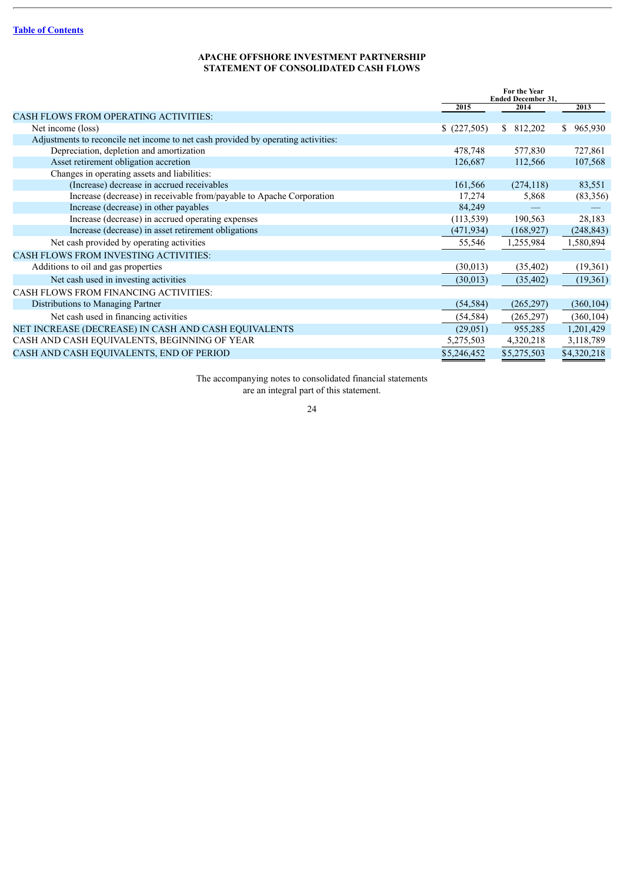## **APACHE OFFSHORE INVESTMENT PARTNERSHIP STATEMENT OF CONSOLIDATED CASH FLOWS**

<span id="page-27-0"></span>

|                                                                                   | For the Year<br><b>Ended December 31.</b> |               |               |
|-----------------------------------------------------------------------------------|-------------------------------------------|---------------|---------------|
|                                                                                   | 2015                                      | 2014          | 2013          |
| CASH FLOWS FROM OPERATING ACTIVITIES:                                             |                                           |               |               |
| Net income (loss)                                                                 | (227,505)                                 | 812,202<br>S. | 965,930<br>S. |
| Adjustments to reconcile net income to net cash provided by operating activities: |                                           |               |               |
| Depreciation, depletion and amortization                                          | 478,748                                   | 577,830       | 727,861       |
| Asset retirement obligation accretion                                             | 126,687                                   | 112,566       | 107,568       |
| Changes in operating assets and liabilities:                                      |                                           |               |               |
| (Increase) decrease in accrued receivables                                        | 161,566                                   | (274, 118)    | 83,551        |
| Increase (decrease) in receivable from/payable to Apache Corporation              | 17,274                                    | 5,868         | (83,356)      |
| Increase (decrease) in other payables                                             | 84,249                                    |               |               |
| Increase (decrease) in accrued operating expenses                                 | (113, 539)                                | 190,563       | 28,183        |
| Increase (decrease) in asset retirement obligations                               | (471, 934)                                | (168, 927)    | (248, 843)    |
| Net cash provided by operating activities                                         | 55,546                                    | 1,255,984     | 1,580,894     |
| <b>CASH FLOWS FROM INVESTING ACTIVITIES:</b>                                      |                                           |               |               |
| Additions to oil and gas properties                                               | (30,013)                                  | (35, 402)     | (19, 361)     |
| Net cash used in investing activities                                             | (30,013)                                  | (35, 402)     | (19,361)      |
| <b>CASH FLOWS FROM FINANCING ACTIVITIES:</b>                                      |                                           |               |               |
| Distributions to Managing Partner                                                 | (54, 584)                                 | (265, 297)    | (360, 104)    |
| Net cash used in financing activities                                             | (54, 584)                                 | (265, 297)    | (360, 104)    |
| NET INCREASE (DECREASE) IN CASH AND CASH EQUIVALENTS                              | (29,051)                                  | 955,285       | 1,201,429     |
| CASH AND CASH EQUIVALENTS, BEGINNING OF YEAR                                      | 5,275,503                                 | 4,320,218     | 3,118,789     |
| CASH AND CASH EQUIVALENTS, END OF PERIOD                                          | \$5,246,452                               | \$5,275,503   | \$4,320,218   |

The accompanying notes to consolidated financial statements are an integral part of this statement.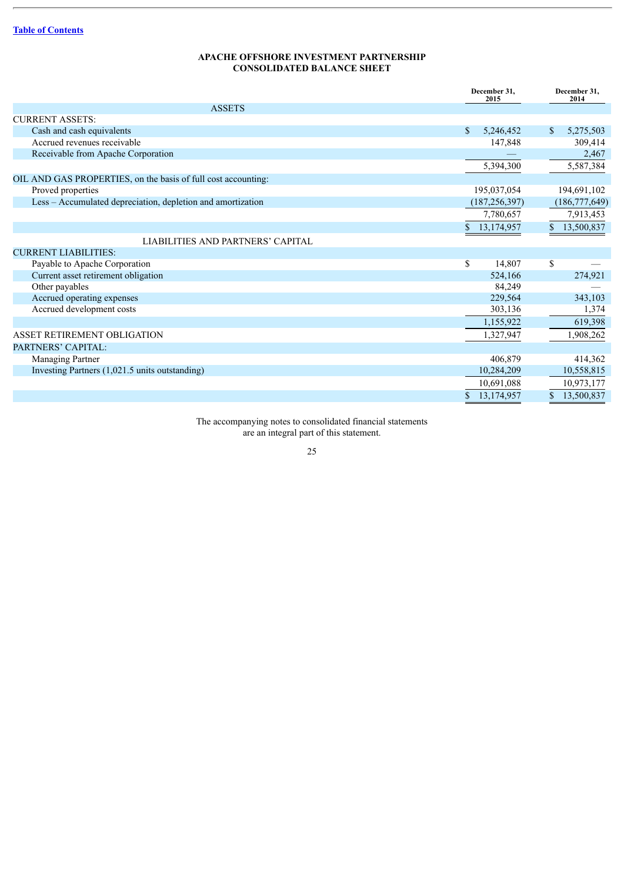## **APACHE OFFSHORE INVESTMENT PARTNERSHIP CONSOLIDATED BALANCE SHEET**

<span id="page-28-0"></span>

|                                                               | December 31,<br>2015 | December 31,<br>2014 |
|---------------------------------------------------------------|----------------------|----------------------|
| <b>ASSETS</b>                                                 |                      |                      |
| <b>CURRENT ASSETS:</b>                                        |                      |                      |
| Cash and cash equivalents                                     | \$<br>5,246,452      | \$<br>5,275,503      |
| Accrued revenues receivable                                   | 147,848              | 309,414              |
| Receivable from Apache Corporation                            |                      | 2,467                |
|                                                               | 5,394,300            | 5,587,384            |
| OIL AND GAS PROPERTIES, on the basis of full cost accounting: |                      |                      |
| Proved properties                                             | 195,037,054          | 194,691,102          |
| Less - Accumulated depreciation, depletion and amortization   | (187, 256, 397)      | (186, 777, 649)      |
|                                                               | 7,780,657            | 7,913,453            |
|                                                               | \$13,174,957         | \$<br>13,500,837     |
| LIABILITIES AND PARTNERS' CAPITAL                             |                      |                      |
| <b>CURRENT LIABILITIES:</b>                                   |                      |                      |
| Payable to Apache Corporation                                 | \$<br>14,807         | \$                   |
| Current asset retirement obligation                           | 524,166              | 274,921              |
| Other payables                                                | 84,249               |                      |
| Accrued operating expenses                                    | 229,564              | 343,103              |
| Accrued development costs                                     | 303,136              | 1,374                |
|                                                               | 1,155,922            | 619,398              |
| ASSET RETIREMENT OBLIGATION                                   | 1,327,947            | 1,908,262            |
| <b>PARTNERS' CAPITAL:</b>                                     |                      |                      |
| <b>Managing Partner</b>                                       | 406,879              | 414,362              |
| Investing Partners (1,021.5 units outstanding)                | 10,284,209           | 10,558,815           |
|                                                               | 10,691,088           | 10,973,177           |
|                                                               | \$13,174,957         | \$<br>13,500,837     |

The accompanying notes to consolidated financial statements are an integral part of this statement.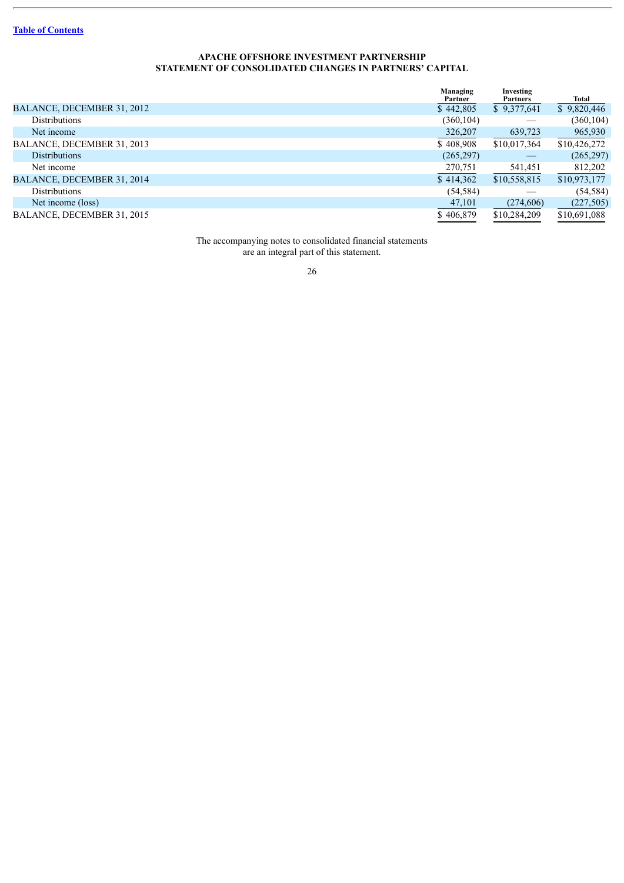## **APACHE OFFSHORE INVESTMENT PARTNERSHIP STATEMENT OF CONSOLIDATED CHANGES IN PARTNERS' CAPITAL**

<span id="page-29-0"></span>

|                            | Managing<br>Partner | Investing<br><b>Partners</b> | Total        |
|----------------------------|---------------------|------------------------------|--------------|
| BALANCE, DECEMBER 31, 2012 | \$442,805           | \$9,377,641                  | \$9,820,446  |
| <b>Distributions</b>       | (360, 104)          |                              | (360, 104)   |
| Net income                 | 326,207             | 639,723                      | 965,930      |
| BALANCE, DECEMBER 31, 2013 | \$408,908           | \$10,017,364                 | \$10,426,272 |
| <b>Distributions</b>       | (265, 297)          |                              | (265, 297)   |
| Net income                 | 270,751             | 541,451                      | 812,202      |
| BALANCE, DECEMBER 31, 2014 | \$414,362           | \$10,558,815                 | \$10,973,177 |
| <b>Distributions</b>       | (54, 584)           |                              | (54, 584)    |
| Net income (loss)          | 47,101              | (274, 606)                   | (227, 505)   |
| BALANCE, DECEMBER 31, 2015 | \$406,879           | \$10,284,209                 | \$10,691,088 |

The accompanying notes to consolidated financial statements are an integral part of this statement.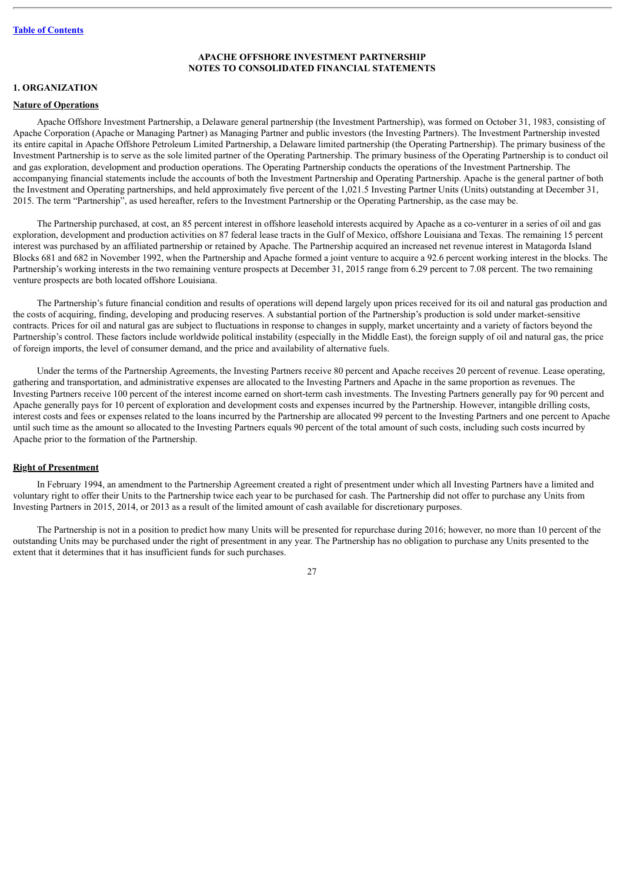## <span id="page-30-0"></span>**1. ORGANIZATION**

#### **Nature of Operations**

Apache Offshore Investment Partnership, a Delaware general partnership (the Investment Partnership), was formed on October 31, 1983, consisting of Apache Corporation (Apache or Managing Partner) as Managing Partner and public investors (the Investing Partners). The Investment Partnership invested its entire capital in Apache Offshore Petroleum Limited Partnership, a Delaware limited partnership (the Operating Partnership). The primary business of the Investment Partnership is to serve as the sole limited partner of the Operating Partnership. The primary business of the Operating Partnership is to conduct oil and gas exploration, development and production operations. The Operating Partnership conducts the operations of the Investment Partnership. The accompanying financial statements include the accounts of both the Investment Partnership and Operating Partnership. Apache is the general partner of both the Investment and Operating partnerships, and held approximately five percent of the 1,021.5 Investing Partner Units (Units) outstanding at December 31, 2015. The term "Partnership", as used hereafter, refers to the Investment Partnership or the Operating Partnership, as the case may be.

The Partnership purchased, at cost, an 85 percent interest in offshore leasehold interests acquired by Apache as a co-venturer in a series of oil and gas exploration, development and production activities on 87 federal lease tracts in the Gulf of Mexico, offshore Louisiana and Texas. The remaining 15 percent interest was purchased by an affiliated partnership or retained by Apache. The Partnership acquired an increased net revenue interest in Matagorda Island Blocks 681 and 682 in November 1992, when the Partnership and Apache formed a joint venture to acquire a 92.6 percent working interest in the blocks. The Partnership's working interests in the two remaining venture prospects at December 31, 2015 range from 6.29 percent to 7.08 percent. The two remaining venture prospects are both located offshore Louisiana.

The Partnership's future financial condition and results of operations will depend largely upon prices received for its oil and natural gas production and the costs of acquiring, finding, developing and producing reserves. A substantial portion of the Partnership's production is sold under market-sensitive contracts. Prices for oil and natural gas are subject to fluctuations in response to changes in supply, market uncertainty and a variety of factors beyond the Partnership's control. These factors include worldwide political instability (especially in the Middle East), the foreign supply of oil and natural gas, the price of foreign imports, the level of consumer demand, and the price and availability of alternative fuels.

Under the terms of the Partnership Agreements, the Investing Partners receive 80 percent and Apache receives 20 percent of revenue. Lease operating, gathering and transportation, and administrative expenses are allocated to the Investing Partners and Apache in the same proportion as revenues. The Investing Partners receive 100 percent of the interest income earned on short-term cash investments. The Investing Partners generally pay for 90 percent and Apache generally pays for 10 percent of exploration and development costs and expenses incurred by the Partnership. However, intangible drilling costs, interest costs and fees or expenses related to the loans incurred by the Partnership are allocated 99 percent to the Investing Partners and one percent to Apache until such time as the amount so allocated to the Investing Partners equals 90 percent of the total amount of such costs, including such costs incurred by Apache prior to the formation of the Partnership.

#### **Right of Presentment**

In February 1994, an amendment to the Partnership Agreement created a right of presentment under which all Investing Partners have a limited and voluntary right to offer their Units to the Partnership twice each year to be purchased for cash. The Partnership did not offer to purchase any Units from Investing Partners in 2015, 2014, or 2013 as a result of the limited amount of cash available for discretionary purposes.

The Partnership is not in a position to predict how many Units will be presented for repurchase during 2016; however, no more than 10 percent of the outstanding Units may be purchased under the right of presentment in any year. The Partnership has no obligation to purchase any Units presented to the extent that it determines that it has insufficient funds for such purchases.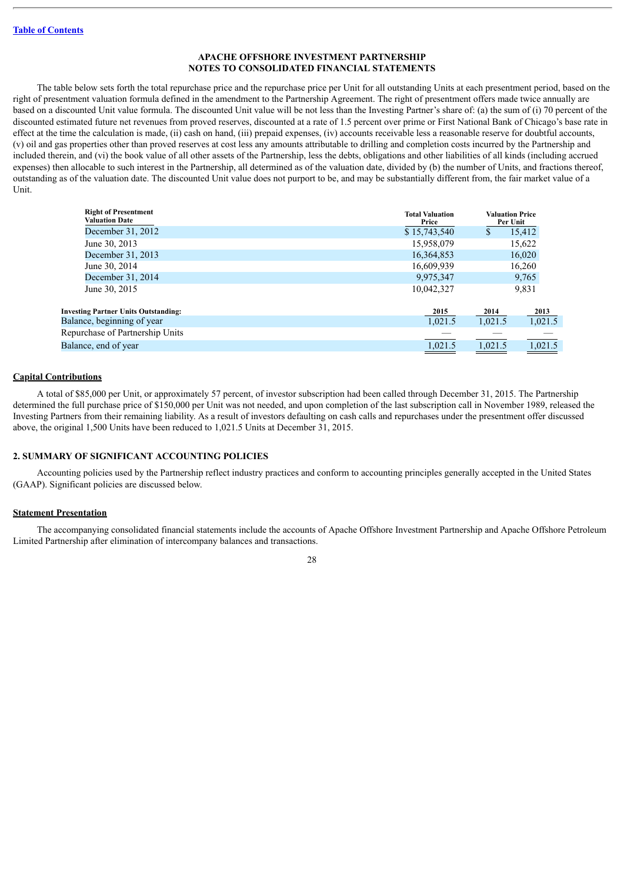The table below sets forth the total repurchase price and the repurchase price per Unit for all outstanding Units at each presentment period, based on the right of presentment valuation formula defined in the amendment to the Partnership Agreement. The right of presentment offers made twice annually are based on a discounted Unit value formula. The discounted Unit value will be not less than the Investing Partner's share of: (a) the sum of (i) 70 percent of the discounted estimated future net revenues from proved reserves, discounted at a rate of 1.5 percent over prime or First National Bank of Chicago's base rate in effect at the time the calculation is made, (ii) cash on hand, (iii) prepaid expenses, (iv) accounts receivable less a reasonable reserve for doubtful accounts, (v) oil and gas properties other than proved reserves at cost less any amounts attributable to drilling and completion costs incurred by the Partnership and included therein, and (vi) the book value of all other assets of the Partnership, less the debts, obligations and other liabilities of all kinds (including accrued expenses) then allocable to such interest in the Partnership, all determined as of the valuation date, divided by (b) the number of Units, and fractions thereof, outstanding as of the valuation date. The discounted Unit value does not purport to be, and may be substantially different from, the fair market value of a Unit.

| <b>Right of Presentment</b><br><b>Valuation Date</b> | <b>Total Valuation</b><br>Price | <b>Valuation Price</b><br>Per Unit |         |
|------------------------------------------------------|---------------------------------|------------------------------------|---------|
| December 31, 2012                                    | \$15,743,540                    | \$                                 | 15,412  |
| June 30, 2013                                        | 15,958,079                      |                                    | 15,622  |
| December 31, 2013                                    | 16,364,853                      |                                    | 16,020  |
| June 30, 2014                                        | 16,609,939                      |                                    | 16,260  |
| December 31, 2014                                    | 9,975,347                       |                                    | 9,765   |
| June 30, 2015                                        | 10,042,327                      |                                    | 9,831   |
| <b>Investing Partner Units Outstanding:</b>          | 2015                            | 2014                               | 2013    |
| Balance, beginning of year                           | 1,021.5                         | 1,021.5                            | 1,021.5 |
| Repurchase of Partnership Units                      |                                 |                                    |         |
| Balance, end of year                                 | 1.021.5                         | 1,021.5                            | 1.021.5 |

## **Capital Contributions**

A total of \$85,000 per Unit, or approximately 57 percent, of investor subscription had been called through December 31, 2015. The Partnership determined the full purchase price of \$150,000 per Unit was not needed, and upon completion of the last subscription call in November 1989, released the Investing Partners from their remaining liability. As a result of investors defaulting on cash calls and repurchases under the presentment offer discussed above, the original 1,500 Units have been reduced to 1,021.5 Units at December 31, 2015.

#### **2. SUMMARY OF SIGNIFICANT ACCOUNTING POLICIES**

Accounting policies used by the Partnership reflect industry practices and conform to accounting principles generally accepted in the United States (GAAP). Significant policies are discussed below.

### **Statement Presentation**

The accompanying consolidated financial statements include the accounts of Apache Offshore Investment Partnership and Apache Offshore Petroleum Limited Partnership after elimination of intercompany balances and transactions.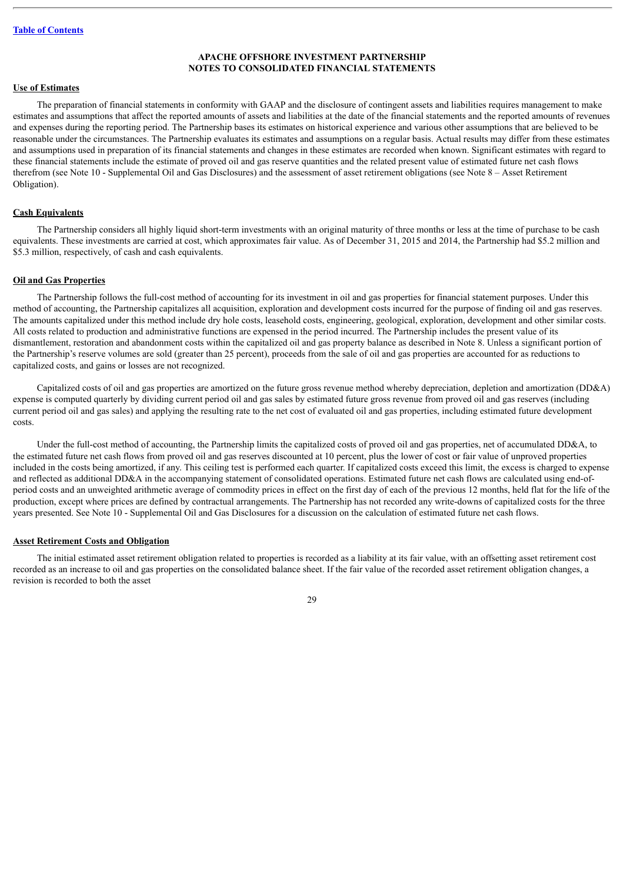#### **Use of Estimates**

The preparation of financial statements in conformity with GAAP and the disclosure of contingent assets and liabilities requires management to make estimates and assumptions that affect the reported amounts of assets and liabilities at the date of the financial statements and the reported amounts of revenues and expenses during the reporting period. The Partnership bases its estimates on historical experience and various other assumptions that are believed to be reasonable under the circumstances. The Partnership evaluates its estimates and assumptions on a regular basis. Actual results may differ from these estimates and assumptions used in preparation of its financial statements and changes in these estimates are recorded when known. Significant estimates with regard to these financial statements include the estimate of proved oil and gas reserve quantities and the related present value of estimated future net cash flows therefrom (see Note 10 - Supplemental Oil and Gas Disclosures) and the assessment of asset retirement obligations (see Note 8 – Asset Retirement Obligation).

#### **Cash Equivalents**

The Partnership considers all highly liquid short-term investments with an original maturity of three months or less at the time of purchase to be cash equivalents. These investments are carried at cost, which approximates fair value. As of December 31, 2015 and 2014, the Partnership had \$5.2 million and \$5.3 million, respectively, of cash and cash equivalents.

#### **Oil and Gas Properties**

The Partnership follows the full-cost method of accounting for its investment in oil and gas properties for financial statement purposes. Under this method of accounting, the Partnership capitalizes all acquisition, exploration and development costs incurred for the purpose of finding oil and gas reserves. The amounts capitalized under this method include dry hole costs, leasehold costs, engineering, geological, exploration, development and other similar costs. All costs related to production and administrative functions are expensed in the period incurred. The Partnership includes the present value of its dismantlement, restoration and abandonment costs within the capitalized oil and gas property balance as described in Note 8. Unless a significant portion of the Partnership's reserve volumes are sold (greater than 25 percent), proceeds from the sale of oil and gas properties are accounted for as reductions to capitalized costs, and gains or losses are not recognized.

Capitalized costs of oil and gas properties are amortized on the future gross revenue method whereby depreciation, depletion and amortization (DD&A) expense is computed quarterly by dividing current period oil and gas sales by estimated future gross revenue from proved oil and gas reserves (including current period oil and gas sales) and applying the resulting rate to the net cost of evaluated oil and gas properties, including estimated future development costs.

Under the full-cost method of accounting, the Partnership limits the capitalized costs of proved oil and gas properties, net of accumulated DD&A, to the estimated future net cash flows from proved oil and gas reserves discounted at 10 percent, plus the lower of cost or fair value of unproved properties included in the costs being amortized, if any. This ceiling test is performed each quarter. If capitalized costs exceed this limit, the excess is charged to expense and reflected as additional DD&A in the accompanying statement of consolidated operations. Estimated future net cash flows are calculated using end-ofperiod costs and an unweighted arithmetic average of commodity prices in effect on the first day of each of the previous 12 months, held flat for the life of the production, except where prices are defined by contractual arrangements. The Partnership has not recorded any write-downs of capitalized costs for the three years presented. See Note 10 - Supplemental Oil and Gas Disclosures for a discussion on the calculation of estimated future net cash flows.

#### **Asset Retirement Costs and Obligation**

The initial estimated asset retirement obligation related to properties is recorded as a liability at its fair value, with an offsetting asset retirement cost recorded as an increase to oil and gas properties on the consolidated balance sheet. If the fair value of the recorded asset retirement obligation changes, a revision is recorded to both the asset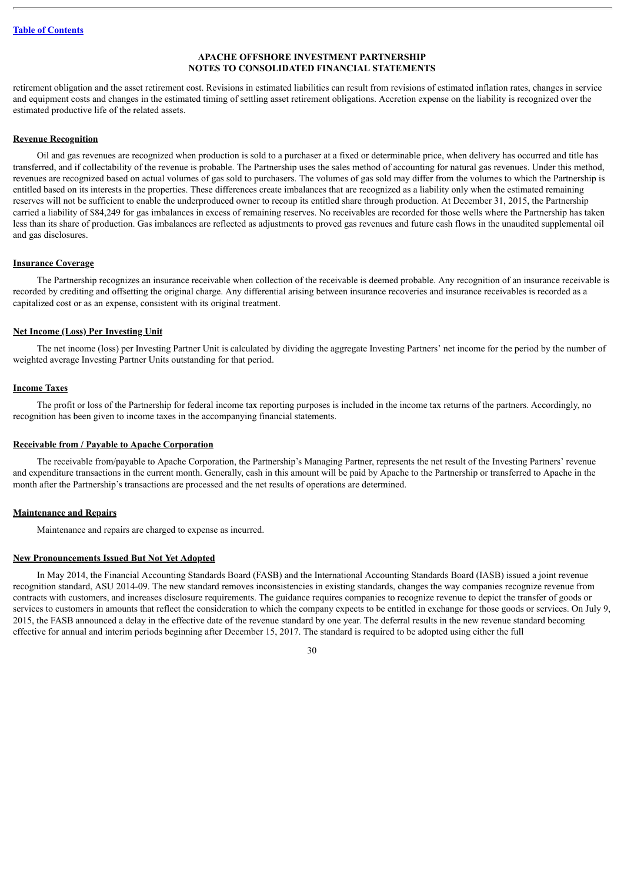retirement obligation and the asset retirement cost. Revisions in estimated liabilities can result from revisions of estimated inflation rates, changes in service and equipment costs and changes in the estimated timing of settling asset retirement obligations. Accretion expense on the liability is recognized over the estimated productive life of the related assets.

#### **Revenue Recognition**

Oil and gas revenues are recognized when production is sold to a purchaser at a fixed or determinable price, when delivery has occurred and title has transferred, and if collectability of the revenue is probable. The Partnership uses the sales method of accounting for natural gas revenues. Under this method, revenues are recognized based on actual volumes of gas sold to purchasers. The volumes of gas sold may differ from the volumes to which the Partnership is entitled based on its interests in the properties. These differences create imbalances that are recognized as a liability only when the estimated remaining reserves will not be sufficient to enable the underproduced owner to recoup its entitled share through production. At December 31, 2015, the Partnership carried a liability of \$84,249 for gas imbalances in excess of remaining reserves. No receivables are recorded for those wells where the Partnership has taken less than its share of production. Gas imbalances are reflected as adjustments to proved gas revenues and future cash flows in the unaudited supplemental oil and gas disclosures.

#### **Insurance Coverage**

The Partnership recognizes an insurance receivable when collection of the receivable is deemed probable. Any recognition of an insurance receivable is recorded by crediting and offsetting the original charge. Any differential arising between insurance recoveries and insurance receivables is recorded as a capitalized cost or as an expense, consistent with its original treatment.

#### **Net Income (Loss) Per Investing Unit**

The net income (loss) per Investing Partner Unit is calculated by dividing the aggregate Investing Partners' net income for the period by the number of weighted average Investing Partner Units outstanding for that period.

#### **Income Taxes**

The profit or loss of the Partnership for federal income tax reporting purposes is included in the income tax returns of the partners. Accordingly, no recognition has been given to income taxes in the accompanying financial statements.

#### **Receivable from / Payable to Apache Corporation**

The receivable from/payable to Apache Corporation, the Partnership's Managing Partner, represents the net result of the Investing Partners' revenue and expenditure transactions in the current month. Generally, cash in this amount will be paid by Apache to the Partnership or transferred to Apache in the month after the Partnership's transactions are processed and the net results of operations are determined.

#### **Maintenance and Repairs**

Maintenance and repairs are charged to expense as incurred.

## **New Pronouncements Issued But Not Yet Adopted**

In May 2014, the Financial Accounting Standards Board (FASB) and the International Accounting Standards Board (IASB) issued a joint revenue recognition standard, ASU 2014-09. The new standard removes inconsistencies in existing standards, changes the way companies recognize revenue from contracts with customers, and increases disclosure requirements. The guidance requires companies to recognize revenue to depict the transfer of goods or services to customers in amounts that reflect the consideration to which the company expects to be entitled in exchange for those goods or services. On July 9, 2015, the FASB announced a delay in the effective date of the revenue standard by one year. The deferral results in the new revenue standard becoming effective for annual and interim periods beginning after December 15, 2017. The standard is required to be adopted using either the full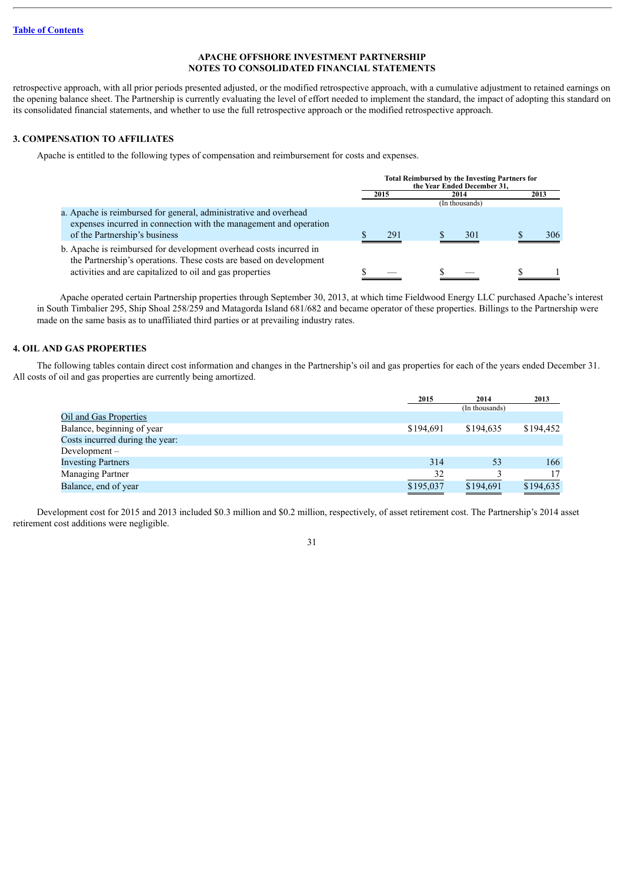retrospective approach, with all prior periods presented adjusted, or the modified retrospective approach, with a cumulative adjustment to retained earnings on the opening balance sheet. The Partnership is currently evaluating the level of effort needed to implement the standard, the impact of adopting this standard on its consolidated financial statements, and whether to use the full retrospective approach or the modified retrospective approach.

#### **3. COMPENSATION TO AFFILIATES**

Apache is entitled to the following types of compensation and reimbursement for costs and expenses.

|                                                                                                                                          | <b>Total Reimbursed by the Investing Partners for</b><br>the Year Ended December 31, |     |      |                |  |     |
|------------------------------------------------------------------------------------------------------------------------------------------|--------------------------------------------------------------------------------------|-----|------|----------------|--|-----|
|                                                                                                                                          | 2015<br>2014                                                                         |     | 2013 |                |  |     |
|                                                                                                                                          |                                                                                      |     |      | (In thousands) |  |     |
| a. Apache is reimbursed for general, administrative and overhead                                                                         |                                                                                      |     |      |                |  |     |
| expenses incurred in connection with the management and operation                                                                        |                                                                                      |     |      |                |  |     |
| of the Partnership's business                                                                                                            |                                                                                      | 291 |      | 301            |  | 306 |
| b. Apache is reimbursed for development overhead costs incurred in<br>the Partnership's operations. These costs are based on development |                                                                                      |     |      |                |  |     |
| activities and are capitalized to oil and gas properties                                                                                 |                                                                                      |     |      |                |  |     |

Apache operated certain Partnership properties through September 30, 2013, at which time Fieldwood Energy LLC purchased Apache's interest in South Timbalier 295, Ship Shoal 258/259 and Matagorda Island 681/682 and became operator of these properties. Billings to the Partnership were made on the same basis as to unaffiliated third parties or at prevailing industry rates.

## **4. OIL AND GAS PROPERTIES**

The following tables contain direct cost information and changes in the Partnership's oil and gas properties for each of the years ended December 31. All costs of oil and gas properties are currently being amortized.

|                                 | 2015      | 2014           | 2013      |
|---------------------------------|-----------|----------------|-----------|
|                                 |           | (In thousands) |           |
| Oil and Gas Properties          |           |                |           |
| Balance, beginning of year      | \$194,691 | \$194,635      | \$194,452 |
| Costs incurred during the year: |           |                |           |
| $Development-$                  |           |                |           |
| <b>Investing Partners</b>       | 314       | 53             | 166       |
| <b>Managing Partner</b>         | 32        |                | 17        |
| Balance, end of year            | \$195,037 | \$194,691      | \$194,635 |

Development cost for 2015 and 2013 included \$0.3 million and \$0.2 million, respectively, of asset retirement cost. The Partnership's 2014 asset retirement cost additions were negligible.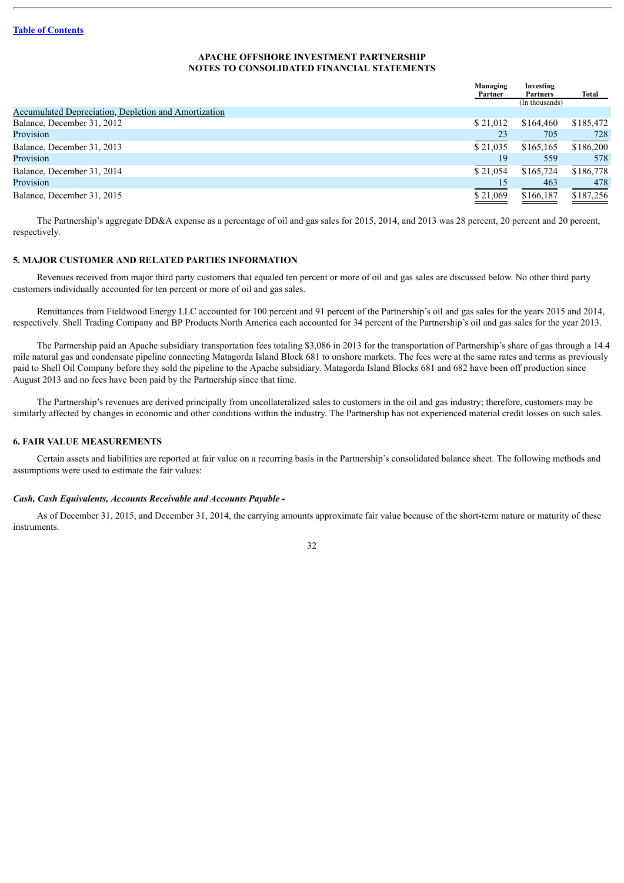|                                                      | Managing<br>Partner | Investing<br><b>Partners</b> | <b>Total</b> |
|------------------------------------------------------|---------------------|------------------------------|--------------|
|                                                      |                     | (In thousands)               |              |
| Accumulated Depreciation, Depletion and Amortization |                     |                              |              |
| Balance, December 31, 2012                           | \$21,012            | \$164,460                    | \$185,472    |
| Provision                                            | 23                  | 705                          | 728          |
| Balance, December 31, 2013                           | \$21,035            | \$165,165                    | \$186,200    |
| Provision                                            | 19                  | 559                          | 578          |
| Balance, December 31, 2014                           | \$21.054            | \$165,724                    | \$186,778    |
| Provision                                            | 15                  | 463                          | 478          |
| Balance, December 31, 2015                           | \$21,069            | \$166,187                    | \$187,256    |

The Partnership's aggregate DD&A expense as a percentage of oil and gas sales for 2015, 2014, and 2013 was 28 percent, 20 percent and 20 percent, respectively.

## **5. MAJOR CUSTOMER AND RELATED PARTIES INFORMATION**

Revenues received from major third party customers that equaled ten percent or more of oil and gas sales are discussed below. No other third party customers individually accounted for ten percent or more of oil and gas sales.

Remittances from Fieldwood Energy LLC accounted for 100 percent and 91 percent of the Partnership's oil and gas sales for the years 2015 and 2014, respectively. Shell Trading Company and BP Products North America each accounted for 34 percent of the Partnership's oil and gas sales for the year 2013.

The Partnership paid an Apache subsidiary transportation fees totaling \$3,086 in 2013 for the transportation of Partnership's share of gas through a 14.4 mile natural gas and condensate pipeline connecting Matagorda Island Block 681 to onshore markets. The fees were at the same rates and terms as previously paid to Shell Oil Company before they sold the pipeline to the Apache subsidiary. Matagorda Island Blocks 681 and 682 have been off production since August 2013 and no fees have been paid by the Partnership since that time.

The Partnership's revenues are derived principally from uncollateralized sales to customers in the oil and gas industry; therefore, customers may be similarly affected by changes in economic and other conditions within the industry. The Partnership has not experienced material credit losses on such sales.

#### **6. FAIR VALUE MEASUREMENTS**

Certain assets and liabilities are reported at fair value on a recurring basis in the Partnership's consolidated balance sheet. The following methods and assumptions were used to estimate the fair values:

#### *Cash, Cash Equivalents, Accounts Receivable and Accounts Payable -*

As of December 31, 2015, and December 31, 2014, the carrying amounts approximate fair value because of the short-term nature or maturity of these instruments.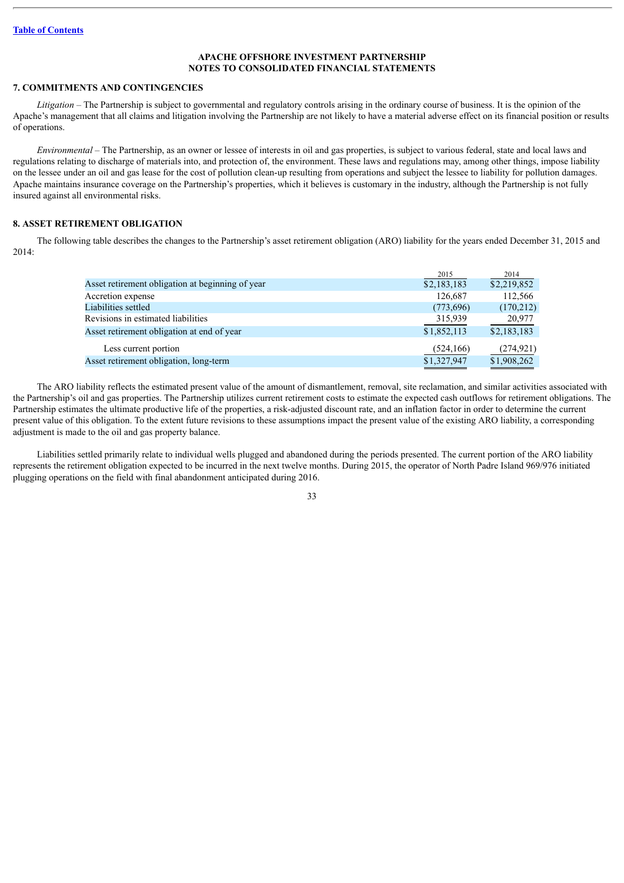#### **7. COMMITMENTS AND CONTINGENCIES**

*Litigation* – The Partnership is subject to governmental and regulatory controls arising in the ordinary course of business. It is the opinion of the Apache's management that all claims and litigation involving the Partnership are not likely to have a material adverse effect on its financial position or results of operations.

*Environmental* – The Partnership, as an owner or lessee of interests in oil and gas properties, is subject to various federal, state and local laws and regulations relating to discharge of materials into, and protection of, the environment. These laws and regulations may, among other things, impose liability on the lessee under an oil and gas lease for the cost of pollution clean-up resulting from operations and subject the lessee to liability for pollution damages. Apache maintains insurance coverage on the Partnership's properties, which it believes is customary in the industry, although the Partnership is not fully insured against all environmental risks.

## **8. ASSET RETIREMENT OBLIGATION**

The following table describes the changes to the Partnership's asset retirement obligation (ARO) liability for the years ended December 31, 2015 and 2014:

|                                                  | 2015        | 2014        |
|--------------------------------------------------|-------------|-------------|
| Asset retirement obligation at beginning of year | \$2,183,183 | \$2,219,852 |
| Accretion expense                                | 126,687     | 112,566     |
| Liabilities settled                              | (773, 696)  | (170,212)   |
| Revisions in estimated liabilities               | 315,939     | 20,977      |
| Asset retirement obligation at end of year       | \$1,852,113 | \$2,183,183 |
| Less current portion                             | (524, 166)  | (274, 921)  |
| Asset retirement obligation, long-term           | \$1,327,947 | \$1,908,262 |
|                                                  |             |             |

The ARO liability reflects the estimated present value of the amount of dismantlement, removal, site reclamation, and similar activities associated with the Partnership's oil and gas properties. The Partnership utilizes current retirement costs to estimate the expected cash outflows for retirement obligations. The Partnership estimates the ultimate productive life of the properties, a risk-adjusted discount rate, and an inflation factor in order to determine the current present value of this obligation. To the extent future revisions to these assumptions impact the present value of the existing ARO liability, a corresponding adjustment is made to the oil and gas property balance.

Liabilities settled primarily relate to individual wells plugged and abandoned during the periods presented. The current portion of the ARO liability represents the retirement obligation expected to be incurred in the next twelve months. During 2015, the operator of North Padre Island 969/976 initiated plugging operations on the field with final abandonment anticipated during 2016.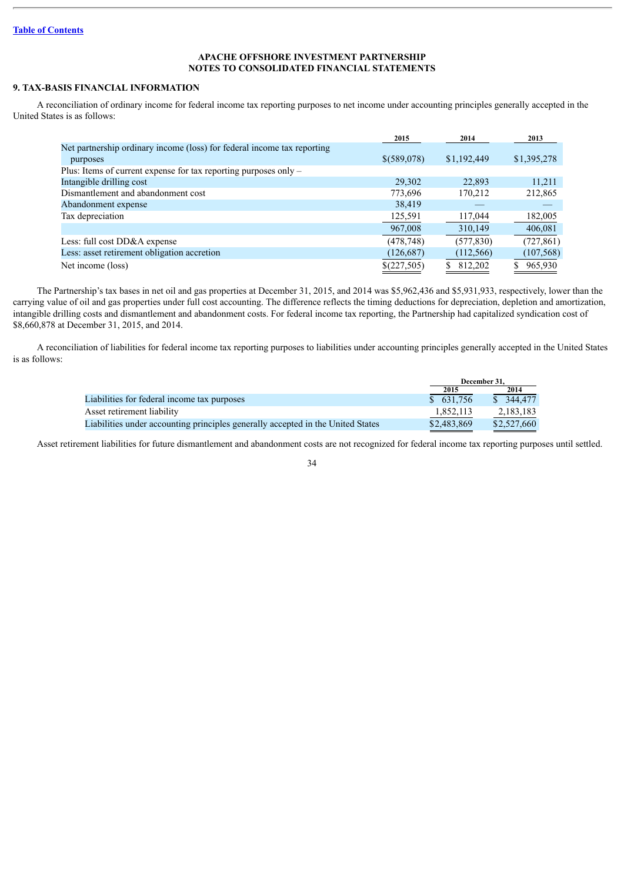## **9. TAX-BASIS FINANCIAL INFORMATION**

A reconciliation of ordinary income for federal income tax reporting purposes to net income under accounting principles generally accepted in the United States is as follows:

|                                                                         | 2015         | 2014        | 2013        |
|-------------------------------------------------------------------------|--------------|-------------|-------------|
| Net partnership ordinary income (loss) for federal income tax reporting |              |             |             |
| purposes                                                                | \$ (589,078) | \$1,192,449 | \$1,395,278 |
| Plus: Items of current expense for tax reporting purposes only $-$      |              |             |             |
| Intangible drilling cost                                                | 29,302       | 22.893      | 11,211      |
| Dismantlement and abandonment cost                                      | 773,696      | 170,212     | 212,865     |
| Abandonment expense                                                     | 38,419       |             |             |
| Tax depreciation                                                        | 125,591      | 117,044     | 182,005     |
|                                                                         | 967,008      | 310,149     | 406,081     |
| Less: full cost DD&A expense                                            | (478, 748)   | (577, 830)  | (727, 861)  |
| Less: asset retirement obligation accretion                             | (126, 687)   | (112, 566)  | (107, 568)  |
| Net income (loss)                                                       | \$(227,505)  | 812,202     | 965,930     |
|                                                                         |              |             |             |

The Partnership's tax bases in net oil and gas properties at December 31, 2015, and 2014 was \$5,962,436 and \$5,931,933, respectively, lower than the carrying value of oil and gas properties under full cost accounting. The difference reflects the timing deductions for depreciation, depletion and amortization, intangible drilling costs and dismantlement and abandonment costs. For federal income tax reporting, the Partnership had capitalized syndication cost of \$8,660,878 at December 31, 2015, and 2014.

A reconciliation of liabilities for federal income tax reporting purposes to liabilities under accounting principles generally accepted in the United States is as follows:

|                                                                                 | December 31. |             |
|---------------------------------------------------------------------------------|--------------|-------------|
|                                                                                 | 2015         | 2014        |
| Liabilities for federal income tax purposes                                     | \$631.756    | \$ 344,477  |
| Asset retirement liability                                                      | 1.852.113    | 2.183.183   |
| Liabilities under accounting principles generally accepted in the United States | \$2,483,869  | \$2,527,660 |

Asset retirement liabilities for future dismantlement and abandonment costs are not recognized for federal income tax reporting purposes until settled.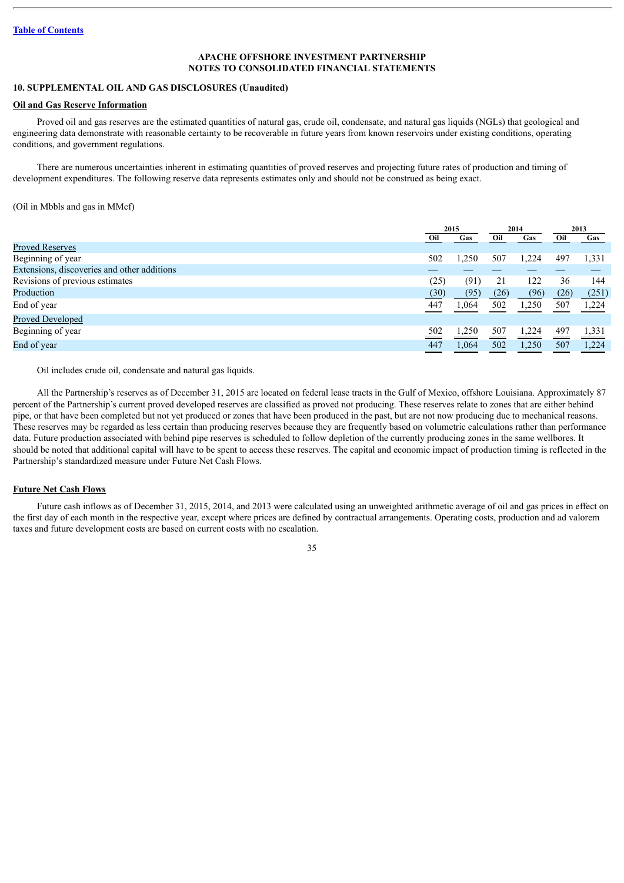#### <span id="page-38-0"></span>**10. SUPPLEMENTAL OIL AND GAS DISCLOSURES (Unaudited)**

#### **Oil and Gas Reserve Information**

Proved oil and gas reserves are the estimated quantities of natural gas, crude oil, condensate, and natural gas liquids (NGLs) that geological and engineering data demonstrate with reasonable certainty to be recoverable in future years from known reservoirs under existing conditions, operating conditions, and government regulations.

There are numerous uncertainties inherent in estimating quantities of proved reserves and projecting future rates of production and timing of development expenditures. The following reserve data represents estimates only and should not be construed as being exact.

## (Oil in Mbbls and gas in MMcf)

|                                             | 2015 |       | 2014 |       | 2013 |       |
|---------------------------------------------|------|-------|------|-------|------|-------|
|                                             | Oil  | Gas   | Oil  | Gas   | Oil  | Gas   |
| <b>Proved Reserves</b>                      |      |       |      |       |      |       |
| Beginning of year                           | 502  | ,250  | 507  | .224  | 497  | 1,331 |
| Extensions, discoveries and other additions |      |       |      |       |      |       |
| Revisions of previous estimates             | (25) | (91)  | 21   | 122   | 36   | 144   |
| Production                                  | (30) | (95)  | (26) | (96)  | (26) | (251) |
| End of year                                 | 447  | .064  | 502  | 1,250 | 507  | 1,224 |
| <b>Proved Developed</b>                     |      |       |      |       |      |       |
| Beginning of year                           | 502  | ,250  | 507  | 1,224 | 497  | 1,331 |
| End of year                                 | 447  | 1,064 | 502  | 1,250 | 507  | 1,224 |

Oil includes crude oil, condensate and natural gas liquids.

All the Partnership's reserves as of December 31, 2015 are located on federal lease tracts in the Gulf of Mexico, offshore Louisiana. Approximately 87 percent of the Partnership's current proved developed reserves are classified as proved not producing. These reserves relate to zones that are either behind pipe, or that have been completed but not yet produced or zones that have been produced in the past, but are not now producing due to mechanical reasons. These reserves may be regarded as less certain than producing reserves because they are frequently based on volumetric calculations rather than performance data. Future production associated with behind pipe reserves is scheduled to follow depletion of the currently producing zones in the same wellbores. It should be noted that additional capital will have to be spent to access these reserves. The capital and economic impact of production timing is reflected in the Partnership's standardized measure under Future Net Cash Flows.

#### **Future Net Cash Flows**

Future cash inflows as of December 31, 2015, 2014, and 2013 were calculated using an unweighted arithmetic average of oil and gas prices in effect on the first day of each month in the respective year, except where prices are defined by contractual arrangements. Operating costs, production and ad valorem taxes and future development costs are based on current costs with no escalation.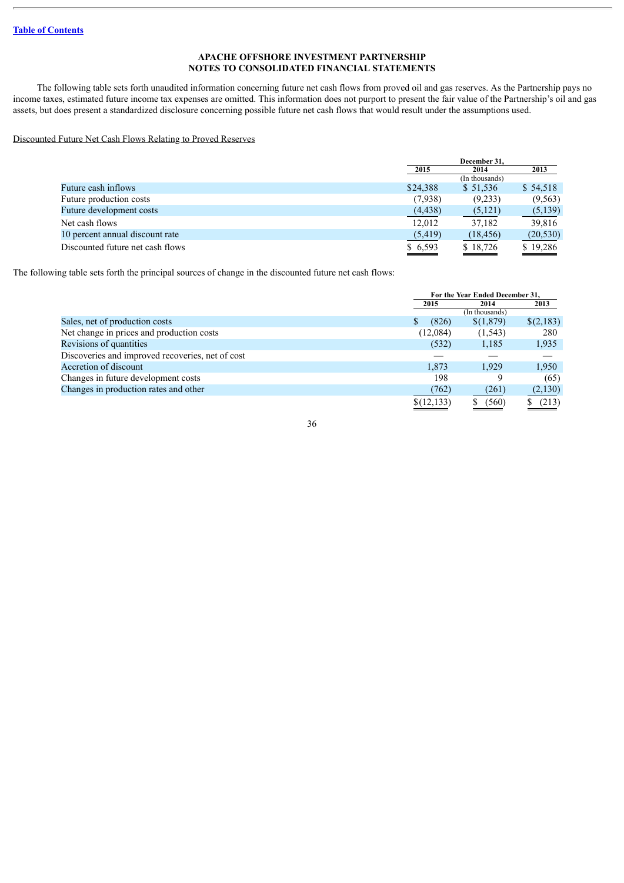The following table sets forth unaudited information concerning future net cash flows from proved oil and gas reserves. As the Partnership pays no income taxes, estimated future income tax expenses are omitted. This information does not purport to present the fair value of the Partnership's oil and gas assets, but does present a standardized disclosure concerning possible future net cash flows that would result under the assumptions used.

#### Discounted Future Net Cash Flows Relating to Proved Reserves

|                                  |          | December 31.   |           |  |
|----------------------------------|----------|----------------|-----------|--|
|                                  | 2015     | 2014           |           |  |
|                                  |          | (In thousands) |           |  |
| Future cash inflows              | \$24,388 | \$ 51,536      | \$54,518  |  |
| Future production costs          | (7,938)  | (9,233)        | (9, 563)  |  |
| Future development costs         | (4, 438) | (5,121)        | (5,139)   |  |
| Net cash flows                   | 12.012   | 37.182         | 39.816    |  |
| 10 percent annual discount rate  | (5, 419) | (18, 456)      | (20, 530) |  |
| Discounted future net cash flows | \$6,593  | \$18.726       | \$19,286  |  |

The following table sets forth the principal sources of change in the discounted future net cash flows:

|                                                  |             | For the Year Ended December 31. |           |  |  |
|--------------------------------------------------|-------------|---------------------------------|-----------|--|--|
|                                                  | 2015        | 2014                            | 2013      |  |  |
|                                                  |             | (In thousands)                  |           |  |  |
| Sales, net of production costs                   | (826)       | \$(1,879)                       | \$(2,183) |  |  |
| Net change in prices and production costs        | (12,084)    | (1, 543)                        | 280       |  |  |
| Revisions of quantities                          | (532)       | 1,185                           | 1,935     |  |  |
| Discoveries and improved recoveries, net of cost |             |                                 |           |  |  |
| Accretion of discount                            | 1.873       | 1.929                           | 1,950     |  |  |
| Changes in future development costs              | 198         | Q                               | (65)      |  |  |
| Changes in production rates and other            | (762)       | (261)                           | (2,130)   |  |  |
|                                                  | \$(12, 133) | (560)                           | (213)     |  |  |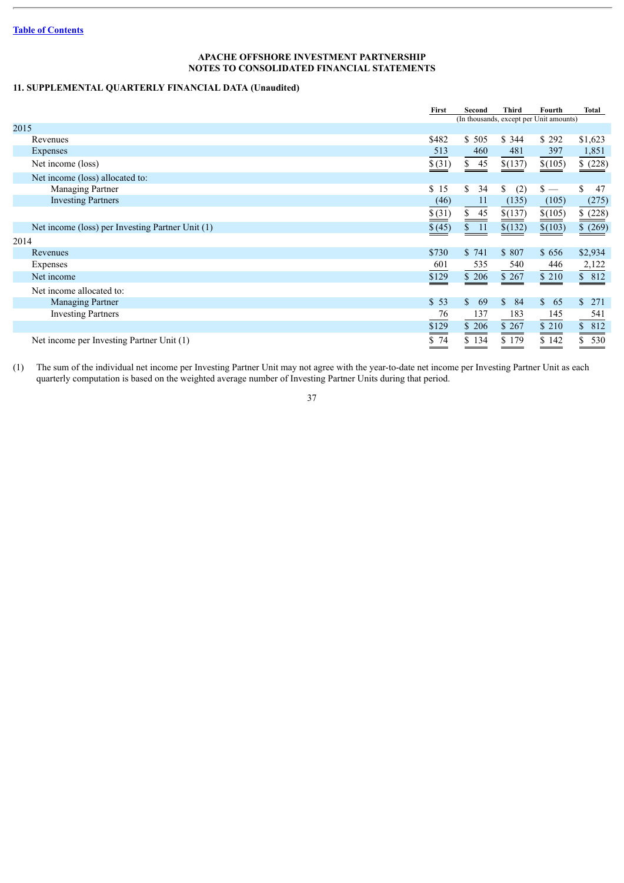## <span id="page-40-0"></span>**11. SUPPLEMENTAL QUARTERLY FINANCIAL DATA (Unaudited)**

|                                                  | First                | Second              | Third                                   | Fourth                | Total      |
|--------------------------------------------------|----------------------|---------------------|-----------------------------------------|-----------------------|------------|
|                                                  |                      |                     | (In thousands, except per Unit amounts) |                       |            |
| 2015                                             |                      |                     |                                         |                       |            |
| Revenues                                         | \$482                | \$505               | \$344                                   | \$292                 | \$1,623    |
| Expenses                                         | 513                  | 460                 | 481                                     | 397                   | 1,851      |
| Net income (loss)                                | \$ (31)              | \$45                | \$(137)                                 | \$(105)               | \$ (228)   |
| Net income (loss) allocated to:                  |                      |                     |                                         |                       |            |
| <b>Managing Partner</b>                          | \$15                 | \$<br>34            | \$<br>(2)                               | $\sqrt{s}$ —          | \$<br>47   |
| <b>Investing Partners</b>                        | (46)                 | 11                  | (135)                                   | (105)                 | (275)      |
|                                                  | $\underline{\$(31)}$ | $\underline{\$}$ 45 | \$(137)                                 | $\underline{\$(105)}$ | \$ (228)   |
| Net income (loss) per Investing Partner Unit (1) | \$ (45)              | \$11                | \$(132)                                 | \$(103)               | \$ (269)   |
| 2014                                             |                      |                     |                                         |                       |            |
| Revenues                                         | \$730                | \$741               | \$807                                   | \$656                 | \$2,934    |
| Expenses                                         | 601                  | 535                 | 540                                     | 446                   | 2,122      |
| Net income                                       | \$129                | \$206               | \$267                                   | \$ 210                | \$812      |
| Net income allocated to:                         |                      |                     |                                         |                       |            |
| <b>Managing Partner</b>                          | \$53                 | \$.<br>69           | \$<br>84                                | $\mathbb{S}$<br>65    | \$.<br>271 |
| <b>Investing Partners</b>                        | 76                   | 137                 | 183                                     | 145                   | 541        |
|                                                  | \$129                | \$206               | \$267                                   | \$ 210                | \$812      |
| Net income per Investing Partner Unit (1)        | \$ 74                | \$134               | \$179                                   | \$142                 | 530        |

(1) The sum of the individual net income per Investing Partner Unit may not agree with the year-to-date net income per Investing Partner Unit as each quarterly computation is based on the weighted average number of Investing Partner Units during that period.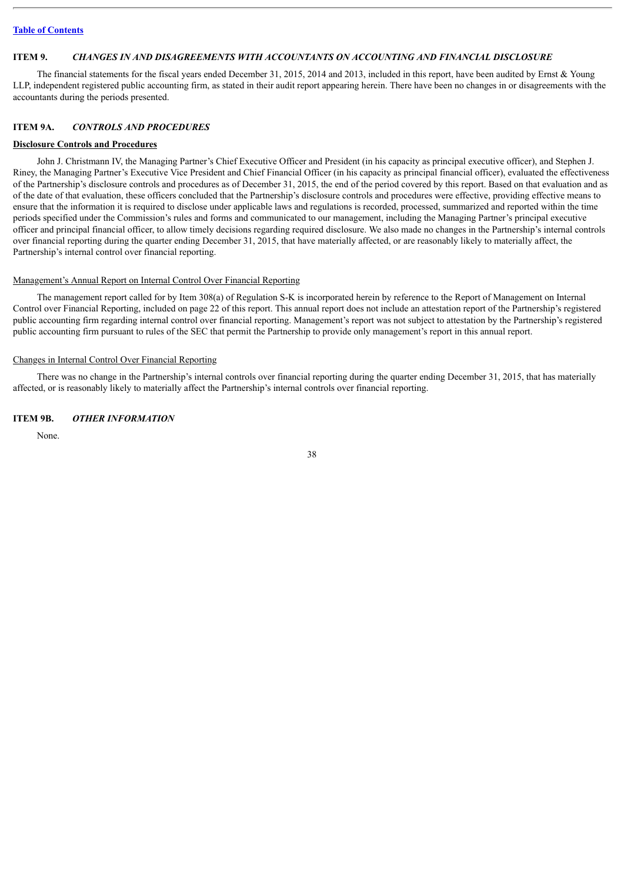#### <span id="page-41-0"></span>**ITEM 9.** *CHANGES IN AND DISAGREEMENTS WITH ACCOUNTANTS ON ACCOUNTING AND FINANCIAL DISCLOSURE*

The financial statements for the fiscal years ended December 31, 2015, 2014 and 2013, included in this report, have been audited by Ernst & Young LLP, independent registered public accounting firm, as stated in their audit report appearing herein. There have been no changes in or disagreements with the accountants during the periods presented.

#### <span id="page-41-1"></span>**ITEM 9A.** *CONTROLS AND PROCEDURES*

#### **Disclosure Controls and Procedures**

John J. Christmann IV, the Managing Partner's Chief Executive Officer and President (in his capacity as principal executive officer), and Stephen J. Riney, the Managing Partner's Executive Vice President and Chief Financial Officer (in his capacity as principal financial officer), evaluated the effectiveness of the Partnership's disclosure controls and procedures as of December 31, 2015, the end of the period covered by this report. Based on that evaluation and as of the date of that evaluation, these officers concluded that the Partnership's disclosure controls and procedures were effective, providing effective means to ensure that the information it is required to disclose under applicable laws and regulations is recorded, processed, summarized and reported within the time periods specified under the Commission's rules and forms and communicated to our management, including the Managing Partner's principal executive officer and principal financial officer, to allow timely decisions regarding required disclosure. We also made no changes in the Partnership's internal controls over financial reporting during the quarter ending December 31, 2015, that have materially affected, or are reasonably likely to materially affect, the Partnership's internal control over financial reporting.

### Management's Annual Report on Internal Control Over Financial Reporting

The management report called for by Item 308(a) of Regulation S-K is incorporated herein by reference to the Report of Management on Internal Control over Financial Reporting, included on page 22 of this report. This annual report does not include an attestation report of the Partnership's registered public accounting firm regarding internal control over financial reporting. Management's report was not subject to attestation by the Partnership's registered public accounting firm pursuant to rules of the SEC that permit the Partnership to provide only management's report in this annual report.

#### Changes in Internal Control Over Financial Reporting

There was no change in the Partnership's internal controls over financial reporting during the quarter ending December 31, 2015, that has materially affected, or is reasonably likely to materially affect the Partnership's internal controls over financial reporting.

## **ITEM 9B.** *OTHER INFORMATION*

<span id="page-41-2"></span>None.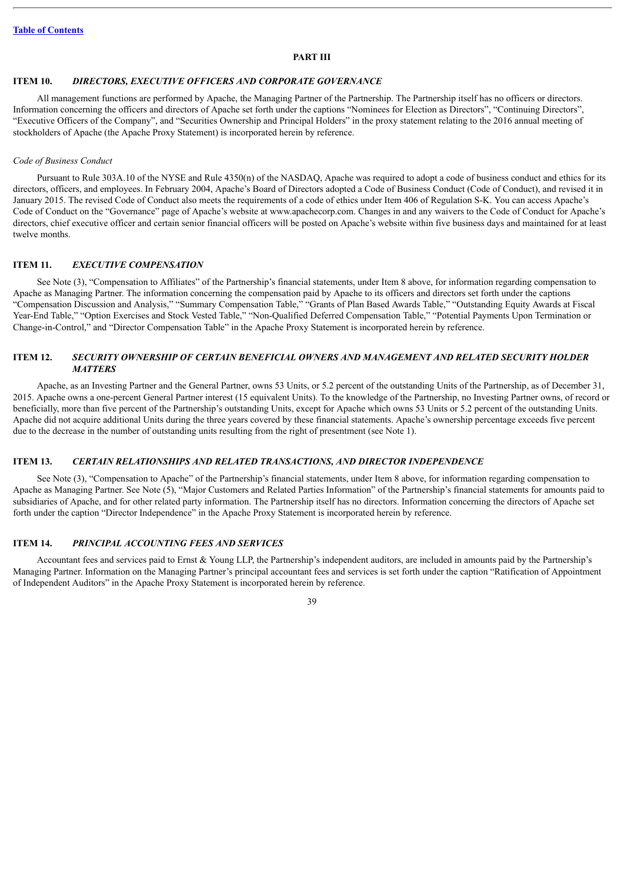#### **PART III**

## <span id="page-42-1"></span><span id="page-42-0"></span>**ITEM 10.** *DIRECTORS, EXECUTIVE OFFICERS AND CORPORATE GOVERNANCE*

All management functions are performed by Apache, the Managing Partner of the Partnership. The Partnership itself has no officers or directors. Information concerning the officers and directors of Apache set forth under the captions "Nominees for Election as Directors", "Continuing Directors", "Executive Officers of the Company", and "Securities Ownership and Principal Holders" in the proxy statement relating to the 2016 annual meeting of stockholders of Apache (the Apache Proxy Statement) is incorporated herein by reference.

#### *Code of Business Conduct*

Pursuant to Rule 303A.10 of the NYSE and Rule 4350(n) of the NASDAQ, Apache was required to adopt a code of business conduct and ethics for its directors, officers, and employees. In February 2004, Apache's Board of Directors adopted a Code of Business Conduct (Code of Conduct), and revised it in January 2015. The revised Code of Conduct also meets the requirements of a code of ethics under Item 406 of Regulation S-K. You can access Apache's Code of Conduct on the "Governance" page of Apache's website at www.apachecorp.com. Changes in and any waivers to the Code of Conduct for Apache's directors, chief executive officer and certain senior financial officers will be posted on Apache's website within five business days and maintained for at least twelve months.

#### <span id="page-42-2"></span>**ITEM 11.** *EXECUTIVE COMPENSATION*

See Note (3), "Compensation to Affiliates" of the Partnership's financial statements, under Item 8 above, for information regarding compensation to Apache as Managing Partner. The information concerning the compensation paid by Apache to its officers and directors set forth under the captions "Compensation Discussion and Analysis," "Summary Compensation Table," "Grants of Plan Based Awards Table," "Outstanding Equity Awards at Fiscal Year-End Table," "Option Exercises and Stock Vested Table," "Non-Qualified Deferred Compensation Table," "Potential Payments Upon Termination or Change-in-Control," and "Director Compensation Table" in the Apache Proxy Statement is incorporated herein by reference.

## <span id="page-42-3"></span>**ITEM 12.** *SECURITY OWNERSHIP OF CERTAIN BENEFICIAL OWNERS AND MANAGEMENT AND RELATED SECURITY HOLDER MATTERS*

Apache, as an Investing Partner and the General Partner, owns 53 Units, or 5.2 percent of the outstanding Units of the Partnership, as of December 31, 2015. Apache owns a one-percent General Partner interest (15 equivalent Units). To the knowledge of the Partnership, no Investing Partner owns, of record or beneficially, more than five percent of the Partnership's outstanding Units, except for Apache which owns 53 Units or 5.2 percent of the outstanding Units. Apache did not acquire additional Units during the three years covered by these financial statements. Apache's ownership percentage exceeds five percent due to the decrease in the number of outstanding units resulting from the right of presentment (see Note 1).

#### <span id="page-42-4"></span>**ITEM 13.** *CERTAIN RELATIONSHIPS AND RELATED TRANSACTIONS, AND DIRECTOR INDEPENDENCE*

See Note (3), "Compensation to Apache" of the Partnership's financial statements, under Item 8 above, for information regarding compensation to Apache as Managing Partner. See Note (5), "Major Customers and Related Parties Information" of the Partnership's financial statements for amounts paid to subsidiaries of Apache, and for other related party information. The Partnership itself has no directors. Information concerning the directors of Apache set forth under the caption "Director Independence" in the Apache Proxy Statement is incorporated herein by reference.

#### <span id="page-42-5"></span>**ITEM 14.** *PRINCIPAL ACCOUNTING FEES AND SERVICES*

Accountant fees and services paid to Ernst & Young LLP, the Partnership's independent auditors, are included in amounts paid by the Partnership's Managing Partner. Information on the Managing Partner's principal accountant fees and services is set forth under the caption "Ratification of Appointment of Independent Auditors" in the Apache Proxy Statement is incorporated herein by reference.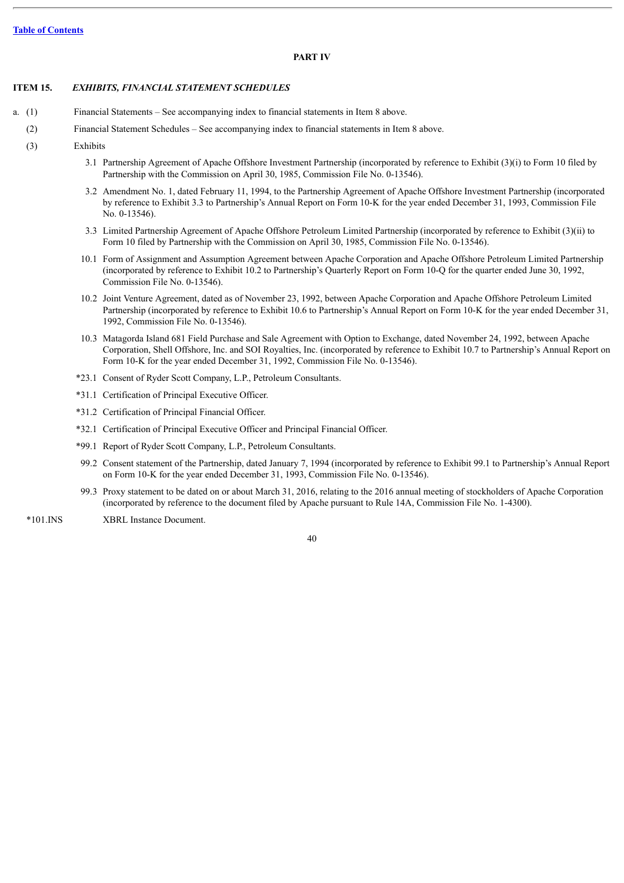#### **PART IV**

## <span id="page-43-1"></span><span id="page-43-0"></span>**ITEM 15.** *EXHIBITS, FINANCIAL STATEMENT SCHEDULES*

- a. (1) Financial Statements See accompanying index to financial statements in Item 8 above.
- (2) Financial Statement Schedules See accompanying index to financial statements in Item 8 above.
- (3) Exhibits
	- 3.1 Partnership Agreement of Apache Offshore Investment Partnership (incorporated by reference to Exhibit (3)(i) to Form 10 filed by Partnership with the Commission on April 30, 1985, Commission File No. 0-13546).
	- 3.2 Amendment No. 1, dated February 11, 1994, to the Partnership Agreement of Apache Offshore Investment Partnership (incorporated by reference to Exhibit 3.3 to Partnership's Annual Report on Form 10-K for the year ended December 31, 1993, Commission File No. 0-13546).
	- 3.3 Limited Partnership Agreement of Apache Offshore Petroleum Limited Partnership (incorporated by reference to Exhibit (3)(ii) to Form 10 filed by Partnership with the Commission on April 30, 1985, Commission File No. 0-13546).
	- 10.1 Form of Assignment and Assumption Agreement between Apache Corporation and Apache Offshore Petroleum Limited Partnership (incorporated by reference to Exhibit 10.2 to Partnership's Quarterly Report on Form 10-Q for the quarter ended June 30, 1992, Commission File No. 0-13546).
	- 10.2 Joint Venture Agreement, dated as of November 23, 1992, between Apache Corporation and Apache Offshore Petroleum Limited Partnership (incorporated by reference to Exhibit 10.6 to Partnership's Annual Report on Form 10-K for the year ended December 31, 1992, Commission File No. 0-13546).
	- 10.3 Matagorda Island 681 Field Purchase and Sale Agreement with Option to Exchange, dated November 24, 1992, between Apache Corporation, Shell Offshore, Inc. and SOI Royalties, Inc. (incorporated by reference to Exhibit 10.7 to Partnership's Annual Report on Form 10-K for the year ended December 31, 1992, Commission File No. 0-13546).
	- \*23.1 Consent of Ryder Scott Company, L.P., Petroleum Consultants.
	- \*31.1 Certification of Principal Executive Officer.
	- \*31.2 Certification of Principal Financial Officer.
	- \*32.1 Certification of Principal Executive Officer and Principal Financial Officer.
	- \*99.1 Report of Ryder Scott Company, L.P., Petroleum Consultants.
	- 99.2 Consent statement of the Partnership, dated January 7, 1994 (incorporated by reference to Exhibit 99.1 to Partnership's Annual Report on Form 10-K for the year ended December 31, 1993, Commission File No. 0-13546).
	- 99.3 Proxy statement to be dated on or about March 31, 2016, relating to the 2016 annual meeting of stockholders of Apache Corporation (incorporated by reference to the document filed by Apache pursuant to Rule 14A, Commission File No. 1-4300).
- \*101.INS XBRL Instance Document.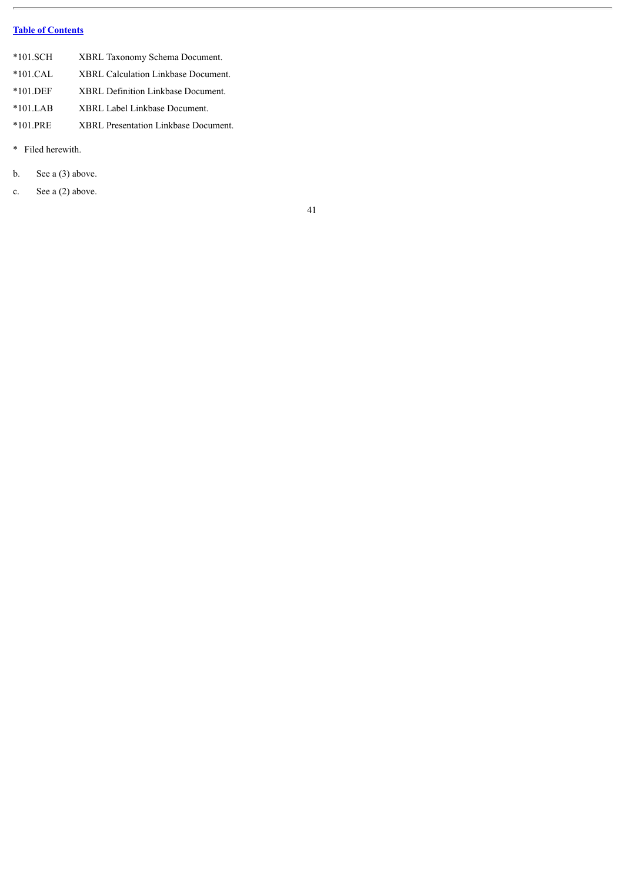| $*101$ .SCH | XBRL Taxonomy Schema Document.             |
|-------------|--------------------------------------------|
| $*101$ .CAL | <b>XBRL Calculation Linkbase Document.</b> |
| $*101$ DEF  | XBRL Definition Linkbase Document.         |
| $*101$ LAB  | XBRL Label Linkbase Document.              |
| $*101.PRE$  | XBRL Presentation Linkbase Document.       |

\* Filed herewith.

- b. See a (3) above.
- c. See a (2) above.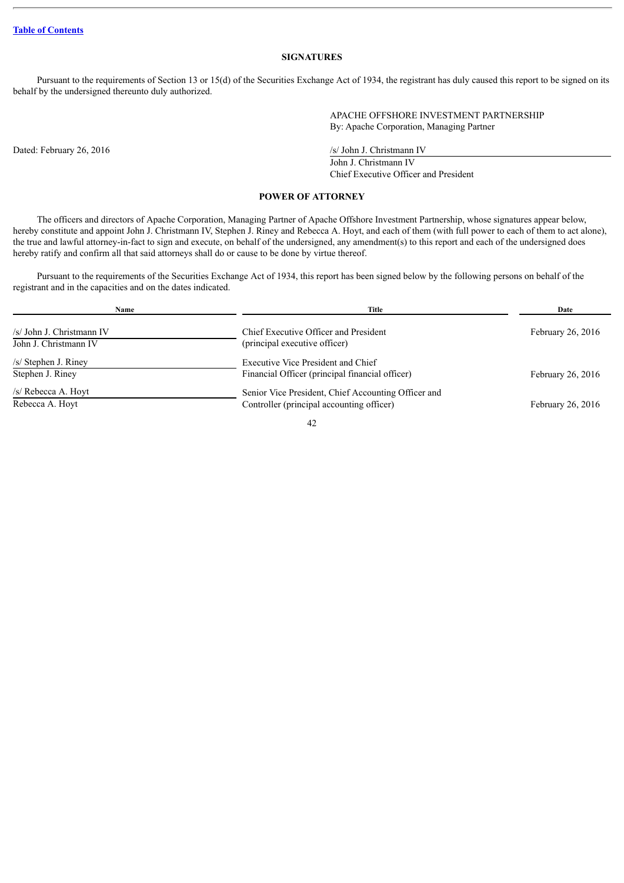## **SIGNATURES**

Pursuant to the requirements of Section 13 or 15(d) of the Securities Exchange Act of 1934, the registrant has duly caused this report to be signed on its behalf by the undersigned thereunto duly authorized.

> APACHE OFFSHORE INVESTMENT PARTNERSHIP By: Apache Corporation, Managing Partner

Dated: February 26, 2016 /s/ John J. Christmann IV

John J. Christmann IV Chief Executive Officer and President

#### **POWER OF ATTORNEY**

The officers and directors of Apache Corporation, Managing Partner of Apache Offshore Investment Partnership, whose signatures appear below, hereby constitute and appoint John J. Christmann IV, Stephen J. Riney and Rebecca A. Hoyt, and each of them (with full power to each of them to act alone), the true and lawful attorney-in-fact to sign and execute, on behalf of the undersigned, any amendment(s) to this report and each of the undersigned does hereby ratify and confirm all that said attorneys shall do or cause to be done by virtue thereof.

Pursuant to the requirements of the Securities Exchange Act of 1934, this report has been signed below by the following persons on behalf of the registrant and in the capacities and on the dates indicated.

| Name                                               | Title                                                                                            | Date              |
|----------------------------------------------------|--------------------------------------------------------------------------------------------------|-------------------|
| /s/ John J. Christmann IV<br>John J. Christmann IV | Chief Executive Officer and President<br>(principal executive officer)                           | February 26, 2016 |
| /s/ Stephen J. Riney<br>Stephen J. Riney           | Executive Vice President and Chief<br>Financial Officer (principal financial officer)            | February 26, 2016 |
| /s/ Rebecca A. Hoyt<br>Rebecca A. Hoyt             | Senior Vice President, Chief Accounting Officer and<br>Controller (principal accounting officer) | February 26, 2016 |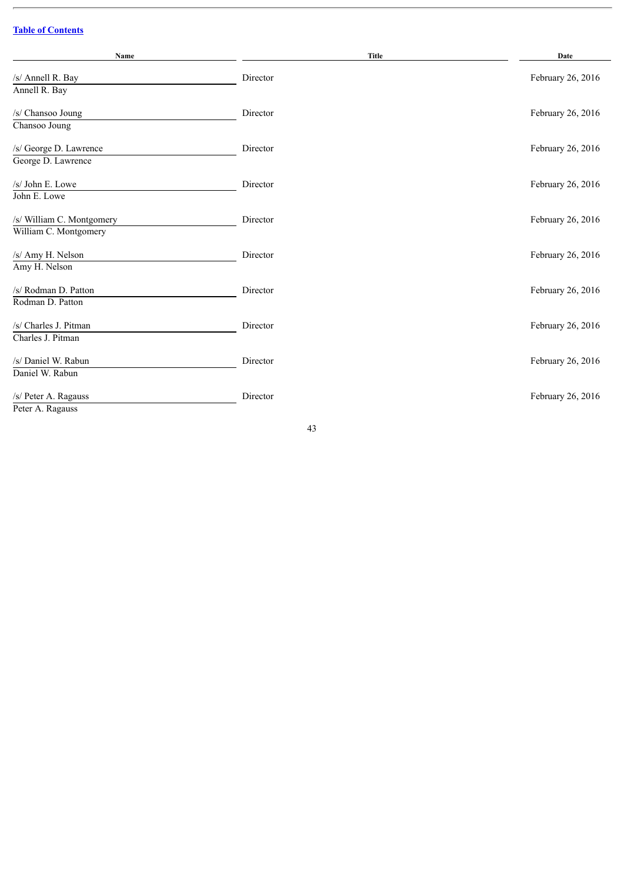L.

| Name                      |          | <b>Title</b><br>Date |
|---------------------------|----------|----------------------|
| /s/ Annell R. Bay         | Director | February 26, 2016    |
| Annell R. Bay             |          |                      |
| /s/ Chansoo Joung         | Director | February 26, 2016    |
| Chansoo Joung             |          |                      |
| /s/ George D. Lawrence    | Director | February 26, 2016    |
| George D. Lawrence        |          |                      |
| /s/ John E. Lowe          | Director | February 26, 2016    |
| John E. Lowe              |          |                      |
| /s/ William C. Montgomery | Director | February 26, 2016    |
| William C. Montgomery     |          |                      |
| /s/ Amy H. Nelson         | Director | February 26, 2016    |
| Amy H. Nelson             |          |                      |
| /s/ Rodman D. Patton      | Director | February 26, 2016    |
| Rodman D. Patton          |          |                      |
| /s/ Charles J. Pitman     | Director | February 26, 2016    |
| Charles J. Pitman         |          |                      |
| /s/ Daniel W. Rabun       | Director | February 26, 2016    |
| Daniel W. Rabun           |          |                      |
| /s/ Peter A. Ragauss      | Director | February 26, 2016    |
| Peter A. Ragauss          |          |                      |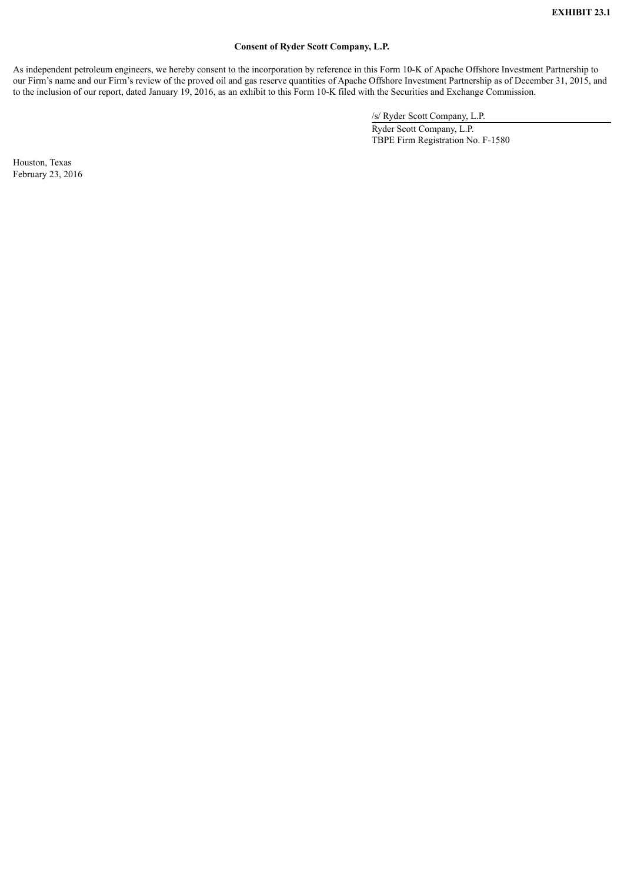## **Consent of Ryder Scott Company, L.P.**

As independent petroleum engineers, we hereby consent to the incorporation by reference in this Form 10-K of Apache Offshore Investment Partnership to our Firm's name and our Firm's review of the proved oil and gas reserve quantities of Apache Offshore Investment Partnership as of December 31, 2015, and to the inclusion of our report, dated January 19, 2016, as an exhibit to this Form 10-K filed with the Securities and Exchange Commission.

/s/ Ryder Scott Company, L.P.

Ryder Scott Company, L.P. TBPE Firm Registration No. F-1580

Houston, Texas February 23, 2016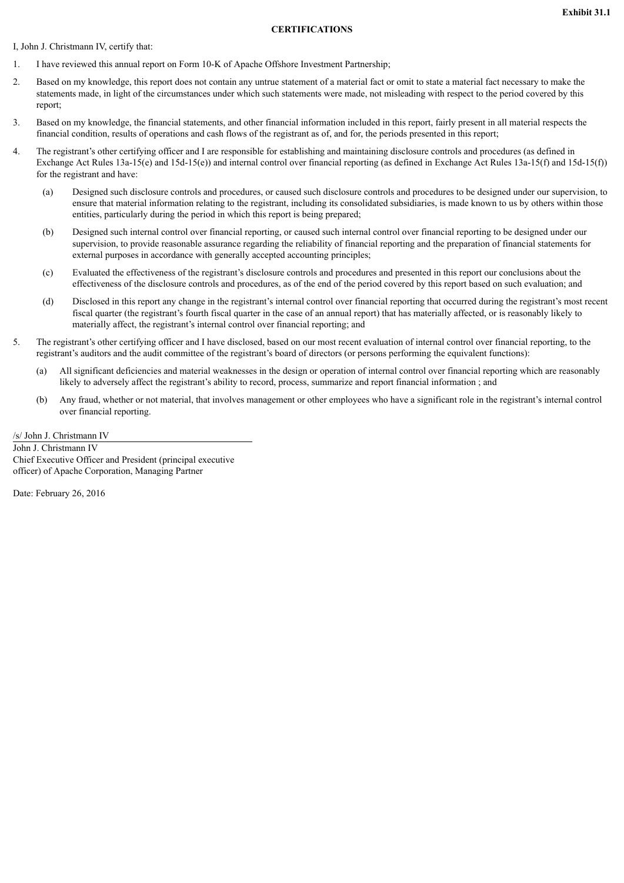## **CERTIFICATIONS**

I, John J. Christmann IV, certify that:

- 1. I have reviewed this annual report on Form 10-K of Apache Offshore Investment Partnership;
- 2. Based on my knowledge, this report does not contain any untrue statement of a material fact or omit to state a material fact necessary to make the statements made, in light of the circumstances under which such statements were made, not misleading with respect to the period covered by this report;
- 3. Based on my knowledge, the financial statements, and other financial information included in this report, fairly present in all material respects the financial condition, results of operations and cash flows of the registrant as of, and for, the periods presented in this report;
- 4. The registrant's other certifying officer and I are responsible for establishing and maintaining disclosure controls and procedures (as defined in Exchange Act Rules 13a-15(e) and 15d-15(e)) and internal control over financial reporting (as defined in Exchange Act Rules 13a-15(f) and 15d-15(f)) for the registrant and have:
	- (a) Designed such disclosure controls and procedures, or caused such disclosure controls and procedures to be designed under our supervision, to ensure that material information relating to the registrant, including its consolidated subsidiaries, is made known to us by others within those entities, particularly during the period in which this report is being prepared;
	- (b) Designed such internal control over financial reporting, or caused such internal control over financial reporting to be designed under our supervision, to provide reasonable assurance regarding the reliability of financial reporting and the preparation of financial statements for external purposes in accordance with generally accepted accounting principles;
	- (c) Evaluated the effectiveness of the registrant's disclosure controls and procedures and presented in this report our conclusions about the effectiveness of the disclosure controls and procedures, as of the end of the period covered by this report based on such evaluation; and
	- (d) Disclosed in this report any change in the registrant's internal control over financial reporting that occurred during the registrant's most recent fiscal quarter (the registrant's fourth fiscal quarter in the case of an annual report) that has materially affected, or is reasonably likely to materially affect, the registrant's internal control over financial reporting; and
- 5. The registrant's other certifying officer and I have disclosed, based on our most recent evaluation of internal control over financial reporting, to the registrant's auditors and the audit committee of the registrant's board of directors (or persons performing the equivalent functions):
	- (a) All significant deficiencies and material weaknesses in the design or operation of internal control over financial reporting which are reasonably likely to adversely affect the registrant's ability to record, process, summarize and report financial information ; and
	- (b) Any fraud, whether or not material, that involves management or other employees who have a significant role in the registrant's internal control over financial reporting.

/s/ John J. Christmann IV

John J. Christmann IV Chief Executive Officer and President (principal executive officer) of Apache Corporation, Managing Partner

Date: February 26, 2016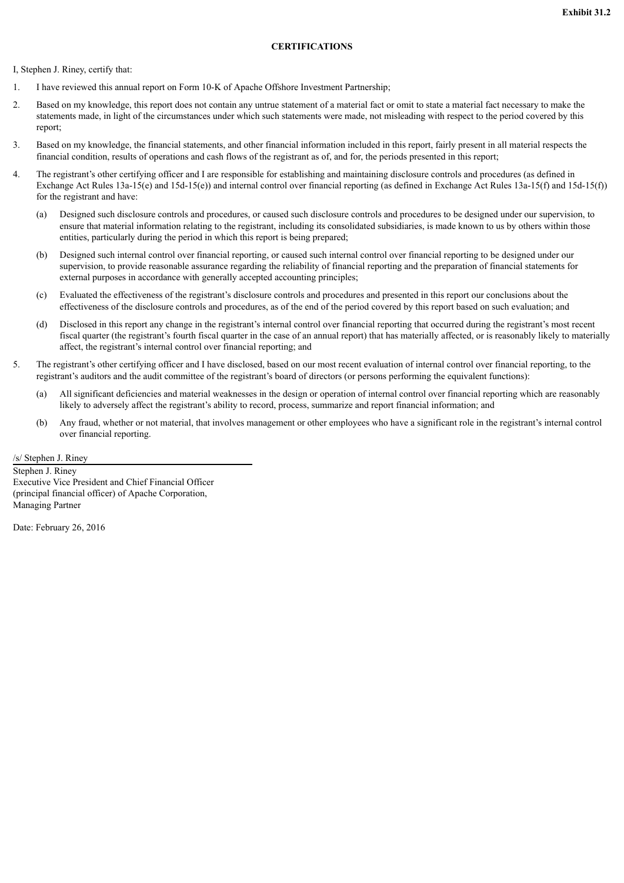## **CERTIFICATIONS**

I, Stephen J. Riney, certify that:

- 1. I have reviewed this annual report on Form 10-K of Apache Offshore Investment Partnership;
- 2. Based on my knowledge, this report does not contain any untrue statement of a material fact or omit to state a material fact necessary to make the statements made, in light of the circumstances under which such statements were made, not misleading with respect to the period covered by this report;
- 3. Based on my knowledge, the financial statements, and other financial information included in this report, fairly present in all material respects the financial condition, results of operations and cash flows of the registrant as of, and for, the periods presented in this report;
- 4. The registrant's other certifying officer and I are responsible for establishing and maintaining disclosure controls and procedures (as defined in Exchange Act Rules 13a-15(e) and 15d-15(e)) and internal control over financial reporting (as defined in Exchange Act Rules 13a-15(f) and 15d-15(f)) for the registrant and have:
	- (a) Designed such disclosure controls and procedures, or caused such disclosure controls and procedures to be designed under our supervision, to ensure that material information relating to the registrant, including its consolidated subsidiaries, is made known to us by others within those entities, particularly during the period in which this report is being prepared;
	- (b) Designed such internal control over financial reporting, or caused such internal control over financial reporting to be designed under our supervision, to provide reasonable assurance regarding the reliability of financial reporting and the preparation of financial statements for external purposes in accordance with generally accepted accounting principles;
	- (c) Evaluated the effectiveness of the registrant's disclosure controls and procedures and presented in this report our conclusions about the effectiveness of the disclosure controls and procedures, as of the end of the period covered by this report based on such evaluation; and
	- (d) Disclosed in this report any change in the registrant's internal control over financial reporting that occurred during the registrant's most recent fiscal quarter (the registrant's fourth fiscal quarter in the case of an annual report) that has materially affected, or is reasonably likely to materially affect, the registrant's internal control over financial reporting; and
- 5. The registrant's other certifying officer and I have disclosed, based on our most recent evaluation of internal control over financial reporting, to the registrant's auditors and the audit committee of the registrant's board of directors (or persons performing the equivalent functions):
	- (a) All significant deficiencies and material weaknesses in the design or operation of internal control over financial reporting which are reasonably likely to adversely affect the registrant's ability to record, process, summarize and report financial information; and
	- (b) Any fraud, whether or not material, that involves management or other employees who have a significant role in the registrant's internal control over financial reporting.

/s/ Stephen J. Riney Stephen J. Riney Executive Vice President and Chief Financial Officer (principal financial officer) of Apache Corporation, Managing Partner

Date: February 26, 2016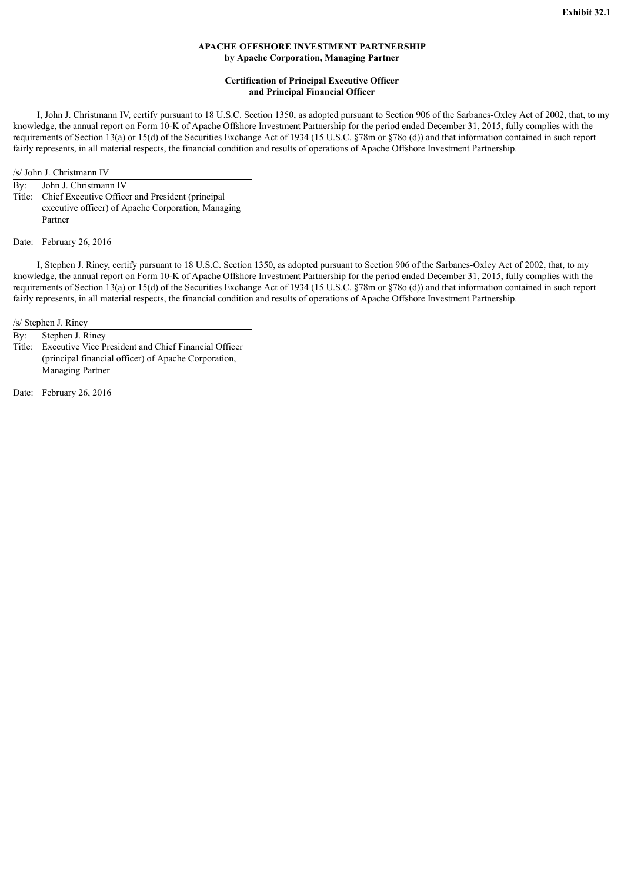## **APACHE OFFSHORE INVESTMENT PARTNERSHIP by Apache Corporation, Managing Partner**

## **Certification of Principal Executive Officer and Principal Financial Officer**

I, John J. Christmann IV, certify pursuant to 18 U.S.C. Section 1350, as adopted pursuant to Section 906 of the Sarbanes-Oxley Act of 2002, that, to my knowledge, the annual report on Form 10-K of Apache Offshore Investment Partnership for the period ended December 31, 2015, fully complies with the requirements of Section 13(a) or 15(d) of the Securities Exchange Act of 1934 (15 U.S.C. §78m or §78o (d)) and that information contained in such report fairly represents, in all material respects, the financial condition and results of operations of Apache Offshore Investment Partnership.

/s/ John J. Christmann IV

By: John J. Christmann IV

Title: Chief Executive Officer and President (principal executive officer) of Apache Corporation, Managing Partner

Date: February 26, 2016

I, Stephen J. Riney, certify pursuant to 18 U.S.C. Section 1350, as adopted pursuant to Section 906 of the Sarbanes-Oxley Act of 2002, that, to my knowledge, the annual report on Form 10-K of Apache Offshore Investment Partnership for the period ended December 31, 2015, fully complies with the requirements of Section 13(a) or 15(d) of the Securities Exchange Act of 1934 (15 U.S.C. §78m or §78o (d)) and that information contained in such report fairly represents, in all material respects, the financial condition and results of operations of Apache Offshore Investment Partnership.

/s/ Stephen J. Riney

By: Stephen J. Riney

Title: Executive Vice President and Chief Financial Officer (principal financial officer) of Apache Corporation, Managing Partner

Date: February 26, 2016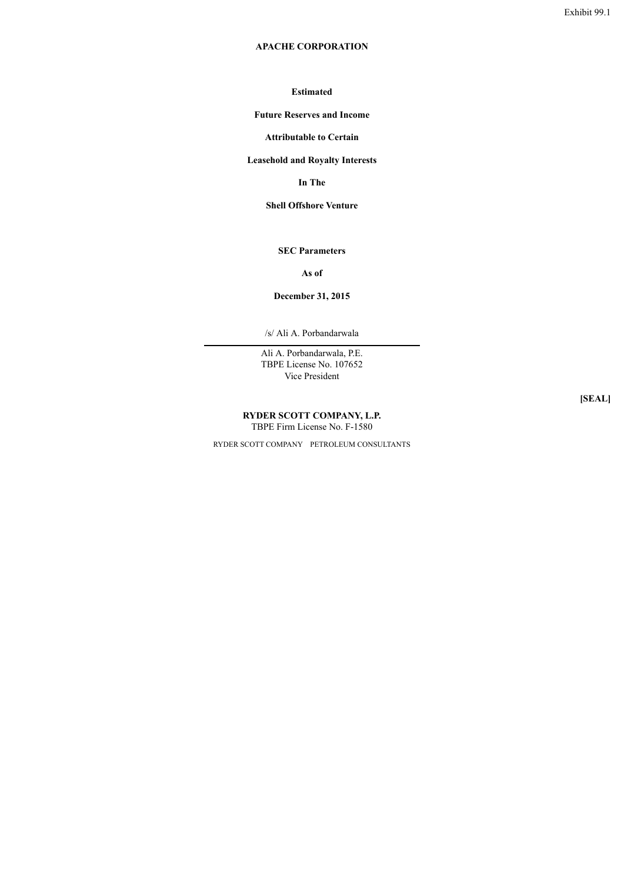## **APACHE CORPORATION**

## **Estimated**

**Future Reserves and Income**

## **Attributable to Certain**

## **Leasehold and Royalty Interests**

**In The**

**Shell Offshore Venture**

#### **SEC Parameters**

**As of**

## **December 31, 2015**

/s/ Ali A. Porbandarwala

Ali A. Porbandarwala, P.E. TBPE License No. 107652 Vice President

**[SEAL]**

#### **RYDER SCOTT COMPANY, L.P.** TBPE Firm License No. F-1580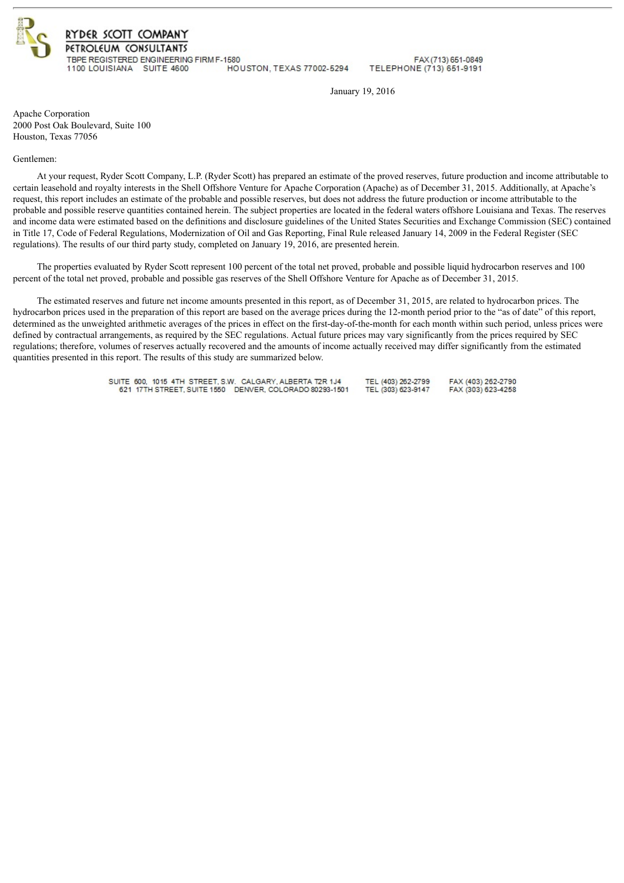

**HOUSTON, TEXAS 77002-5294** 

FAX (713) 651-0849 TELEPHONE (713) 651-9191

January 19, 2016

Apache Corporation 2000 Post Oak Boulevard, Suite 100 Houston, Texas 77056

#### Gentlemen:

At your request, Ryder Scott Company, L.P. (Ryder Scott) has prepared an estimate of the proved reserves, future production and income attributable to certain leasehold and royalty interests in the Shell Offshore Venture for Apache Corporation (Apache) as of December 31, 2015. Additionally, at Apache's request, this report includes an estimate of the probable and possible reserves, but does not address the future production or income attributable to the probable and possible reserve quantities contained herein. The subject properties are located in the federal waters offshore Louisiana and Texas. The reserves and income data were estimated based on the definitions and disclosure guidelines of the United States Securities and Exchange Commission (SEC) contained in Title 17, Code of Federal Regulations, Modernization of Oil and Gas Reporting, Final Rule released January 14, 2009 in the Federal Register (SEC regulations). The results of our third party study, completed on January 19, 2016, are presented herein.

The properties evaluated by Ryder Scott represent 100 percent of the total net proved, probable and possible liquid hydrocarbon reserves and 100 percent of the total net proved, probable and possible gas reserves of the Shell Offshore Venture for Apache as of December 31, 2015.

The estimated reserves and future net income amounts presented in this report, as of December 31, 2015, are related to hydrocarbon prices. The hydrocarbon prices used in the preparation of this report are based on the average prices during the 12-month period prior to the "as of date" of this report, determined as the unweighted arithmetic averages of the prices in effect on the first-day-of-the-month for each month within such period, unless prices were defined by contractual arrangements, as required by the SEC regulations. Actual future prices may vary significantly from the prices required by SEC regulations; therefore, volumes of reserves actually recovered and the amounts of income actually received may differ significantly from the estimated quantities presented in this report. The results of this study are summarized below.

> SUITE 600, 1015 4TH STREET, S.W. CALGARY, ALBERTA T2R 1J4<br>621 17TH STREET, SUITE 1550 DENVER, COLORADO 80293-1501 TEL (403) 262-2799 FAX (403) 262-2790 TEL (303) 623-9147 FAX (303) 623-4258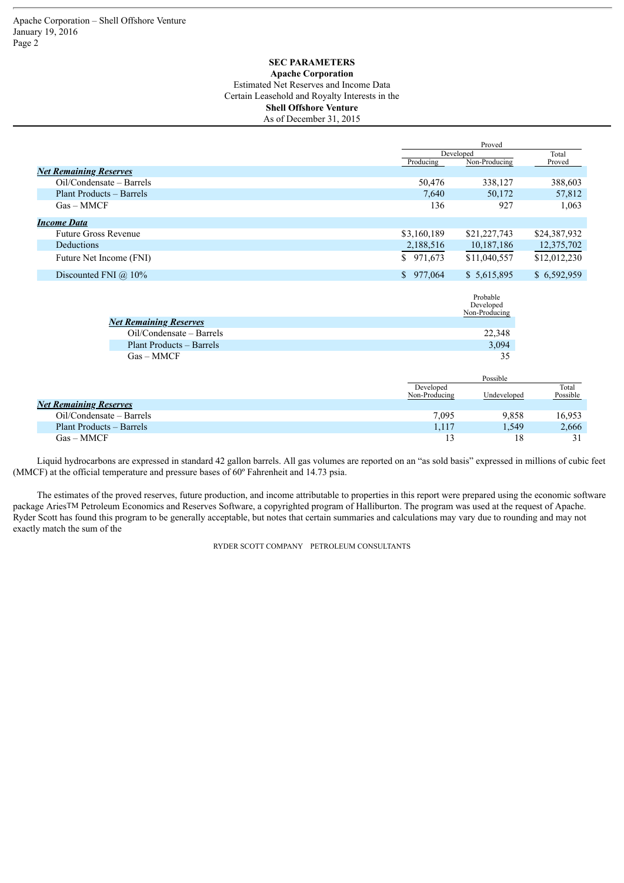## **SEC PARAMETERS**

# **Apache Corporation**

Estimated Net Reserves and Income Data Certain Leasehold and Royalty Interests in the

## **Shell Offshore Venture**

## As of December 31, 2015

|                                 |                            | Proved                                 |                   |  |
|---------------------------------|----------------------------|----------------------------------------|-------------------|--|
|                                 |                            | Developed                              |                   |  |
|                                 | Producing                  | Non-Producing                          | Proved            |  |
| <b>Net Remaining Reserves</b>   |                            |                                        |                   |  |
| Oil/Condensate - Barrels        | 50,476                     | 338,127                                | 388,603           |  |
| <b>Plant Products - Barrels</b> | 7,640                      | 50,172                                 | 57,812            |  |
| Gas - MMCF                      | 136                        | 927                                    | 1,063             |  |
| <b>Income Data</b>              |                            |                                        |                   |  |
| <b>Future Gross Revenue</b>     | \$3,160,189                | \$21,227,743                           | \$24,387,932      |  |
| Deductions                      | 2,188,516                  | 10,187,186                             | 12,375,702        |  |
| Future Net Income (FNI)         | \$971,673                  | \$11,040,557                           | \$12,012,230      |  |
| Discounted FNI @ 10%            | \$977,064                  | \$5,615,895                            | \$6,592,959       |  |
| <b>Net Remaining Reserves</b>   |                            | Probable<br>Developed<br>Non-Producing |                   |  |
| Oil/Condensate – Barrels        |                            | 22,348                                 |                   |  |
| Plant Products - Barrels        |                            | 3,094                                  |                   |  |
| $Gas-MMCF$                      |                            | 35                                     |                   |  |
|                                 |                            | Possible                               |                   |  |
|                                 | Developed<br>Non-Producing | Undeveloped                            | Total<br>Possible |  |
| <b>Net Remaining Reserves</b>   |                            |                                        |                   |  |
| Oil/Condensate – Barrels        | 7,095                      | 9,858                                  | 16,953            |  |
| <b>Plant Products - Barrels</b> | 1,117                      | 1,549                                  | 2,666             |  |
| Gas - MMCF                      | 13                         | 18                                     | 31                |  |

Liquid hydrocarbons are expressed in standard 42 gallon barrels. All gas volumes are reported on an "as sold basis" expressed in millions of cubic feet (MMCF) at the official temperature and pressure bases of 60º Fahrenheit and 14.73 psia.

The estimates of the proved reserves, future production, and income attributable to properties in this report were prepared using the economic software package AriesTM Petroleum Economics and Reserves Software, a copyrighted program of Halliburton. The program was used at the request of Apache. Ryder Scott has found this program to be generally acceptable, but notes that certain summaries and calculations may vary due to rounding and may not exactly match the sum of the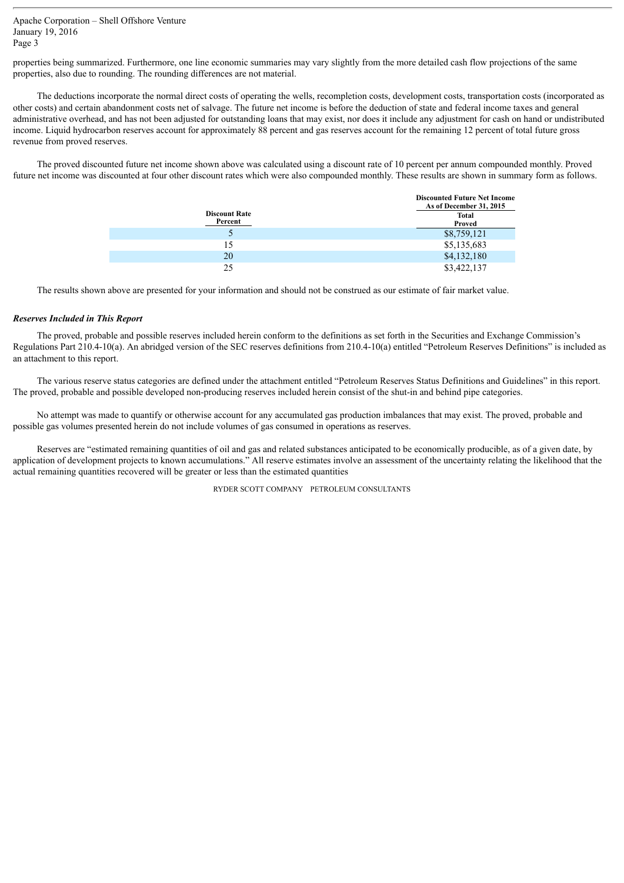properties being summarized. Furthermore, one line economic summaries may vary slightly from the more detailed cash flow projections of the same properties, also due to rounding. The rounding differences are not material.

The deductions incorporate the normal direct costs of operating the wells, recompletion costs, development costs, transportation costs (incorporated as other costs) and certain abandonment costs net of salvage. The future net income is before the deduction of state and federal income taxes and general administrative overhead, and has not been adjusted for outstanding loans that may exist, nor does it include any adjustment for cash on hand or undistributed income. Liquid hydrocarbon reserves account for approximately 88 percent and gas reserves account for the remaining 12 percent of total future gross revenue from proved reserves.

The proved discounted future net income shown above was calculated using a discount rate of 10 percent per annum compounded monthly. Proved future net income was discounted at four other discount rates which were also compounded monthly. These results are shown in summary form as follows.

|                                 | Discounted Future Net Income<br>As of December 31, 2015 |
|---------------------------------|---------------------------------------------------------|
| <b>Discount Rate</b><br>Percent | Total<br>Proved                                         |
|                                 | \$8,759,121                                             |
| 15                              | \$5,135,683                                             |
| 20                              | \$4,132,180                                             |
| つく                              | \$3,422,137                                             |

**Discounted Future Net Income**

The results shown above are presented for your information and should not be construed as our estimate of fair market value.

#### *Reserves Included in This Report*

The proved, probable and possible reserves included herein conform to the definitions as set forth in the Securities and Exchange Commission's Regulations Part 210.4-10(a). An abridged version of the SEC reserves definitions from 210.4-10(a) entitled "Petroleum Reserves Definitions" is included as an attachment to this report.

The various reserve status categories are defined under the attachment entitled "Petroleum Reserves Status Definitions and Guidelines" in this report. The proved, probable and possible developed non-producing reserves included herein consist of the shut-in and behind pipe categories.

No attempt was made to quantify or otherwise account for any accumulated gas production imbalances that may exist. The proved, probable and possible gas volumes presented herein do not include volumes of gas consumed in operations as reserves.

Reserves are "estimated remaining quantities of oil and gas and related substances anticipated to be economically producible, as of a given date, by application of development projects to known accumulations." All reserve estimates involve an assessment of the uncertainty relating the likelihood that the actual remaining quantities recovered will be greater or less than the estimated quantities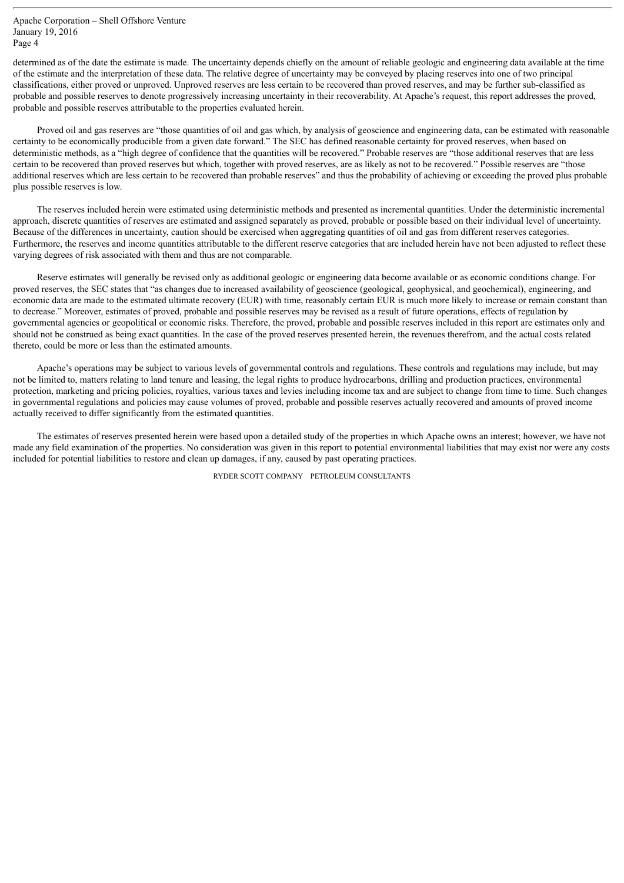determined as of the date the estimate is made. The uncertainty depends chiefly on the amount of reliable geologic and engineering data available at the time of the estimate and the interpretation of these data. The relative degree of uncertainty may be conveyed by placing reserves into one of two principal classifications, either proved or unproved. Unproved reserves are less certain to be recovered than proved reserves, and may be further sub-classified as probable and possible reserves to denote progressively increasing uncertainty in their recoverability. At Apache's request, this report addresses the proved, probable and possible reserves attributable to the properties evaluated herein.

Proved oil and gas reserves are "those quantities of oil and gas which, by analysis of geoscience and engineering data, can be estimated with reasonable certainty to be economically producible from a given date forward." The SEC has defined reasonable certainty for proved reserves, when based on deterministic methods, as a "high degree of confidence that the quantities will be recovered." Probable reserves are "those additional reserves that are less certain to be recovered than proved reserves but which, together with proved reserves, are as likely as not to be recovered." Possible reserves are "those additional reserves which are less certain to be recovered than probable reserves" and thus the probability of achieving or exceeding the proved plus probable plus possible reserves is low.

The reserves included herein were estimated using deterministic methods and presented as incremental quantities. Under the deterministic incremental approach, discrete quantities of reserves are estimated and assigned separately as proved, probable or possible based on their individual level of uncertainty. Because of the differences in uncertainty, caution should be exercised when aggregating quantities of oil and gas from different reserves categories. Furthermore, the reserves and income quantities attributable to the different reserve categories that are included herein have not been adjusted to reflect these varying degrees of risk associated with them and thus are not comparable.

Reserve estimates will generally be revised only as additional geologic or engineering data become available or as economic conditions change. For proved reserves, the SEC states that "as changes due to increased availability of geoscience (geological, geophysical, and geochemical), engineering, and economic data are made to the estimated ultimate recovery (EUR) with time, reasonably certain EUR is much more likely to increase or remain constant than to decrease." Moreover, estimates of proved, probable and possible reserves may be revised as a result of future operations, effects of regulation by governmental agencies or geopolitical or economic risks. Therefore, the proved, probable and possible reserves included in this report are estimates only and should not be construed as being exact quantities. In the case of the proved reserves presented herein, the revenues therefrom, and the actual costs related thereto, could be more or less than the estimated amounts.

Apache's operations may be subject to various levels of governmental controls and regulations. These controls and regulations may include, but may not be limited to, matters relating to land tenure and leasing, the legal rights to produce hydrocarbons, drilling and production practices, environmental protection, marketing and pricing policies, royalties, various taxes and levies including income tax and are subject to change from time to time. Such changes in governmental regulations and policies may cause volumes of proved, probable and possible reserves actually recovered and amounts of proved income actually received to differ significantly from the estimated quantities.

The estimates of reserves presented herein were based upon a detailed study of the properties in which Apache owns an interest; however, we have not made any field examination of the properties. No consideration was given in this report to potential environmental liabilities that may exist nor were any costs included for potential liabilities to restore and clean up damages, if any, caused by past operating practices.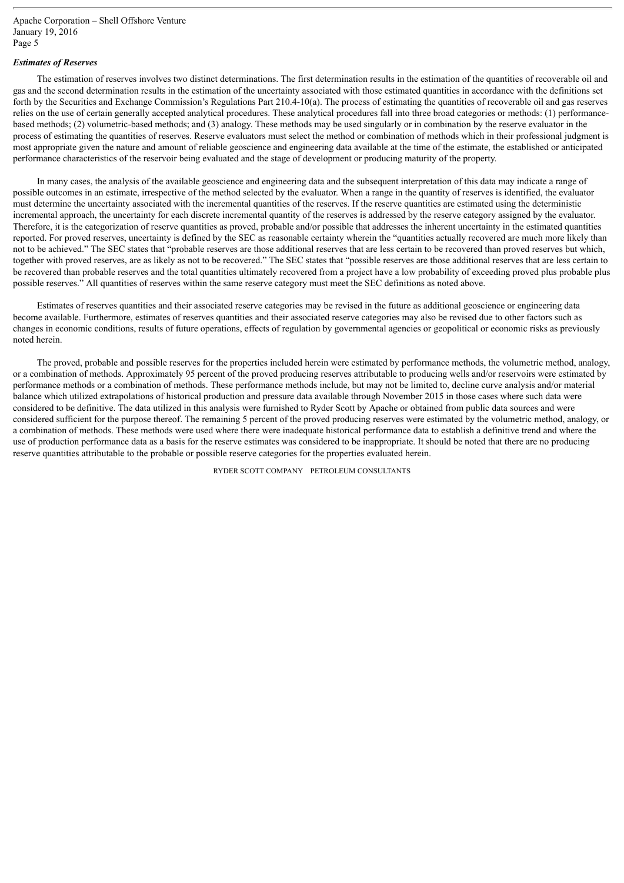## *Estimates of Reserves*

The estimation of reserves involves two distinct determinations. The first determination results in the estimation of the quantities of recoverable oil and gas and the second determination results in the estimation of the uncertainty associated with those estimated quantities in accordance with the definitions set forth by the Securities and Exchange Commission's Regulations Part 210.4-10(a). The process of estimating the quantities of recoverable oil and gas reserves relies on the use of certain generally accepted analytical procedures. These analytical procedures fall into three broad categories or methods: (1) performancebased methods; (2) volumetric-based methods; and (3) analogy. These methods may be used singularly or in combination by the reserve evaluator in the process of estimating the quantities of reserves. Reserve evaluators must select the method or combination of methods which in their professional judgment is most appropriate given the nature and amount of reliable geoscience and engineering data available at the time of the estimate, the established or anticipated performance characteristics of the reservoir being evaluated and the stage of development or producing maturity of the property.

In many cases, the analysis of the available geoscience and engineering data and the subsequent interpretation of this data may indicate a range of possible outcomes in an estimate, irrespective of the method selected by the evaluator. When a range in the quantity of reserves is identified, the evaluator must determine the uncertainty associated with the incremental quantities of the reserves. If the reserve quantities are estimated using the deterministic incremental approach, the uncertainty for each discrete incremental quantity of the reserves is addressed by the reserve category assigned by the evaluator. Therefore, it is the categorization of reserve quantities as proved, probable and/or possible that addresses the inherent uncertainty in the estimated quantities reported. For proved reserves, uncertainty is defined by the SEC as reasonable certainty wherein the "quantities actually recovered are much more likely than not to be achieved." The SEC states that "probable reserves are those additional reserves that are less certain to be recovered than proved reserves but which, together with proved reserves, are as likely as not to be recovered." The SEC states that "possible reserves are those additional reserves that are less certain to be recovered than probable reserves and the total quantities ultimately recovered from a project have a low probability of exceeding proved plus probable plus possible reserves." All quantities of reserves within the same reserve category must meet the SEC definitions as noted above.

Estimates of reserves quantities and their associated reserve categories may be revised in the future as additional geoscience or engineering data become available. Furthermore, estimates of reserves quantities and their associated reserve categories may also be revised due to other factors such as changes in economic conditions, results of future operations, effects of regulation by governmental agencies or geopolitical or economic risks as previously noted herein.

The proved, probable and possible reserves for the properties included herein were estimated by performance methods, the volumetric method, analogy, or a combination of methods. Approximately 95 percent of the proved producing reserves attributable to producing wells and/or reservoirs were estimated by performance methods or a combination of methods. These performance methods include, but may not be limited to, decline curve analysis and/or material balance which utilized extrapolations of historical production and pressure data available through November 2015 in those cases where such data were considered to be definitive. The data utilized in this analysis were furnished to Ryder Scott by Apache or obtained from public data sources and were considered sufficient for the purpose thereof. The remaining 5 percent of the proved producing reserves were estimated by the volumetric method, analogy, or a combination of methods. These methods were used where there were inadequate historical performance data to establish a definitive trend and where the use of production performance data as a basis for the reserve estimates was considered to be inappropriate. It should be noted that there are no producing reserve quantities attributable to the probable or possible reserve categories for the properties evaluated herein.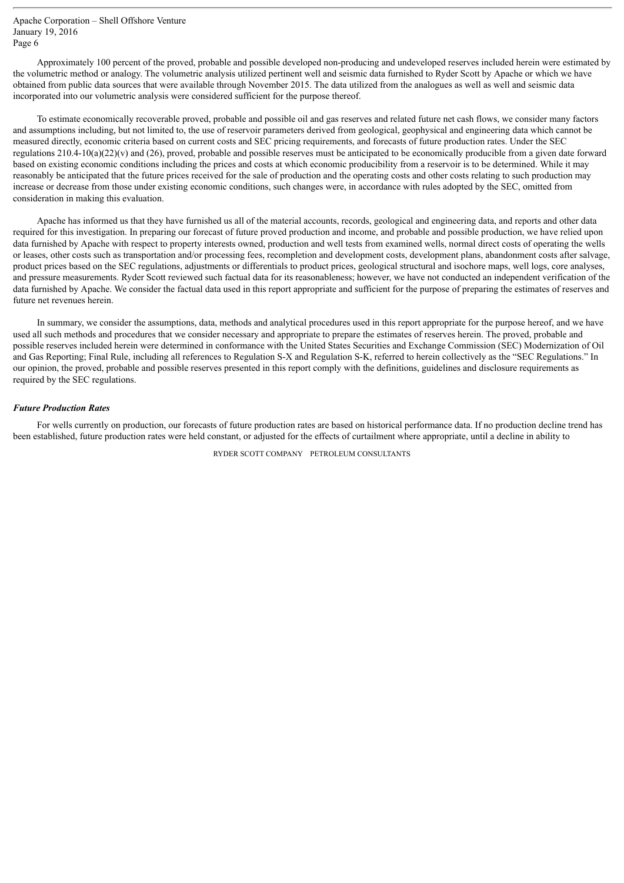Approximately 100 percent of the proved, probable and possible developed non-producing and undeveloped reserves included herein were estimated by the volumetric method or analogy. The volumetric analysis utilized pertinent well and seismic data furnished to Ryder Scott by Apache or which we have obtained from public data sources that were available through November 2015. The data utilized from the analogues as well as well and seismic data incorporated into our volumetric analysis were considered sufficient for the purpose thereof.

To estimate economically recoverable proved, probable and possible oil and gas reserves and related future net cash flows, we consider many factors and assumptions including, but not limited to, the use of reservoir parameters derived from geological, geophysical and engineering data which cannot be measured directly, economic criteria based on current costs and SEC pricing requirements, and forecasts of future production rates. Under the SEC regulations  $210.4-10(a)(22)(v)$  and (26), proved, probable and possible reserves must be anticipated to be economically producible from a given date forward based on existing economic conditions including the prices and costs at which economic producibility from a reservoir is to be determined. While it may reasonably be anticipated that the future prices received for the sale of production and the operating costs and other costs relating to such production may increase or decrease from those under existing economic conditions, such changes were, in accordance with rules adopted by the SEC, omitted from consideration in making this evaluation.

Apache has informed us that they have furnished us all of the material accounts, records, geological and engineering data, and reports and other data required for this investigation. In preparing our forecast of future proved production and income, and probable and possible production, we have relied upon data furnished by Apache with respect to property interests owned, production and well tests from examined wells, normal direct costs of operating the wells or leases, other costs such as transportation and/or processing fees, recompletion and development costs, development plans, abandonment costs after salvage, product prices based on the SEC regulations, adjustments or differentials to product prices, geological structural and isochore maps, well logs, core analyses, and pressure measurements. Ryder Scott reviewed such factual data for its reasonableness; however, we have not conducted an independent verification of the data furnished by Apache. We consider the factual data used in this report appropriate and sufficient for the purpose of preparing the estimates of reserves and future net revenues herein.

In summary, we consider the assumptions, data, methods and analytical procedures used in this report appropriate for the purpose hereof, and we have used all such methods and procedures that we consider necessary and appropriate to prepare the estimates of reserves herein. The proved, probable and possible reserves included herein were determined in conformance with the United States Securities and Exchange Commission (SEC) Modernization of Oil and Gas Reporting; Final Rule, including all references to Regulation S-X and Regulation S-K, referred to herein collectively as the "SEC Regulations." In our opinion, the proved, probable and possible reserves presented in this report comply with the definitions, guidelines and disclosure requirements as required by the SEC regulations.

#### *Future Production Rates*

For wells currently on production, our forecasts of future production rates are based on historical performance data. If no production decline trend has been established, future production rates were held constant, or adjusted for the effects of curtailment where appropriate, until a decline in ability to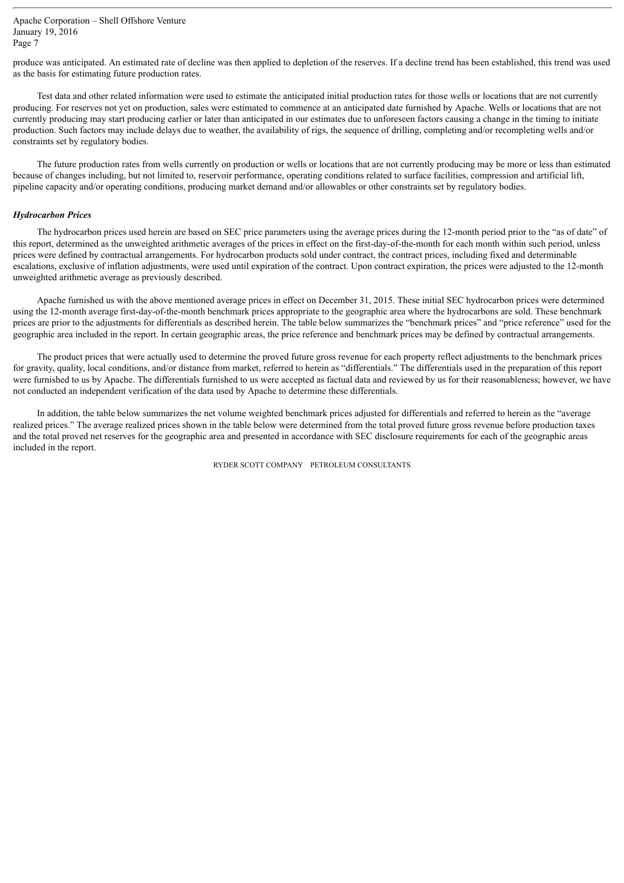produce was anticipated. An estimated rate of decline was then applied to depletion of the reserves. If a decline trend has been established, this trend was used as the basis for estimating future production rates.

Test data and other related information were used to estimate the anticipated initial production rates for those wells or locations that are not currently producing. For reserves not yet on production, sales were estimated to commence at an anticipated date furnished by Apache. Wells or locations that are not currently producing may start producing earlier or later than anticipated in our estimates due to unforeseen factors causing a change in the timing to initiate production. Such factors may include delays due to weather, the availability of rigs, the sequence of drilling, completing and/or recompleting wells and/or constraints set by regulatory bodies.

The future production rates from wells currently on production or wells or locations that are not currently producing may be more or less than estimated because of changes including, but not limited to, reservoir performance, operating conditions related to surface facilities, compression and artificial lift, pipeline capacity and/or operating conditions, producing market demand and/or allowables or other constraints set by regulatory bodies.

#### *Hydrocarbon Prices*

The hydrocarbon prices used herein are based on SEC price parameters using the average prices during the 12-month period prior to the "as of date" of this report, determined as the unweighted arithmetic averages of the prices in effect on the first-day-of-the-month for each month within such period, unless prices were defined by contractual arrangements. For hydrocarbon products sold under contract, the contract prices, including fixed and determinable escalations, exclusive of inflation adjustments, were used until expiration of the contract. Upon contract expiration, the prices were adjusted to the 12-month unweighted arithmetic average as previously described.

Apache furnished us with the above mentioned average prices in effect on December 31, 2015. These initial SEC hydrocarbon prices were determined using the 12-month average first-day-of-the-month benchmark prices appropriate to the geographic area where the hydrocarbons are sold. These benchmark prices are prior to the adjustments for differentials as described herein. The table below summarizes the "benchmark prices" and "price reference" used for the geographic area included in the report. In certain geographic areas, the price reference and benchmark prices may be defined by contractual arrangements.

The product prices that were actually used to determine the proved future gross revenue for each property reflect adjustments to the benchmark prices for gravity, quality, local conditions, and/or distance from market, referred to herein as "differentials." The differentials used in the preparation of this report were furnished to us by Apache. The differentials furnished to us were accepted as factual data and reviewed by us for their reasonableness; however, we have not conducted an independent verification of the data used by Apache to determine these differentials.

In addition, the table below summarizes the net volume weighted benchmark prices adjusted for differentials and referred to herein as the "average realized prices." The average realized prices shown in the table below were determined from the total proved future gross revenue before production taxes and the total proved net reserves for the geographic area and presented in accordance with SEC disclosure requirements for each of the geographic areas included in the report.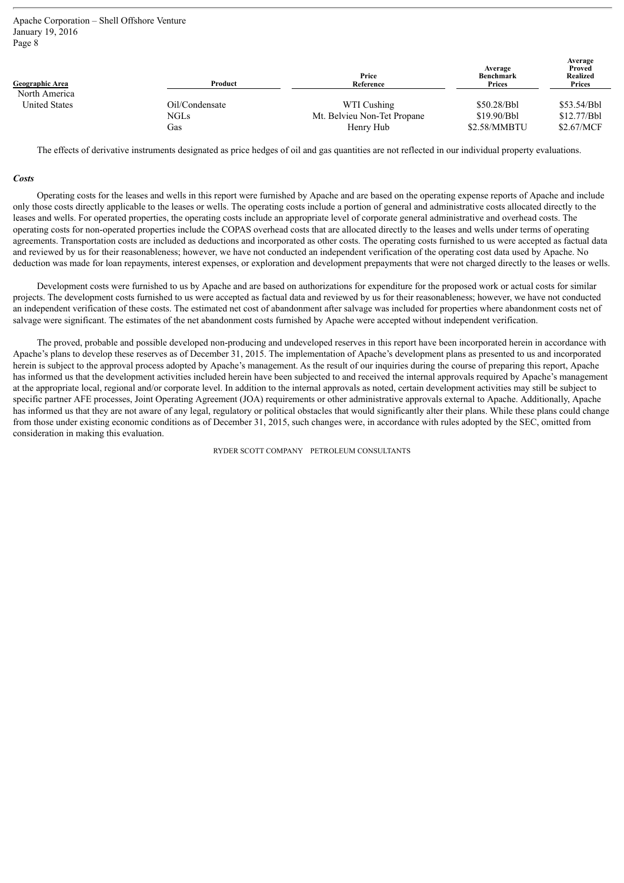| Geographic Area                | Product        | Price<br>Reference          | Average<br><b>Benchmark</b><br><b>Prices</b> | <i><b>INVERSE</b></i><br>Proved<br><b>Realized</b><br>Prices |
|--------------------------------|----------------|-----------------------------|----------------------------------------------|--------------------------------------------------------------|
| North America<br>United States | Oil/Condensate | WTI Cushing                 | \$50.28/Bbl                                  | \$53.54/Bbl                                                  |
|                                | NGLs           | Mt. Belvieu Non-Tet Propane | \$19.90/Bbl                                  | \$12.77/Bbl                                                  |
|                                | Gas            | Henry Hub                   | \$2.58/MMBTU                                 | \$2.67/MCF                                                   |

**Average**

The effects of derivative instruments designated as price hedges of oil and gas quantities are not reflected in our individual property evaluations.

#### *Costs*

Operating costs for the leases and wells in this report were furnished by Apache and are based on the operating expense reports of Apache and include only those costs directly applicable to the leases or wells. The operating costs include a portion of general and administrative costs allocated directly to the leases and wells. For operated properties, the operating costs include an appropriate level of corporate general administrative and overhead costs. The operating costs for non-operated properties include the COPAS overhead costs that are allocated directly to the leases and wells under terms of operating agreements. Transportation costs are included as deductions and incorporated as other costs. The operating costs furnished to us were accepted as factual data and reviewed by us for their reasonableness; however, we have not conducted an independent verification of the operating cost data used by Apache. No deduction was made for loan repayments, interest expenses, or exploration and development prepayments that were not charged directly to the leases or wells.

Development costs were furnished to us by Apache and are based on authorizations for expenditure for the proposed work or actual costs for similar projects. The development costs furnished to us were accepted as factual data and reviewed by us for their reasonableness; however, we have not conducted an independent verification of these costs. The estimated net cost of abandonment after salvage was included for properties where abandonment costs net of salvage were significant. The estimates of the net abandonment costs furnished by Apache were accepted without independent verification.

The proved, probable and possible developed non-producing and undeveloped reserves in this report have been incorporated herein in accordance with Apache's plans to develop these reserves as of December 31, 2015. The implementation of Apache's development plans as presented to us and incorporated herein is subject to the approval process adopted by Apache's management. As the result of our inquiries during the course of preparing this report, Apache has informed us that the development activities included herein have been subjected to and received the internal approvals required by Apache's management at the appropriate local, regional and/or corporate level. In addition to the internal approvals as noted, certain development activities may still be subject to specific partner AFE processes, Joint Operating Agreement (JOA) requirements or other administrative approvals external to Apache. Additionally, Apache has informed us that they are not aware of any legal, regulatory or political obstacles that would significantly alter their plans. While these plans could change from those under existing economic conditions as of December 31, 2015, such changes were, in accordance with rules adopted by the SEC, omitted from consideration in making this evaluation.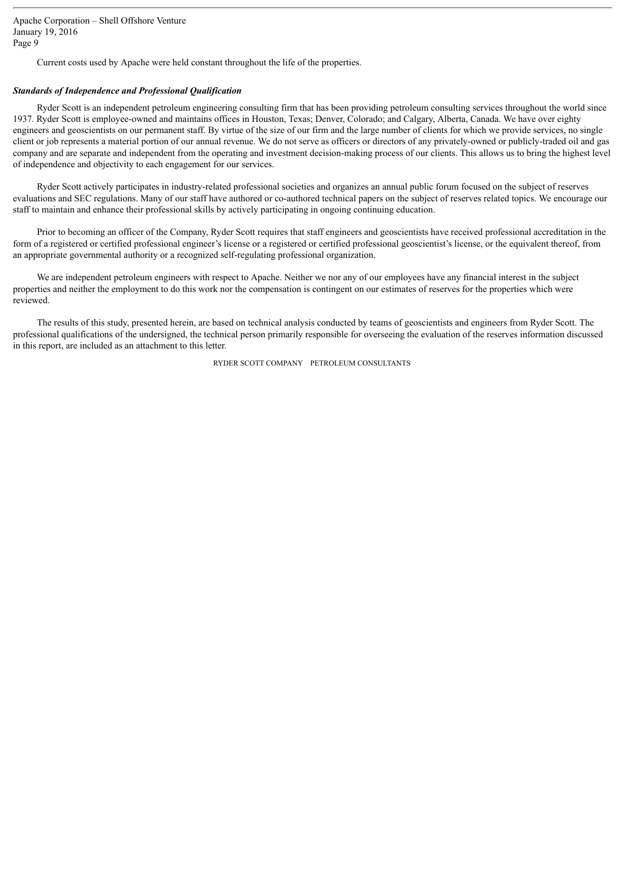Current costs used by Apache were held constant throughout the life of the properties.

#### *Standards of Independence and Professional Qualification*

Ryder Scott is an independent petroleum engineering consulting firm that has been providing petroleum consulting services throughout the world since 1937. Ryder Scott is employee-owned and maintains offices in Houston, Texas; Denver, Colorado; and Calgary, Alberta, Canada. We have over eighty engineers and geoscientists on our permanent staff. By virtue of the size of our firm and the large number of clients for which we provide services, no single client or job represents a material portion of our annual revenue. We do not serve as officers or directors of any privately-owned or publicly-traded oil and gas company and are separate and independent from the operating and investment decision-making process of our clients. This allows us to bring the highest level of independence and objectivity to each engagement for our services.

Ryder Scott actively participates in industry-related professional societies and organizes an annual public forum focused on the subject of reserves evaluations and SEC regulations. Many of our staff have authored or co-authored technical papers on the subject of reserves related topics. We encourage our staff to maintain and enhance their professional skills by actively participating in ongoing continuing education.

Prior to becoming an officer of the Company, Ryder Scott requires that staff engineers and geoscientists have received professional accreditation in the form of a registered or certified professional engineer's license or a registered or certified professional geoscientist's license, or the equivalent thereof, from an appropriate governmental authority or a recognized self-regulating professional organization.

We are independent petroleum engineers with respect to Apache. Neither we nor any of our employees have any financial interest in the subject properties and neither the employment to do this work nor the compensation is contingent on our estimates of reserves for the properties which were reviewed.

The results of this study, presented herein, are based on technical analysis conducted by teams of geoscientists and engineers from Ryder Scott. The professional qualifications of the undersigned, the technical person primarily responsible for overseeing the evaluation of the reserves information discussed in this report, are included as an attachment to this letter.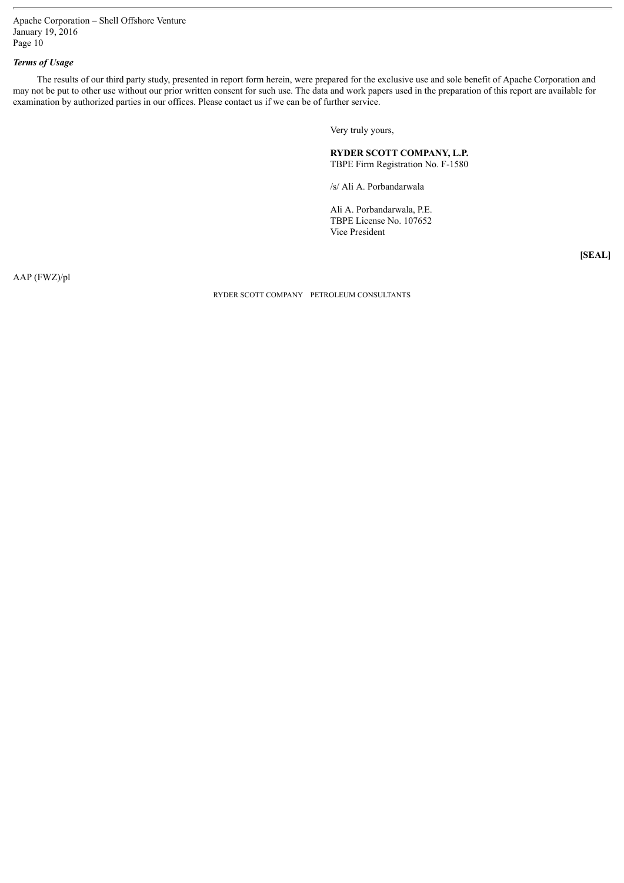## *Terms of Usage*

The results of our third party study, presented in report form herein, were prepared for the exclusive use and sole benefit of Apache Corporation and may not be put to other use without our prior written consent for such use. The data and work papers used in the preparation of this report are available for examination by authorized parties in our offices. Please contact us if we can be of further service.

Very truly yours,

## **RYDER SCOTT COMPANY, L.P.**

TBPE Firm Registration No. F-1580

/s/ Ali A. Porbandarwala

Ali A. Porbandarwala, P.E. TBPE License No. 107652 Vice President

**[SEAL]**

AAP (FWZ)/pl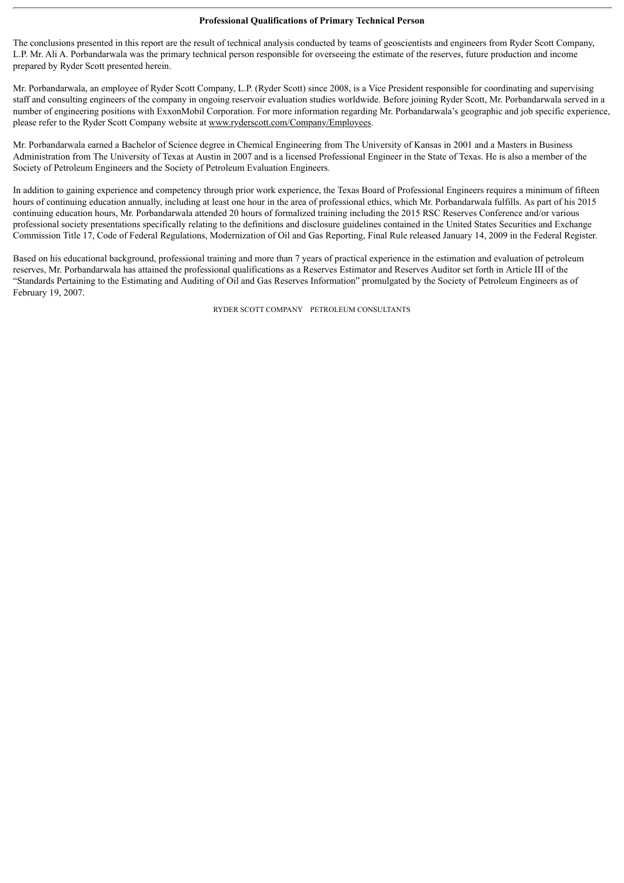#### **Professional Qualifications of Primary Technical Person**

The conclusions presented in this report are the result of technical analysis conducted by teams of geoscientists and engineers from Ryder Scott Company, L.P. Mr. Ali A. Porbandarwala was the primary technical person responsible for overseeing the estimate of the reserves, future production and income prepared by Ryder Scott presented herein.

Mr. Porbandarwala, an employee of Ryder Scott Company, L.P. (Ryder Scott) since 2008, is a Vice President responsible for coordinating and supervising staff and consulting engineers of the company in ongoing reservoir evaluation studies worldwide. Before joining Ryder Scott, Mr. Porbandarwala served in a number of engineering positions with ExxonMobil Corporation. For more information regarding Mr. Porbandarwala's geographic and job specific experience, please refer to the Ryder Scott Company website at www.ryderscott.com/Company/Employees.

Mr. Porbandarwala earned a Bachelor of Science degree in Chemical Engineering from The University of Kansas in 2001 and a Masters in Business Administration from The University of Texas at Austin in 2007 and is a licensed Professional Engineer in the State of Texas. He is also a member of the Society of Petroleum Engineers and the Society of Petroleum Evaluation Engineers.

In addition to gaining experience and competency through prior work experience, the Texas Board of Professional Engineers requires a minimum of fifteen hours of continuing education annually, including at least one hour in the area of professional ethics, which Mr. Porbandarwala fulfills. As part of his 2015 continuing education hours, Mr. Porbandarwala attended 20 hours of formalized training including the 2015 RSC Reserves Conference and/or various professional society presentations specifically relating to the definitions and disclosure guidelines contained in the United States Securities and Exchange Commission Title 17, Code of Federal Regulations, Modernization of Oil and Gas Reporting, Final Rule released January 14, 2009 in the Federal Register.

Based on his educational background, professional training and more than 7 years of practical experience in the estimation and evaluation of petroleum reserves, Mr. Porbandarwala has attained the professional qualifications as a Reserves Estimator and Reserves Auditor set forth in Article III of the "Standards Pertaining to the Estimating and Auditing of Oil and Gas Reserves Information" promulgated by the Society of Petroleum Engineers as of February 19, 2007.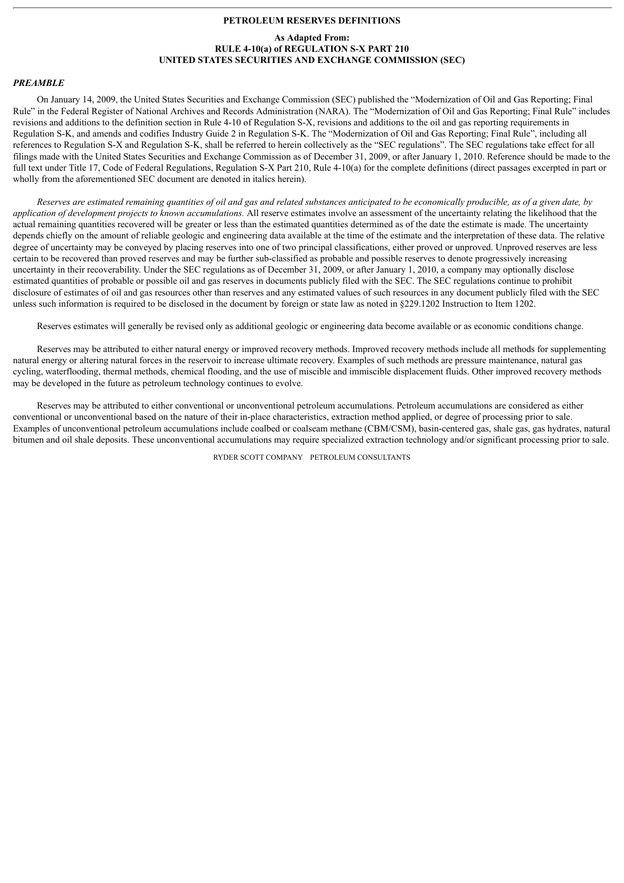#### **PETROLEUM RESERVES DEFINITIONS**

## **As Adapted From: RULE 4-10(a) of REGULATION S-X PART 210 UNITED STATES SECURITIES AND EXCHANGE COMMISSION (SEC)**

#### *PREAMBLE*

On January 14, 2009, the United States Securities and Exchange Commission (SEC) published the "Modernization of Oil and Gas Reporting; Final Rule" in the Federal Register of National Archives and Records Administration (NARA). The "Modernization of Oil and Gas Reporting; Final Rule" includes revisions and additions to the definition section in Rule 4-10 of Regulation S-X, revisions and additions to the oil and gas reporting requirements in Regulation S-K, and amends and codifies Industry Guide 2 in Regulation S-K. The "Modernization of Oil and Gas Reporting; Final Rule", including all references to Regulation S-X and Regulation S-K, shall be referred to herein collectively as the "SEC regulations". The SEC regulations take effect for all filings made with the United States Securities and Exchange Commission as of December 31, 2009, or after January 1, 2010. Reference should be made to the full text under Title 17, Code of Federal Regulations, Regulation S-X Part 210, Rule 4-10(a) for the complete definitions (direct passages excerpted in part or wholly from the aforementioned SEC document are denoted in italics herein).

Reserves are estimated remaining quantities of oil and gas and related substances anticipated to be economically producible, as of a given date, by *application of development projects to known accumulations.* All reserve estimates involve an assessment of the uncertainty relating the likelihood that the actual remaining quantities recovered will be greater or less than the estimated quantities determined as of the date the estimate is made. The uncertainty depends chiefly on the amount of reliable geologic and engineering data available at the time of the estimate and the interpretation of these data. The relative degree of uncertainty may be conveyed by placing reserves into one of two principal classifications, either proved or unproved. Unproved reserves are less certain to be recovered than proved reserves and may be further sub-classified as probable and possible reserves to denote progressively increasing uncertainty in their recoverability. Under the SEC regulations as of December 31, 2009, or after January 1, 2010, a company may optionally disclose estimated quantities of probable or possible oil and gas reserves in documents publicly filed with the SEC. The SEC regulations continue to prohibit disclosure of estimates of oil and gas resources other than reserves and any estimated values of such resources in any document publicly filed with the SEC unless such information is required to be disclosed in the document by foreign or state law as noted in §229.1202 Instruction to Item 1202.

Reserves estimates will generally be revised only as additional geologic or engineering data become available or as economic conditions change.

Reserves may be attributed to either natural energy or improved recovery methods. Improved recovery methods include all methods for supplementing natural energy or altering natural forces in the reservoir to increase ultimate recovery. Examples of such methods are pressure maintenance, natural gas cycling, waterflooding, thermal methods, chemical flooding, and the use of miscible and immiscible displacement fluids. Other improved recovery methods may be developed in the future as petroleum technology continues to evolve.

Reserves may be attributed to either conventional or unconventional petroleum accumulations. Petroleum accumulations are considered as either conventional or unconventional based on the nature of their in-place characteristics, extraction method applied, or degree of processing prior to sale. Examples of unconventional petroleum accumulations include coalbed or coalseam methane (CBM/CSM), basin-centered gas, shale gas, gas hydrates, natural bitumen and oil shale deposits. These unconventional accumulations may require specialized extraction technology and/or significant processing prior to sale.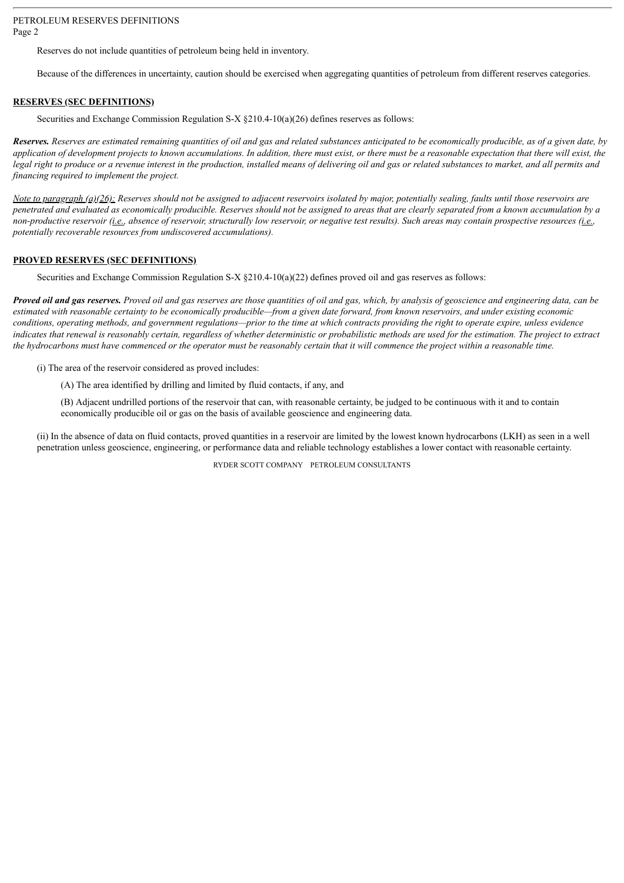PETROLEUM RESERVES DEFINITIONS Page 2

Reserves do not include quantities of petroleum being held in inventory.

Because of the differences in uncertainty, caution should be exercised when aggregating quantities of petroleum from different reserves categories.

#### **RESERVES (SEC DEFINITIONS)**

Securities and Exchange Commission Regulation S-X §210.4-10(a)(26) defines reserves as follows:

Reserves. Reserves are estimated remaining quantities of oil and gas and related substances anticipated to be economically producible, as of a given date, by application of development projects to known accumulations. In addition, there must exist, or there must be a reasonable expectation that there will exist, the legal right to produce or a revenue interest in the production, installed means of delivering oil and gas or related substances to market, and all permits and *financing required to implement the project.*

Note to paragraph (a)(26): Reserves should not be assigned to adjacent reservoirs isolated by major, potentially sealing, faults until those reservoirs are penetrated and evaluated as economically producible. Reserves should not be assigned to areas that are clearly separated from a known accumulation by a non-productive reservoir (*i.e.*, absence of reservoir, structurally low reservoir, or negative test results). Such areas may contain prospective resources (*i.e.*, *potentially recoverable resources from undiscovered accumulations).*

#### **PROVED RESERVES (SEC DEFINITIONS)**

Securities and Exchange Commission Regulation S-X  $\S210.4-10(a)(22)$  defines proved oil and gas reserves as follows:

Proved oil and gas reserves. Proved oil and gas reserves are those quantities of oil and gas, which, by analysis of geoscience and engineering data, can be estimated with reasonable certainty to be economically producible—from a given date forward, from known reservoirs, and under existing economic conditions, operating methods, and government regulations—prior to the time at which contracts providing the right to operate expire, unless evidence indicates that renewal is reasonably certain, regardless of whether deterministic or probabilistic methods are used for the estimation. The project to extract the hydrocarbons must have commenced or the operator must be reasonably certain that it will commence the project within a reasonable time.

(i) The area of the reservoir considered as proved includes:

(A) The area identified by drilling and limited by fluid contacts, if any, and

(B) Adjacent undrilled portions of the reservoir that can, with reasonable certainty, be judged to be continuous with it and to contain economically producible oil or gas on the basis of available geoscience and engineering data.

(ii) In the absence of data on fluid contacts, proved quantities in a reservoir are limited by the lowest known hydrocarbons (LKH) as seen in a well penetration unless geoscience, engineering, or performance data and reliable technology establishes a lower contact with reasonable certainty.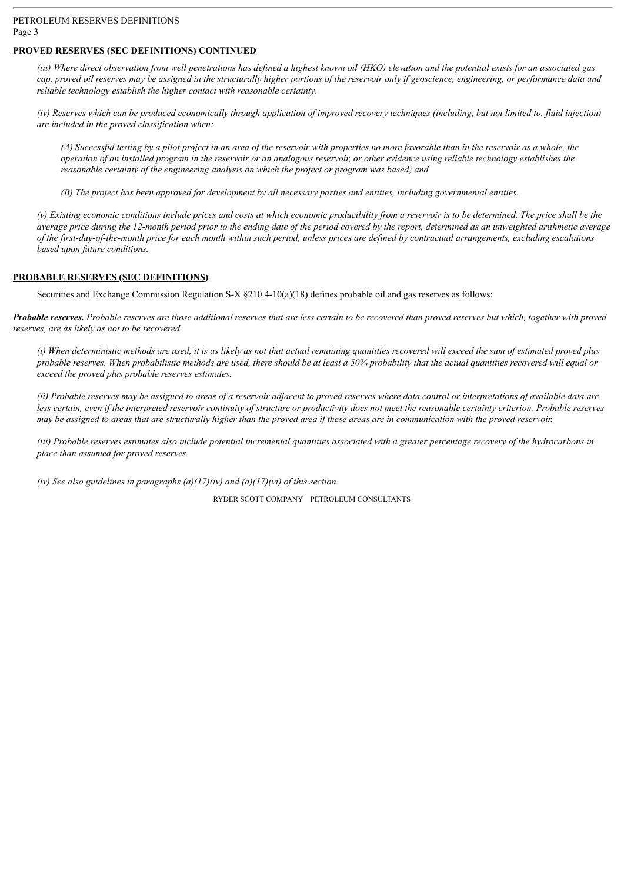## **PROVED RESERVES (SEC DEFINITIONS) CONTINUED**

(iii) Where direct observation from well penetrations has defined a highest known oil (HKO) elevation and the potential exists for an associated gas cap, proved oil reserves may be assigned in the structurally higher portions of the reservoir only if geoscience, engineering, or performance data and *reliable technology establish the higher contact with reasonable certainty.*

(iv) Reserves which can be produced economically through application of improved recovery techniques (including, but not limited to, fluid injection) *are included in the proved classification when:*

(A) Successful testing by a pilot project in an area of the reservoir with properties no more favorable than in the reservoir as a whole, the operation of an installed program in the reservoir or an analogous reservoir, or other evidence using reliable technology establishes the *reasonable certainty of the engineering analysis on which the project or program was based; and*

(B) The project has been approved for development by all necessary parties and entities, including governmental entities.

 $(y)$  Existing economic conditions include prices and costs at which economic producibility from a reservoir is to be determined. The price shall be the average price during the 12-month period prior to the ending date of the period covered by the report, determined as an unweighted arithmetic average of the first-day-of-the-month price for each month within such period, unless prices are defined by contractual arrangements, excluding escalations *based upon future conditions.*

#### **PROBABLE RESERVES (SEC DEFINITIONS)**

Securities and Exchange Commission Regulation S-X  $\S210.4-10(a)(18)$  defines probable oil and gas reserves as follows:

**Probable reserves.** Probable reserves are those additional reserves that are less certain to be recovered than proved reserves but which, together with proved *reserves, are as likely as not to be recovered.*

(i) When deterministic methods are used, it is as likely as not that actual remaining quantities recovered will exceed the sum of estimated proved plus probable reserves. When probabilistic methods are used, there should be at least a 50% probability that the actual quantities recovered will equal or *exceed the proved plus probable reserves estimates.*

(ii) Probable reserves may be assigned to areas of a reservoir adjacent to proved reserves where data control or interpretations of available data are less certain, even if the interpreted reservoir continuity of structure or productivity does not meet the reasonable certainty criterion. Probable reserves may be assigned to areas that are structurally higher than the proved area if these areas are in communication with the proved reservoir.

(iii) Probable reserves estimates also include potential incremental quantities associated with a greater percentage recovery of the hydrocarbons in *place than assumed for proved reserves.*

*(iv) See also guidelines in paragraphs (a)(17)(iv) and (a)(17)(vi) of this section.*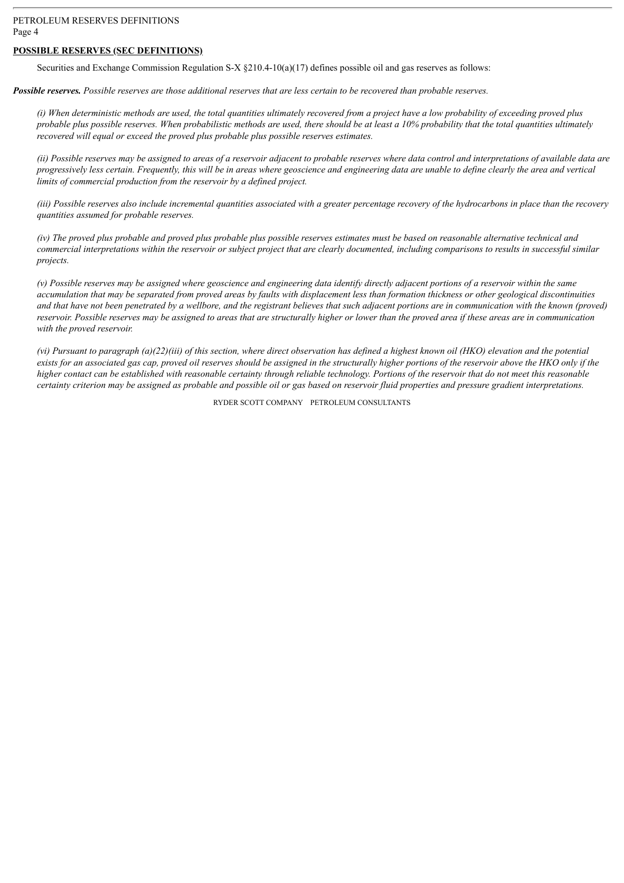## **POSSIBLE RESERVES (SEC DEFINITIONS)**

Securities and Exchange Commission Regulation S-X  $\frac{8210.4-10(a)}{17}$  defines possible oil and gas reserves as follows:

**Possible reserves.** Possible reserves are those additional reserves that are less certain to be recovered than probable reserves.

(i) When deterministic methods are used, the total quantities ultimately recovered from a project have a low probability of exceeding proved plus probable plus possible reserves. When probabilistic methods are used, there should be at least a 10% probability that the total quantities ultimately *recovered will equal or exceed the proved plus probable plus possible reserves estimates.*

(ii) Possible reserves may be assigned to areas of a reservoir adjacent to probable reserves where data control and interpretations of available data are progressively less certain. Frequently, this will be in areas where geoscience and engineering data are unable to define clearly the area and vertical *limits of commercial production from the reservoir by a defined project.*

(iii) Possible reserves also include incremental quantities associated with a greater percentage recovery of the hydrocarbons in place than the recovery *quantities assumed for probable reserves.*

(iv) The proved plus probable and proved plus probable plus possible reserves estimates must be based on reasonable alternative technical and commercial interpretations within the reservoir or subject project that are clearly documented, including comparisons to results in successful similar *projects.*

 $(y)$  Possible reserves may be assigned where geoscience and engineering data identify directly adjacent portions of a reservoir within the same accumulation that may be separated from proved areas by faults with displacement less than formation thickness or other geological discontinuities and that have not been penetrated by a wellbore, and the registrant believes that such adjacent portions are in communication with the known (proved) reservoir. Possible reserves may be assigned to areas that are structurally higher or lower than the proved area if these areas are in communication *with the proved reservoir.*

(vi) Pursuant to paragraph  $(a)(22)(iii)$  of this section, where direct observation has defined a highest known oil (HKO) elevation and the potential exists for an associated gas cap, proved oil reserves should be assigned in the structurally higher portions of the reservoir above the HKO only if the higher contact can be established with reasonable certainty through reliable technology. Portions of the reservoir that do not meet this reasonable certainty criterion may be assigned as probable and possible oil or gas based on reservoir fluid properties and pressure gradient interpretations.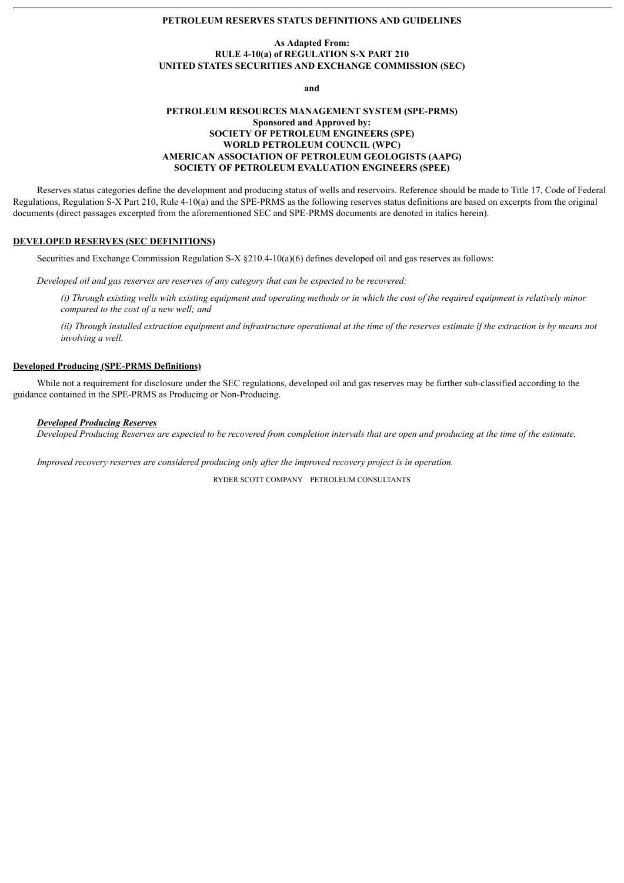#### **PETROLEUM RESERVES STATUS DEFINITIONS AND GUIDELINES**

#### **As Adapted From: RULE 4-10(a) of REGULATION S-X PART 210 UNITED STATES SECURITIES AND EXCHANGE COMMISSION (SEC)**

**and**

## **PETROLEUM RESOURCES MANAGEMENT SYSTEM (SPE-PRMS) Sponsored and Approved by: SOCIETY OF PETROLEUM ENGINEERS (SPE) WORLD PETROLEUM COUNCIL (WPC) AMERICAN ASSOCIATION OF PETROLEUM GEOLOGISTS (AAPG) SOCIETY OF PETROLEUM EVALUATION ENGINEERS (SPEE)**

Reserves status categories define the development and producing status of wells and reservoirs. Reference should be made to Title 17, Code of Federal Regulations, Regulation S-X Part 210, Rule 4-10(a) and the SPE-PRMS as the following reserves status definitions are based on excerpts from the original documents (direct passages excerpted from the aforementioned SEC and SPE-PRMS documents are denoted in italics herein).

## **DEVELOPED RESERVES (SEC DEFINITIONS)**

Securities and Exchange Commission Regulation S-X §210.4-10(a)(6) defines developed oil and gas reserves as follows:

*Developed oil and gas reserves are reserves of any category that can be expected to be recovered:*

(i) Through existing wells with existing equipment and operating methods or in which the cost of the required equipment is relatively minor *compared to the cost of a new well; and*

(ii) Through installed extraction equipment and infrastructure operational at the time of the reserves estimate if the extraction is by means not *involving a well.*

## **Developed Producing (SPE-PRMS Definitions)**

While not a requirement for disclosure under the SEC regulations, developed oil and gas reserves may be further sub-classified according to the guidance contained in the SPE-PRMS as Producing or Non-Producing.

#### *Developed Producing Reserves*

Developed Producing Reserves are expected to be recovered from completion intervals that are open and producing at the time of the estimate.

*Improved recovery reserves are considered producing only after the improved recovery project is in operation.*